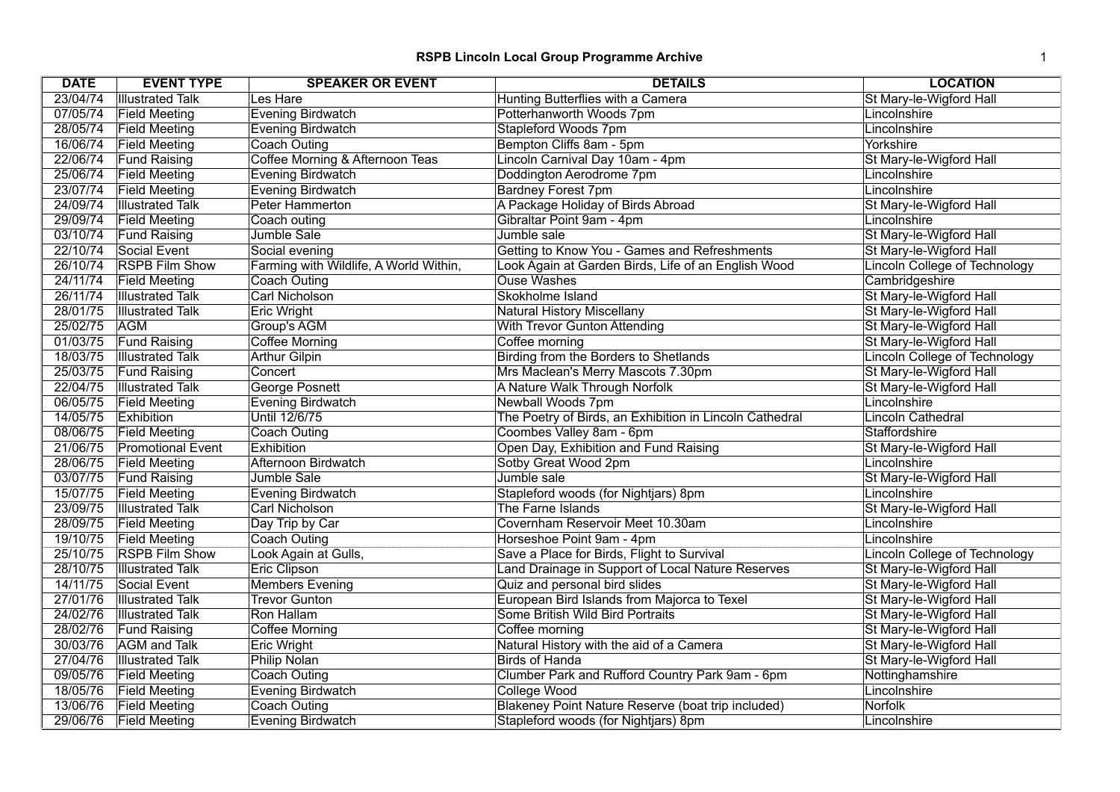| <b>DATE</b> | <b>EVENT TYPE</b>        | <b>SPEAKER OR EVENT</b>                | <b>DETAILS</b>                                          | <b>LOCATION</b>                      |
|-------------|--------------------------|----------------------------------------|---------------------------------------------------------|--------------------------------------|
| 23/04/74    | <b>Illustrated Talk</b>  | Les Hare                               | Hunting Butterflies with a Camera                       | St Mary-le-Wigford Hall              |
| 07/05/74    | <b>Field Meeting</b>     | <b>Evening Birdwatch</b>               | Potterhanworth Woods 7pm                                | Lincolnshire                         |
| 28/05/74    | <b>Field Meeting</b>     | <b>Evening Birdwatch</b>               | Stapleford Woods 7pm                                    | Lincolnshire                         |
| 16/06/74    | <b>Field Meeting</b>     | <b>Coach Outing</b>                    | Bempton Cliffs 8am - 5pm                                | Yorkshire                            |
| 22/06/74    | <b>Fund Raising</b>      | Coffee Morning & Afternoon Teas        | Lincoln Carnival Day 10am - 4pm                         | St Mary-le-Wigford Hall              |
| 25/06/74    | <b>Field Meeting</b>     | <b>Evening Birdwatch</b>               | Doddington Aerodrome 7pm                                | Lincolnshire                         |
| 23/07/74    | <b>Field Meeting</b>     | <b>Evening Birdwatch</b>               | <b>Bardney Forest 7pm</b>                               | Lincolnshire                         |
| 24/09/74    | <b>Illustrated Talk</b>  | Peter Hammerton                        | A Package Holiday of Birds Abroad                       | St Mary-le-Wigford Hall              |
| 29/09/74    | <b>Field Meeting</b>     | Coach outing                           | Gibraltar Point 9am - 4pm                               | Lincolnshire                         |
| 03/10/74    | <b>Fund Raising</b>      | Jumble Sale                            | Jumble sale                                             | St Mary-le-Wigford Hall              |
| 22/10/74    | Social Event             | Social evening                         | Getting to Know You - Games and Refreshments            | St Mary-le-Wigford Hall              |
| 26/10/74    | <b>RSPB Film Show</b>    | Farming with Wildlife, A World Within, | Look Again at Garden Birds, Life of an English Wood     | <b>Lincoln College of Technology</b> |
| 24/11/74    | <b>Field Meeting</b>     | Coach Outing                           | <b>Ouse Washes</b>                                      | Cambridgeshire                       |
| 26/11/74    | <b>Illustrated Talk</b>  | <b>Carl Nicholson</b>                  | Skokholme Island                                        | St Mary-le-Wigford Hall              |
| 28/01/75    | <b>Illustrated Talk</b>  | <b>Eric Wright</b>                     | <b>Natural History Miscellany</b>                       | St Mary-le-Wigford Hall              |
| 25/02/75    | <b>AGM</b>               | Group's AGM                            | With Trevor Gunton Attending                            | St Mary-le-Wigford Hall              |
| 01/03/75    | <b>Fund Raising</b>      | Coffee Morning                         | Coffee morning                                          | St Mary-le-Wigford Hall              |
| 18/03/75    | <b>Illustrated Talk</b>  | <b>Arthur Gilpin</b>                   | Birding from the Borders to Shetlands                   | <b>Lincoln College of Technology</b> |
| 25/03/75    | <b>Fund Raising</b>      | Concert                                | Mrs Maclean's Merry Mascots 7.30pm                      | St Mary-le-Wigford Hall              |
| 22/04/75    | <b>Illustrated Talk</b>  | George Posnett                         | A Nature Walk Through Norfolk                           | St Mary-le-Wigford Hall              |
| 06/05/75    | <b>Field Meeting</b>     | <b>Evening Birdwatch</b>               | Newball Woods 7pm                                       | Lincolnshire                         |
| 14/05/75    | Exhibition               | Until 12/6/75                          | The Poetry of Birds, an Exhibition in Lincoln Cathedral | Lincoln Cathedral                    |
| 08/06/75    | <b>Field Meeting</b>     | Coach Outing                           | Coombes Valley 8am - 6pm                                | Staffordshire                        |
| 21/06/75    | <b>Promotional Event</b> | Exhibition                             | Open Day, Exhibition and Fund Raising                   | St Mary-le-Wigford Hall              |
| 28/06/75    | <b>Field Meeting</b>     | Afternoon Birdwatch                    | Sotby Great Wood 2pm                                    | Lincolnshire                         |
| 03/07/75    | <b>Fund Raising</b>      | Jumble Sale                            | Jumble sale                                             | St Mary-le-Wigford Hall              |
| 15/07/75    | <b>Field Meeting</b>     | <b>Evening Birdwatch</b>               | Stapleford woods (for Nightjars) 8pm                    | Lincolnshire                         |
| 23/09/75    | <b>Illustrated Talk</b>  | <b>Carl Nicholson</b>                  | The Farne Islands                                       | St Mary-le-Wigford Hall              |
| 28/09/75    | <b>Field Meeting</b>     | Day Trip by Car                        | Covernham Reservoir Meet 10.30am                        | Lincolnshire                         |
| 19/10/75    | <b>Field Meeting</b>     | <b>Coach Outing</b>                    | Horseshoe Point 9am - 4pm                               | Lincolnshire                         |
| 25/10/75    | <b>RSPB Film Show</b>    | Look Again at Gulls,                   | Save a Place for Birds, Flight to Survival              | <b>Lincoln College of Technology</b> |
| 28/10/75    | <b>Illustrated Talk</b>  | <b>Eric Clipson</b>                    | Land Drainage in Support of Local Nature Reserves       | St Mary-le-Wigford Hall              |
| 14/11/75    | Social Event             | <b>Members Evening</b>                 | Quiz and personal bird slides                           | St Mary-le-Wigford Hall              |
| 27/01/76    | <b>Illustrated Talk</b>  | <b>Trevor Gunton</b>                   | European Bird Islands from Majorca to Texel             | St Mary-le-Wigford Hall              |
| 24/02/76    | <b>Illustrated Talk</b>  | Ron Hallam                             | Some British Wild Bird Portraits                        | St Mary-le-Wigford Hall              |
| 28/02/76    | <b>Fund Raising</b>      | <b>Coffee Morning</b>                  | Coffee morning                                          | St Mary-le-Wigford Hall              |
| 30/03/76    | <b>AGM</b> and Talk      | <b>Eric Wright</b>                     | Natural History with the aid of a Camera                | St Mary-le-Wigford Hall              |
| 27/04/76    | <b>Illustrated Talk</b>  | <b>Philip Nolan</b>                    | Birds of Handa                                          | St Mary-le-Wigford Hall              |
| 09/05/76    | <b>Field Meeting</b>     | Coach Outing                           | Clumber Park and Rufford Country Park 9am - 6pm         | Nottinghamshire                      |
| 18/05/76    | <b>Field Meeting</b>     | <b>Evening Birdwatch</b>               | College Wood                                            | Lincolnshire                         |
| 13/06/76    | <b>Field Meeting</b>     | <b>Coach Outing</b>                    | Blakeney Point Nature Reserve (boat trip included)      | <b>Norfolk</b>                       |
| 29/06/76    | <b>Field Meeting</b>     | Evening Birdwatch                      | Stapleford woods (for Nightjars) 8pm                    | Lincolnshire                         |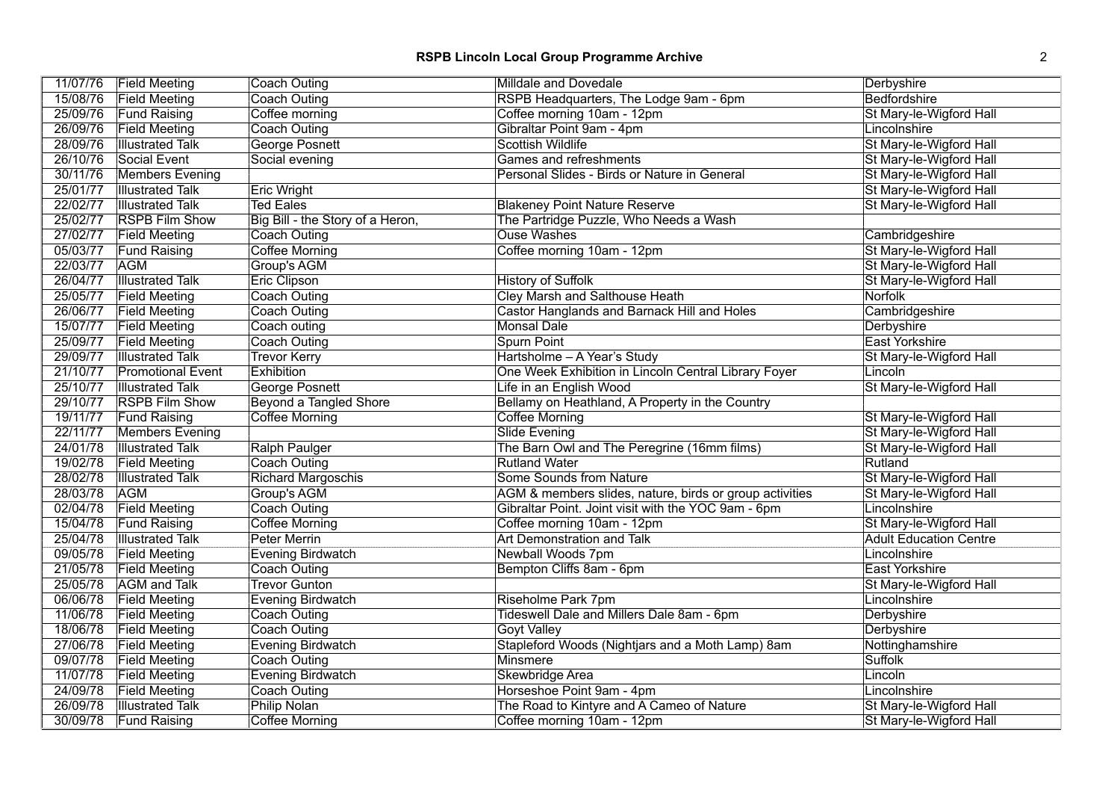| 11/07/76 | <b>Field Meeting</b>     | <b>Coach Outing</b>              | Milldale and Dovedale                                   | Derbyshire                    |
|----------|--------------------------|----------------------------------|---------------------------------------------------------|-------------------------------|
| 15/08/76 | <b>Field Meeting</b>     | <b>Coach Outing</b>              | RSPB Headquarters, The Lodge 9am - 6pm                  | <b>Bedfordshire</b>           |
| 25/09/76 | <b>Fund Raising</b>      | Coffee morning                   | Coffee morning 10am - 12pm                              | St Mary-le-Wigford Hall       |
| 26/09/76 | <b>Field Meeting</b>     | <b>Coach Outing</b>              | Gibraltar Point 9am - 4pm                               | Lincolnshire                  |
| 28/09/76 | <b>Illustrated Talk</b>  | <b>George Posnett</b>            | <b>Scottish Wildlife</b>                                | St Mary-le-Wigford Hall       |
| 26/10/76 | Social Event             | Social evening                   | Games and refreshments                                  | St Mary-le-Wigford Hall       |
| 30/11/76 | <b>Members Evening</b>   |                                  | Personal Slides - Birds or Nature in General            | St Mary-le-Wigford Hall       |
| 25/01/77 | <b>Illustrated Talk</b>  | <b>Eric Wright</b>               |                                                         | St Mary-le-Wigford Hall       |
| 22/02/77 | <b>Illustrated Talk</b>  | <b>Ted Eales</b>                 | <b>Blakeney Point Nature Reserve</b>                    | St Mary-le-Wigford Hall       |
| 25/02/77 | <b>RSPB Film Show</b>    | Big Bill - the Story of a Heron, | The Partridge Puzzle, Who Needs a Wash                  |                               |
|          | 27/02/77 Field Meeting   | <b>Coach Outing</b>              | <b>Ouse Washes</b>                                      | Cambridgeshire                |
| 05/03/77 | <b>Fund Raising</b>      | <b>Coffee Morning</b>            | Coffee morning 10am - 12pm                              | St Mary-le-Wigford Hall       |
| 22/03/77 | <b>AGM</b>               | Group's AGM                      |                                                         | St Mary-le-Wigford Hall       |
| 26/04/77 | <b>Illustrated Talk</b>  | <b>Eric Clipson</b>              | <b>History of Suffolk</b>                               | St Mary-le-Wigford Hall       |
| 25/05/77 | <b>Field Meeting</b>     | <b>Coach Outing</b>              | <b>Cley Marsh and Salthouse Heath</b>                   | <b>Norfolk</b>                |
| 26/06/77 | <b>Field Meeting</b>     | <b>Coach Outing</b>              | Castor Hanglands and Barnack Hill and Holes             | Cambridgeshire                |
| 15/07/77 | <b>Field Meeting</b>     | Coach outing                     | <b>Monsal Dale</b>                                      | Derbyshire                    |
| 25/09/77 | <b>Field Meeting</b>     | Coach Outing                     | Spurn Point                                             | <b>East Yorkshire</b>         |
| 29/09/77 | <b>Illustrated Talk</b>  | <b>Trevor Kerry</b>              | Hartsholme - A Year's Study                             | St Mary-le-Wigford Hall       |
| 21/10/77 | <b>Promotional Event</b> | Exhibition                       | One Week Exhibition in Lincoln Central Library Foyer    | Lincoln                       |
| 25/10/77 | <b>Illustrated Talk</b>  | George Posnett                   | Life in an English Wood                                 | St Mary-le-Wigford Hall       |
| 29/10/77 | <b>RSPB Film Show</b>    | Beyond a Tangled Shore           | Bellamy on Heathland, A Property in the Country         |                               |
| 19/11/77 | <b>Fund Raising</b>      | <b>Coffee Morning</b>            | Coffee Morning                                          | St Mary-le-Wigford Hall       |
| 22/11/77 | <b>Members Evening</b>   |                                  | <b>Slide Evening</b>                                    | St Mary-le-Wigford Hall       |
| 24/01/78 | <b>Illustrated Talk</b>  | <b>Ralph Paulger</b>             | The Barn Owl and The Peregrine (16mm films)             | St Mary-le-Wigford Hall       |
| 19/02/78 | <b>Field Meeting</b>     | <b>Coach Outing</b>              | <b>Rutland Water</b>                                    | Rutland                       |
| 28/02/78 | <b>Illustrated Talk</b>  | <b>Richard Margoschis</b>        | <b>Some Sounds from Nature</b>                          | St Mary-le-Wigford Hall       |
| 28/03/78 | <b>AGM</b>               | Group's AGM                      | AGM & members slides, nature, birds or group activities | St Mary-le-Wigford Hall       |
| 02/04/78 | <b>Field Meeting</b>     | <b>Coach Outing</b>              | Gibraltar Point. Joint visit with the YOC 9am - 6pm     | Lincolnshire                  |
| 15/04/78 | <b>Fund Raising</b>      | <b>Coffee Morning</b>            | Coffee morning 10am - 12pm                              | St Mary-le-Wigford Hall       |
| 25/04/78 | <b>Illustrated Talk</b>  | <b>Peter Merrin</b>              | <b>Art Demonstration and Talk</b>                       | <b>Adult Education Centre</b> |
| 09/05/78 | <b>Field Meeting</b>     | <b>Evening Birdwatch</b>         | Newball Woods 7pm                                       | Lincolnshire                  |
| 21/05/78 | <b>Field Meeting</b>     | <b>Coach Outing</b>              | Bempton Cliffs 8am - 6pm                                | <b>East Yorkshire</b>         |
| 25/05/78 | <b>AGM</b> and Talk      | <b>Trevor Gunton</b>             |                                                         | St Mary-le-Wigford Hall       |
| 06/06/78 | <b>Field Meeting</b>     | <b>Evening Birdwatch</b>         | Riseholme Park 7pm                                      | Lincolnshire                  |
| 11/06/78 | <b>Field Meeting</b>     | <b>Coach Outing</b>              | Tideswell Dale and Millers Dale 8am - 6pm               | Derbyshire                    |
| 18/06/78 | <b>Field Meeting</b>     | <b>Coach Outing</b>              | <b>Goyt Valley</b>                                      | Derbyshire                    |
| 27/06/78 | <b>Field Meeting</b>     | <b>Evening Birdwatch</b>         | Stapleford Woods (Nightjars and a Moth Lamp) 8am        | Nottinghamshire               |
| 09/07/78 | <b>Field Meeting</b>     | <b>Coach Outing</b>              | Minsmere                                                | <b>Suffolk</b>                |
| 11/07/78 | <b>Field Meeting</b>     | Evening Birdwatch                | Skewbridge Area                                         | Lincoln                       |
| 24/09/78 | <b>Field Meeting</b>     | <b>Coach Outing</b>              | Horseshoe Point 9am - 4pm                               | Lincolnshire                  |
| 26/09/78 | <b>Illustrated Talk</b>  | <b>Philip Nolan</b>              | The Road to Kintyre and A Cameo of Nature               | St Mary-le-Wigford Hall       |
| 30/09/78 | <b>Fund Raising</b>      | Coffee Morning                   | Coffee morning 10am - 12pm                              | St Mary-le-Wigford Hall       |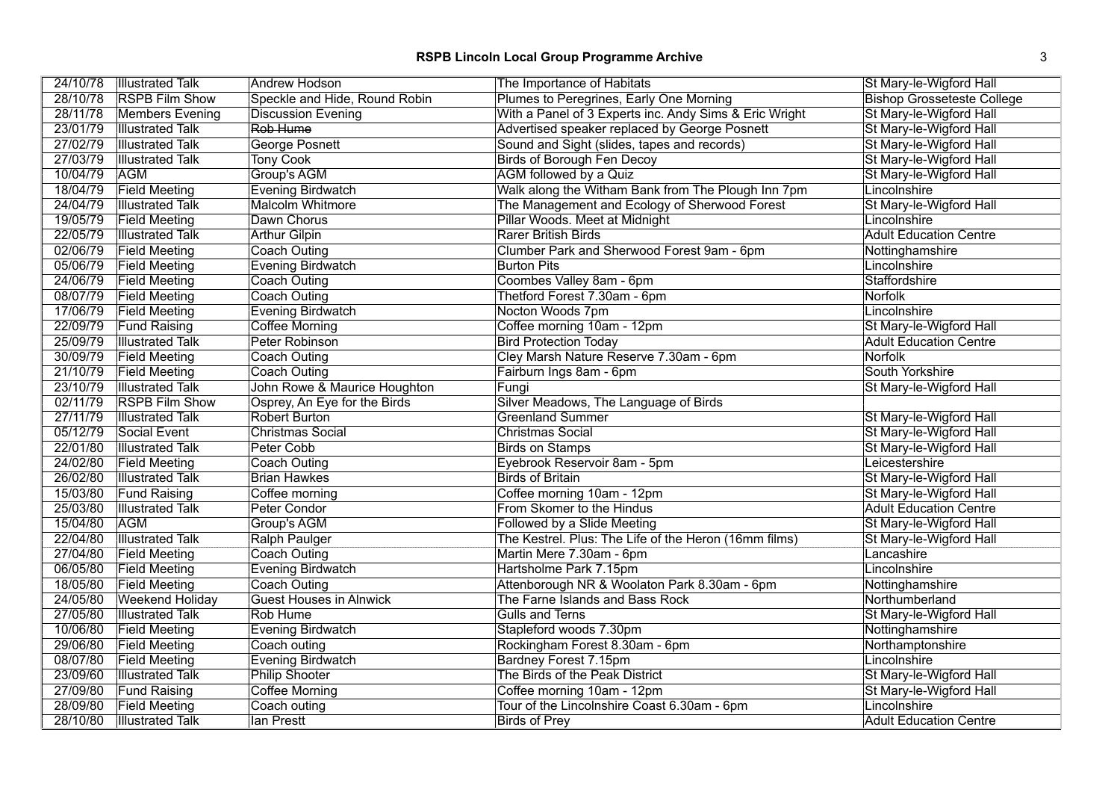| 24/10/78 | <b>Illustrated Talk</b> | <b>Andrew Hodson</b>           | The Importance of Habitats                             | St Mary-le-Wigford Hall           |
|----------|-------------------------|--------------------------------|--------------------------------------------------------|-----------------------------------|
| 28/10/78 | <b>RSPB Film Show</b>   | Speckle and Hide, Round Robin  | Plumes to Peregrines, Early One Morning                | <b>Bishop Grosseteste College</b> |
| 28/11/78 | <b>Members Evening</b>  | <b>Discussion Evening</b>      | With a Panel of 3 Experts inc. Andy Sims & Eric Wright | St Mary-le-Wigford Hall           |
| 23/01/79 | <b>Illustrated Talk</b> | Rob Hume                       | Advertised speaker replaced by George Posnett          | St Mary-le-Wigford Hall           |
| 27/02/79 | <b>Illustrated Talk</b> | <b>George Posnett</b>          | Sound and Sight (slides, tapes and records)            | St Mary-le-Wigford Hall           |
| 27/03/79 | <b>Illustrated Talk</b> | <b>Tony Cook</b>               | <b>Birds of Borough Fen Decoy</b>                      | St Mary-le-Wigford Hall           |
| 10/04/79 | <b>AGM</b>              | Group's AGM                    | AGM followed by a Quiz                                 | St Mary-le-Wigford Hall           |
| 18/04/79 | <b>Field Meeting</b>    | <b>Evening Birdwatch</b>       | Walk along the Witham Bank from The Plough Inn 7pm     | Lincolnshire                      |
| 24/04/79 | <b>Illustrated Talk</b> | <b>Malcolm Whitmore</b>        | The Management and Ecology of Sherwood Forest          | St Mary-le-Wigford Hall           |
| 19/05/79 | <b>Field Meeting</b>    | Dawn Chorus                    | Pillar Woods. Meet at Midnight                         | Lincolnshire                      |
| 22/05/79 | <b>Illustrated Talk</b> | <b>Arthur Gilpin</b>           | Rarer British Birds                                    | <b>Adult Education Centre</b>     |
| 02/06/79 | <b>Field Meeting</b>    | <b>Coach Outing</b>            | Clumber Park and Sherwood Forest 9am - 6pm             | Nottinghamshire                   |
| 05/06/79 | <b>Field Meeting</b>    | <b>Evening Birdwatch</b>       | <b>Burton Pits</b>                                     | Lincolnshire                      |
| 24/06/79 | <b>Field Meeting</b>    | <b>Coach Outing</b>            | Coombes Valley 8am - 6pm                               | Staffordshire                     |
| 08/07/79 | <b>Field Meeting</b>    | Coach Outing                   | Thetford Forest 7.30am - 6pm                           | <b>Norfolk</b>                    |
| 17/06/79 | <b>Field Meeting</b>    | <b>Evening Birdwatch</b>       | Nocton Woods 7pm                                       | Lincolnshire                      |
| 22/09/79 | <b>Fund Raising</b>     | <b>Coffee Morning</b>          | Coffee morning 10am - 12pm                             | St Mary-le-Wigford Hall           |
| 25/09/79 | <b>Illustrated Talk</b> | Peter Robinson                 | <b>Bird Protection Today</b>                           | <b>Adult Education Centre</b>     |
| 30/09/79 | <b>Field Meeting</b>    | <b>Coach Outing</b>            | Cley Marsh Nature Reserve 7.30am - 6pm                 | <b>Norfolk</b>                    |
| 21/10/79 | <b>Field Meeting</b>    | <b>Coach Outing</b>            | Fairburn Ings 8am - 6pm                                | South Yorkshire                   |
| 23/10/79 | <b>Illustrated Talk</b> | John Rowe & Maurice Houghton   | Fungi                                                  | St Mary-le-Wigford Hall           |
| 02/11/79 | <b>RSPB Film Show</b>   | Osprey, An Eye for the Birds   | Silver Meadows, The Language of Birds                  |                                   |
| 27/11/79 | <b>Illustrated Talk</b> | <b>Robert Burton</b>           | <b>Greenland Summer</b>                                | St Mary-le-Wigford Hall           |
| 05/12/79 | Social Event            | <b>Christmas Social</b>        | <b>Christmas Social</b>                                | St Mary-le-Wigford Hall           |
| 22/01/80 | <b>Illustrated Talk</b> | Peter Cobb                     | <b>Birds on Stamps</b>                                 | St Mary-le-Wigford Hall           |
| 24/02/80 | <b>Field Meeting</b>    | <b>Coach Outing</b>            | Eyebrook Reservoir 8am - 5pm                           | Leicestershire                    |
| 26/02/80 | <b>Illustrated Talk</b> | <b>Brian Hawkes</b>            | <b>Birds of Britain</b>                                | St Mary-le-Wigford Hall           |
| 15/03/80 | <b>Fund Raising</b>     | Coffee morning                 | Coffee morning 10am - 12pm                             | St Mary-le-Wigford Hall           |
| 25/03/80 | <b>Illustrated Talk</b> | Peter Condor                   | From Skomer to the Hindus                              | <b>Adult Education Centre</b>     |
| 15/04/80 | <b>AGM</b>              | Group's AGM                    | Followed by a Slide Meeting                            | St Mary-le-Wigford Hall           |
| 22/04/80 | <b>Illustrated Talk</b> | <b>Ralph Paulger</b>           | The Kestrel. Plus: The Life of the Heron (16mm films)  | St Mary-le-Wigford Hall           |
| 27/04/80 | <b>Field Meeting</b>    | <b>Coach Outing</b>            | Martin Mere 7.30am - 6pm                               | Lancashire                        |
| 06/05/80 | <b>Field Meeting</b>    | <b>Evening Birdwatch</b>       | Hartsholme Park 7.15pm                                 | Lincolnshire                      |
| 18/05/80 | <b>Field Meeting</b>    | <b>Coach Outing</b>            | Attenborough NR & Woolaton Park 8.30am - 6pm           | Nottinghamshire                   |
| 24/05/80 | <b>Weekend Holiday</b>  | <b>Guest Houses in Alnwick</b> | The Farne Islands and Bass Rock                        | Northumberland                    |
| 27/05/80 | <b>Illustrated Talk</b> | <b>Rob Hume</b>                | <b>Gulls and Terns</b>                                 | St Mary-le-Wigford Hall           |
| 10/06/80 | <b>Field Meeting</b>    | <b>Evening Birdwatch</b>       | Stapleford woods 7.30pm                                | Nottinghamshire                   |
| 29/06/80 | <b>Field Meeting</b>    | Coach outing                   | Rockingham Forest 8.30am - 6pm                         | Northamptonshire                  |
| 08/07/80 | <b>Field Meeting</b>    | <b>Evening Birdwatch</b>       | Bardney Forest 7.15pm                                  | Lincolnshire                      |
| 23/09/60 | <b>Illustrated Talk</b> | <b>Philip Shooter</b>          | The Birds of the Peak District                         | St Mary-le-Wigford Hall           |
| 27/09/80 | <b>Fund Raising</b>     | <b>Coffee Morning</b>          | Coffee morning 10am - 12pm                             | St Mary-le-Wigford Hall           |
| 28/09/80 | <b>Field Meeting</b>    | Coach outing                   | Tour of the Lincolnshire Coast 6.30am - 6pm            | Lincolnshire                      |
| 28/10/80 | <b>Illustrated Talk</b> | lan Prestt                     | <b>Birds of Prey</b>                                   | <b>Adult Education Centre</b>     |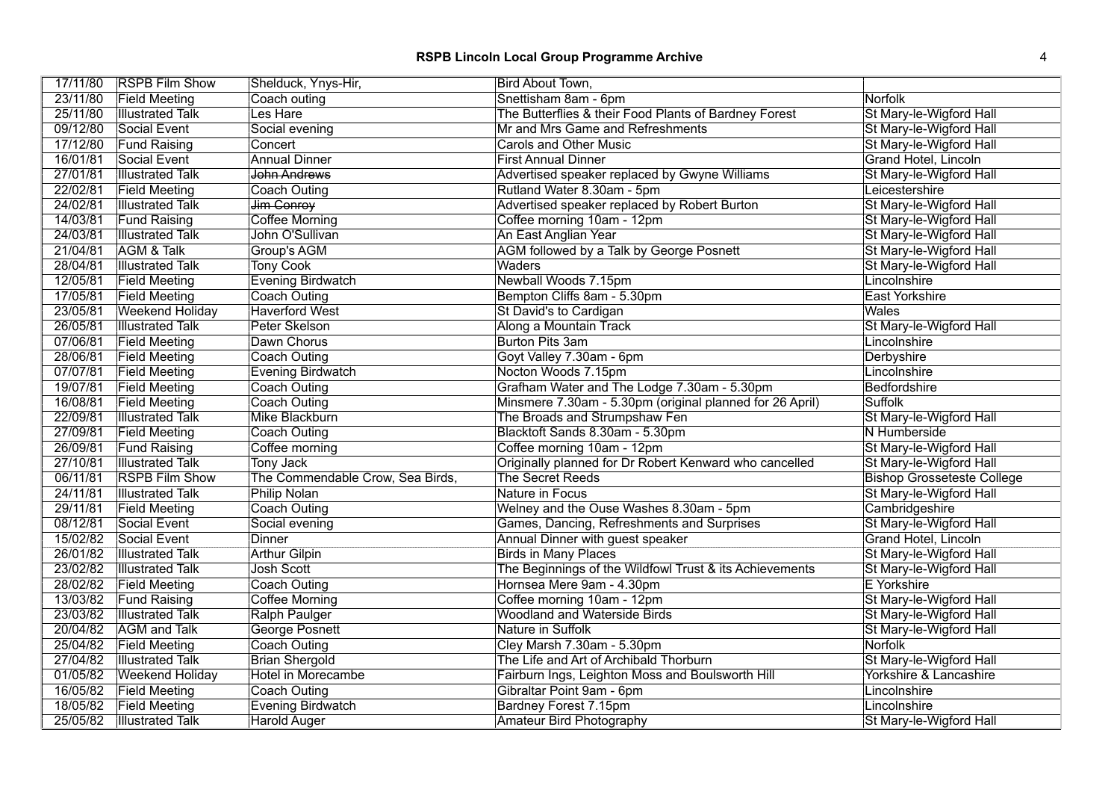| 17/11/80 | <b>RSPB Film Show</b>     | Shelduck, Ynys-Hir,              | Bird About Town,                                         |                                   |
|----------|---------------------------|----------------------------------|----------------------------------------------------------|-----------------------------------|
| 23/11/80 | <b>Field Meeting</b>      | Coach outing                     | Snettisham 8am - 6pm                                     | Norfolk                           |
| 25/11/80 | <b>Illustrated Talk</b>   | Les Hare                         | The Butterflies & their Food Plants of Bardney Forest    | St Mary-le-Wigford Hall           |
| 09/12/80 | Social Event              | Social evening                   | Mr and Mrs Game and Refreshments                         | St Mary-le-Wigford Hall           |
| 17/12/80 | <b>Fund Raising</b>       | Concert                          | <b>Carols and Other Music</b>                            | St Mary-le-Wigford Hall           |
| 16/01/81 | Social Event              | <b>Annual Dinner</b>             | <b>First Annual Dinner</b>                               | <b>Grand Hotel, Lincoln</b>       |
| 27/01/81 | <b>Illustrated Talk</b>   | John Andrews                     | Advertised speaker replaced by Gwyne Williams            | St Mary-le-Wigford Hall           |
| 22/02/81 | <b>Field Meeting</b>      | Coach Outing                     | Rutland Water 8.30am - 5pm                               | Leicestershire                    |
| 24/02/81 | <b>Illustrated Talk</b>   | Jim Conroy                       | Advertised speaker replaced by Robert Burton             | St Mary-le-Wigford Hall           |
| 14/03/81 | <b>Fund Raising</b>       | <b>Coffee Morning</b>            | Coffee morning 10am - 12pm                               | St Mary-le-Wigford Hall           |
| 24/03/81 | <b>Illustrated Talk</b>   | John O'Sullivan                  | An East Anglian Year                                     | St Mary-le-Wigford Hall           |
| 21/04/81 | AGM & Talk                | Group's AGM                      | AGM followed by a Talk by George Posnett                 | St Mary-le-Wigford Hall           |
| 28/04/81 | <b>Illustrated Talk</b>   | <b>Tony Cook</b>                 | Waders                                                   | St Mary-le-Wigford Hall           |
| 12/05/81 | <b>Field Meeting</b>      | <b>Evening Birdwatch</b>         | Newball Woods 7.15pm                                     | Lincolnshire                      |
| 17/05/81 | <b>Field Meeting</b>      | <b>Coach Outing</b>              | Bempton Cliffs 8am - 5.30pm                              | <b>East Yorkshire</b>             |
| 23/05/81 | <b>Weekend Holiday</b>    | <b>Haverford West</b>            | St David's to Cardigan                                   | <b>Wales</b>                      |
| 26/05/81 | <b>Illustrated Talk</b>   | Peter Skelson                    | Along a Mountain Track                                   | St Mary-le-Wigford Hall           |
| 07/06/81 | <b>Field Meeting</b>      | Dawn Chorus                      | <b>Burton Pits 3am</b>                                   | Lincolnshire                      |
| 28/06/81 | <b>Field Meeting</b>      | Coach Outing                     | Goyt Valley 7.30am - 6pm                                 | Derbyshire                        |
| 07/07/81 | <b>Field Meeting</b>      | <b>Evening Birdwatch</b>         | Nocton Woods 7.15pm                                      | Lincolnshire                      |
| 19/07/81 | <b>Field Meeting</b>      | <b>Coach Outing</b>              | Grafham Water and The Lodge 7.30am - 5.30pm              | Bedfordshire                      |
| 16/08/81 | <b>Field Meeting</b>      | <b>Coach Outing</b>              | Minsmere 7.30am - 5.30pm (original planned for 26 April) | Suffolk                           |
| 22/09/81 | <b>Illustrated Talk</b>   | Mike Blackburn                   | The Broads and Strumpshaw Fen                            | St Mary-le-Wigford Hall           |
| 27/09/81 | <b>Field Meeting</b>      | Coach Outing                     | Blacktoft Sands 8.30am - 5.30pm                          | N Humberside                      |
| 26/09/81 | <b>Fund Raising</b>       | Coffee morning                   | Coffee morning 10am - 12pm                               | St Mary-le-Wigford Hall           |
| 27/10/81 | <b>Illustrated Talk</b>   | <b>Tony Jack</b>                 | Originally planned for Dr Robert Kenward who cancelled   | St Mary-le-Wigford Hall           |
| 06/11/81 | <b>RSPB Film Show</b>     | The Commendable Crow, Sea Birds, | The Secret Reeds                                         | <b>Bishop Grosseteste College</b> |
| 24/11/81 | <b>Illustrated Talk</b>   | <b>Philip Nolan</b>              | Nature in Focus                                          | St Mary-le-Wigford Hall           |
| 29/11/81 | <b>Field Meeting</b>      | <b>Coach Outing</b>              | Welney and the Ouse Washes 8.30am - 5pm                  | Cambridgeshire                    |
| 08/12/81 | Social Event              | Social evening                   | Games, Dancing, Refreshments and Surprises               | St Mary-le-Wigford Hall           |
| 15/02/82 | Social Event              | <b>Dinner</b>                    | Annual Dinner with guest speaker                         | Grand Hotel, Lincoln              |
| 26/01/82 | <b>Illustrated Talk</b>   | <b>Arthur Gilpin</b>             | <b>Birds in Many Places</b>                              | St Mary-le-Wigford Hall           |
| 23/02/82 | <b>Illustrated Talk</b>   | Josh Scott                       | The Beginnings of the Wildfowl Trust & its Achievements  | St Mary-le-Wigford Hall           |
| 28/02/82 | <b>Field Meeting</b>      | <b>Coach Outing</b>              | Hornsea Mere 9am - 4.30pm                                | <b>E</b> Yorkshire                |
| 13/03/82 | <b>Fund Raising</b>       | Coffee Morning                   | Coffee morning 10am - 12pm                               | St Mary-le-Wigford Hall           |
| 23/03/82 | <b>Illustrated Talk</b>   | Ralph Paulger                    | Woodland and Waterside Birds                             | St Mary-le-Wigford Hall           |
| 20/04/82 | <b>AGM</b> and Talk       | <b>George Posnett</b>            | Nature in Suffolk                                        | St Mary-le-Wigford Hall           |
|          | 25/04/82 Field Meeting    | Coach Outing                     | Cley Marsh 7.30am - 5.30pm                               | <b>Norfolk</b>                    |
| 27/04/82 | <b>Illustrated Talk</b>   | <b>Brian Shergold</b>            | The Life and Art of Archibald Thorburn                   | St Mary-le-Wigford Hall           |
| 01/05/82 | <b>Weekend Holiday</b>    | <b>Hotel in Morecambe</b>        | Fairburn Ings, Leighton Moss and Boulsworth Hill         | Yorkshire & Lancashire            |
| 16/05/82 | <b>Field Meeting</b>      | <b>Coach Outing</b>              | Gibraltar Point 9am - 6pm                                | Lincolnshire                      |
| 18/05/82 | <b>Field Meeting</b>      | <b>Evening Birdwatch</b>         | Bardney Forest 7.15pm                                    | Lincolnshire                      |
|          | 25/05/82 Illustrated Talk | <b>Harold Auger</b>              | Amateur Bird Photography                                 | St Mary-le-Wigford Hall           |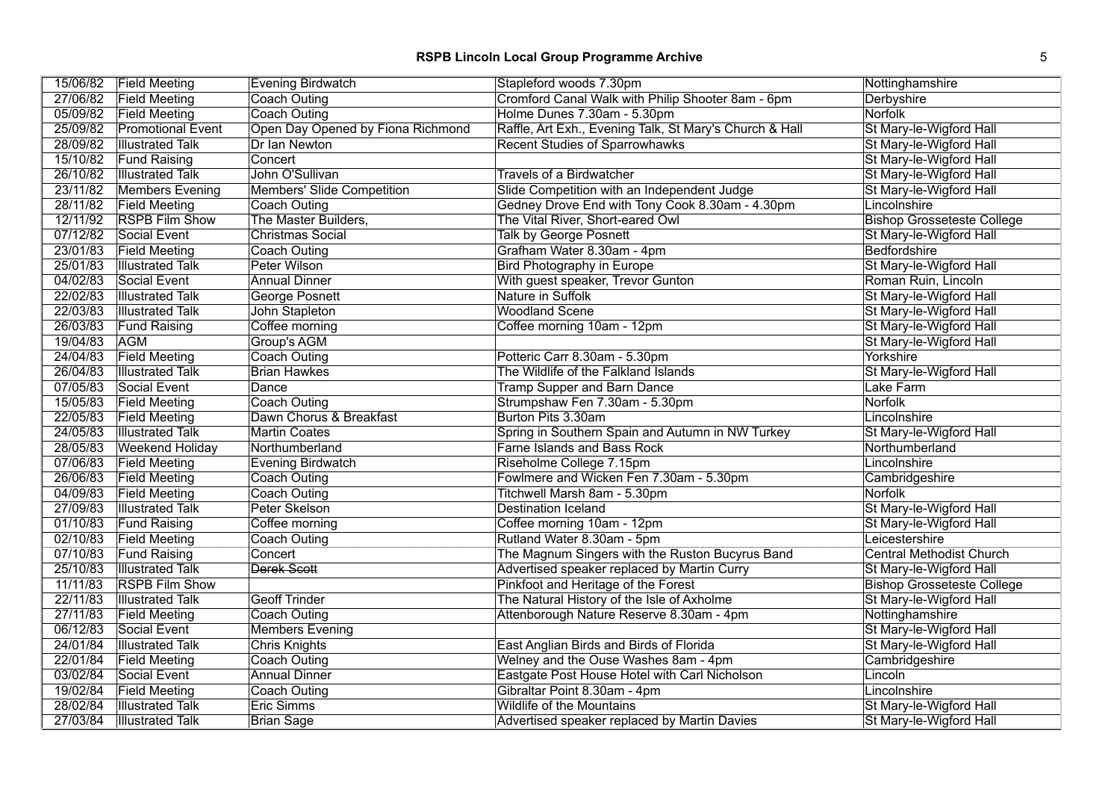|          | 15/06/82 Field Meeting   | <b>Evening Birdwatch</b>          | Stapleford woods 7.30pm                                 | Nottinghamshire                   |
|----------|--------------------------|-----------------------------------|---------------------------------------------------------|-----------------------------------|
|          | 27/06/82 Field Meeting   | Coach Outing                      | Cromford Canal Walk with Philip Shooter 8am - 6pm       | Derbyshire                        |
| 05/09/82 | <b>Field Meeting</b>     | Coach Outing                      | Holme Dunes 7.30am - 5.30pm                             | Norfolk                           |
| 25/09/82 | <b>Promotional Event</b> | Open Day Opened by Fiona Richmond | Raffle, Art Exh., Evening Talk, St Mary's Church & Hall | St Mary-le-Wigford Hall           |
| 28/09/82 | <b>Illustrated Talk</b>  | Dr Ian Newton                     | <b>Recent Studies of Sparrowhawks</b>                   | St Mary-le-Wigford Hall           |
| 15/10/82 | <b>Fund Raising</b>      | Concert                           |                                                         | St Mary-le-Wigford Hall           |
| 26/10/82 | <b>Illustrated Talk</b>  | John O'Sullivan                   | <b>Travels of a Birdwatcher</b>                         | St Mary-le-Wigford Hall           |
| 23/11/82 | <b>Members Evening</b>   | <b>Members' Slide Competition</b> | Slide Competition with an Independent Judge             | St Mary-le-Wigford Hall           |
| 28/11/82 | <b>Field Meeting</b>     | <b>Coach Outing</b>               | Gedney Drove End with Tony Cook 8.30am - 4.30pm         | Lincolnshire                      |
| 12/11/92 | <b>RSPB Film Show</b>    | The Master Builders,              | The Vital River, Short-eared Owl                        | <b>Bishop Grosseteste College</b> |
| 07/12/82 | Social Event             | <b>Christmas Social</b>           | <b>Talk by George Posnett</b>                           | St Mary-le-Wigford Hall           |
| 23/01/83 | <b>Field Meeting</b>     | Coach Outing                      | Grafham Water 8.30am - 4pm                              | Bedfordshire                      |
| 25/01/83 | <b>Illustrated Talk</b>  | Peter Wilson                      | <b>Bird Photography in Europe</b>                       | St Mary-le-Wigford Hall           |
| 04/02/83 | Social Event             | <b>Annual Dinner</b>              | With guest speaker, Trevor Gunton                       | Roman Ruin, Lincoln               |
| 22/02/83 | <b>Illustrated Talk</b>  | George Posnett                    | Nature in Suffolk                                       | St Mary-le-Wigford Hall           |
| 22/03/83 | <b>Illustrated Talk</b>  | John Stapleton                    | <b>Woodland Scene</b>                                   | St Mary-le-Wigford Hall           |
| 26/03/83 | <b>Fund Raising</b>      | Coffee morning                    | Coffee morning 10am - 12pm                              | St Mary-le-Wigford Hall           |
| 19/04/83 | <b>AGM</b>               | Group's AGM                       |                                                         | St Mary-le-Wigford Hall           |
| 24/04/83 | <b>Field Meeting</b>     | <b>Coach Outing</b>               | Potteric Carr 8.30am - 5.30pm                           | Yorkshire                         |
| 26/04/83 | <b>Illustrated Talk</b>  | <b>Brian Hawkes</b>               | The Wildlife of the Falkland Islands                    | St Mary-le-Wigford Hall           |
| 07/05/83 | Social Event             | Dance                             | <b>Tramp Supper and Barn Dance</b>                      | Lake Farm                         |
| 15/05/83 | <b>Field Meeting</b>     | Coach Outing                      | Strumpshaw Fen 7.30am - 5.30pm                          | Norfolk                           |
| 22/05/83 | <b>Field Meeting</b>     | Dawn Chorus & Breakfast           | Burton Pits 3.30am                                      | Lincolnshire                      |
| 24/05/83 | <b>Illustrated Talk</b>  | <b>Martin Coates</b>              | Spring in Southern Spain and Autumn in NW Turkey        | St Mary-le-Wigford Hall           |
| 28/05/83 | <b>Weekend Holiday</b>   | Northumberland                    | <b>Farne Islands and Bass Rock</b>                      | Northumberland                    |
| 07/06/83 | <b>Field Meeting</b>     | <b>Evening Birdwatch</b>          | Riseholme College 7.15pm                                | Lincolnshire                      |
| 26/06/83 | <b>Field Meeting</b>     | Coach Outing                      | Fowlmere and Wicken Fen 7.30am - 5.30pm                 | Cambridgeshire                    |
| 04/09/83 | <b>Field Meeting</b>     | Coach Outing                      | Titchwell Marsh 8am - 5.30pm                            | Norfolk                           |
| 27/09/83 | <b>Illustrated Talk</b>  | Peter Skelson                     | <b>Destination Iceland</b>                              | St Mary-le-Wigford Hall           |
| 01/10/83 | <b>Fund Raising</b>      | Coffee morning                    | Coffee morning 10am - 12pm                              | St Mary-le-Wigford Hall           |
| 02/10/83 | <b>Field Meeting</b>     | <b>Coach Outing</b>               | Rutland Water 8.30am - 5pm                              | Leicestershire                    |
| 07/10/83 | <b>Fund Raising</b>      | Concert                           | The Magnum Singers with the Ruston Bucyrus Band         | <b>Central Methodist Church</b>   |
| 25/10/83 | <b>Illustrated Talk</b>  | Derek Scott                       | Advertised speaker replaced by Martin Curry             | St Mary-le-Wigford Hall           |
| 11/11/83 | <b>RSPB Film Show</b>    |                                   | Pinkfoot and Heritage of the Forest                     | <b>Bishop Grosseteste College</b> |
| 22/11/83 | <b>Illustrated Talk</b>  | <b>Geoff Trinder</b>              | The Natural History of the Isle of Axholme              | St Mary-le-Wigford Hall           |
| 27/11/83 | <b>Field Meeting</b>     | Coach Outing                      | Attenborough Nature Reserve 8.30am - 4pm                | Nottinghamshire                   |
| 06/12/83 | Social Event             | <b>Members Evening</b>            |                                                         | St Mary-le-Wigford Hall           |
| 24/01/84 | <b>Illustrated Talk</b>  | <b>Chris Knights</b>              | East Anglian Birds and Birds of Florida                 | St Mary-le-Wigford Hall           |
| 22/01/84 | <b>Field Meeting</b>     | Coach Outing                      | Welney and the Ouse Washes 8am - 4pm                    | Cambridgeshire                    |
| 03/02/84 | Social Event             | <b>Annual Dinner</b>              | Eastgate Post House Hotel with Carl Nicholson           | Lincoln                           |
| 19/02/84 | <b>Field Meeting</b>     | <b>Coach Outing</b>               | Gibraltar Point 8.30am - 4pm                            | Lincolnshire                      |
| 28/02/84 | <b>Illustrated Talk</b>  | <b>Eric Simms</b>                 | <b>Wildlife of the Mountains</b>                        | St Mary-le-Wigford Hall           |
| 27/03/84 | <b>Illustrated Talk</b>  | Brian Sage                        | Advertised speaker replaced by Martin Davies            | St Mary-le-Wigford Hall           |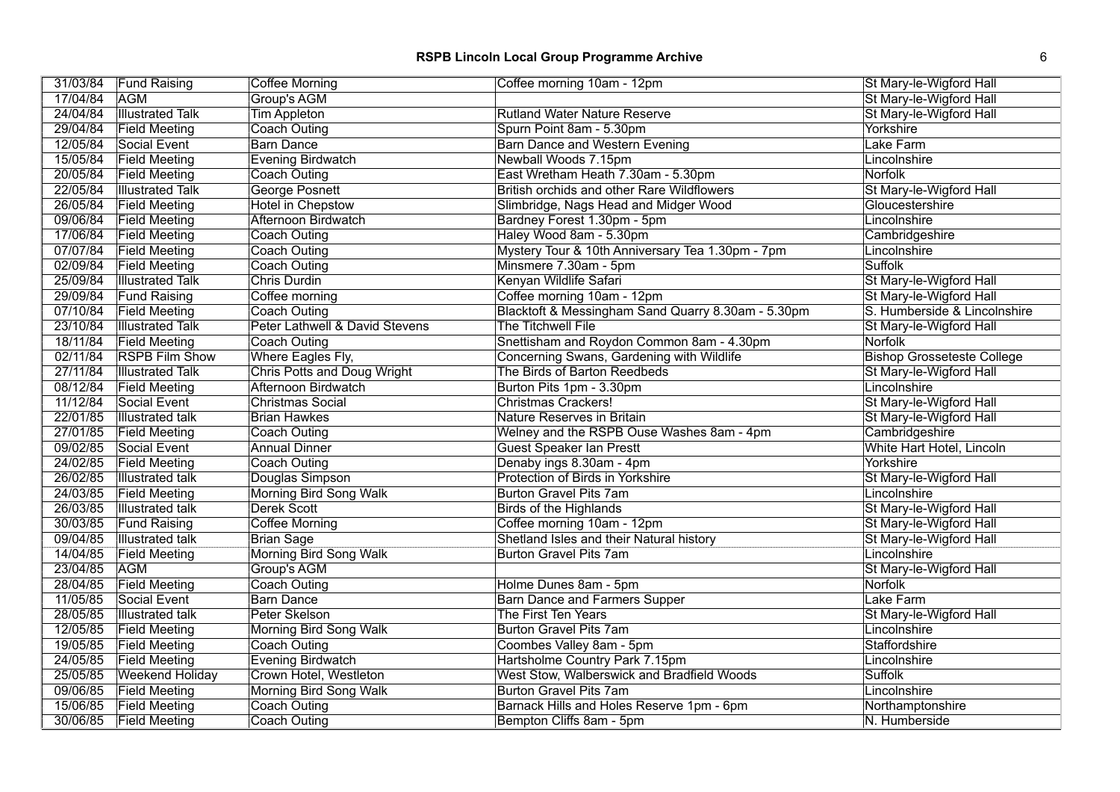| 31/03/84<br><b>Coffee Morning</b><br><b>Fund Raising</b><br>Coffee morning 10am - 12pm                        | St Mary-le-Wigford Hall           |
|---------------------------------------------------------------------------------------------------------------|-----------------------------------|
| 17/04/84<br><b>AGM</b><br><b>Group's AGM</b>                                                                  | St Mary-le-Wigford Hall           |
| 24/04/84<br><b>Illustrated Talk</b><br><b>Tim Appleton</b><br><b>Rutland Water Nature Reserve</b>             | St Mary-le-Wigford Hall           |
| 29/04/84<br><b>Field Meeting</b><br><b>Coach Outing</b><br>Spurn Point 8am - 5.30pm                           | Yorkshire                         |
| 12/05/84<br>Social Event<br><b>Barn Dance</b><br><b>Barn Dance and Western Evening</b>                        | Lake Farm                         |
| 15/05/84<br><b>Field Meeting</b><br><b>Evening Birdwatch</b><br>Newball Woods 7.15pm                          | Lincolnshire                      |
| 20/05/84<br>East Wretham Heath 7.30am - 5.30pm<br><b>Field Meeting</b><br>Coach Outing                        | Norfolk                           |
| 22/05/84<br><b>Illustrated Talk</b><br>George Posnett<br><b>British orchids and other Rare Wildflowers</b>    | St Mary-le-Wigford Hall           |
| 26/05/84<br><b>Hotel in Chepstow</b><br>Slimbridge, Nags Head and Midger Wood<br><b>Field Meeting</b>         | Gloucestershire                   |
| 09/06/84<br>Afternoon Birdwatch<br><b>Field Meeting</b><br>Bardney Forest 1.30pm - 5pm                        | Lincolnshire                      |
| 17/06/84<br>Haley Wood 8am - 5.30pm<br><b>Field Meeting</b><br><b>Coach Outing</b>                            | Cambridgeshire                    |
| 07/07/84<br>Mystery Tour & 10th Anniversary Tea 1.30pm - 7pm<br><b>Field Meeting</b><br>Coach Outing          | Lincolnshire                      |
| 02/09/84<br><b>Field Meeting</b><br>Minsmere 7.30am - 5pm<br><b>Coach Outing</b>                              | Suffolk                           |
| 25/09/84<br>Kenyan Wildlife Safari<br><b>Illustrated Talk</b><br>Chris Durdin                                 | St Mary-le-Wigford Hall           |
| 29/09/84<br>Coffee morning 10am - 12pm<br><b>Fund Raising</b><br>Coffee morning                               | St Mary-le-Wigford Hall           |
| 07/10/84<br>Blacktoft & Messingham Sand Quarry 8.30am - 5.30pm<br><b>Field Meeting</b><br><b>Coach Outing</b> | S. Humberside & Lincolnshire      |
| 23/10/84<br>Peter Lathwell & David Stevens<br>The Titchwell File<br><b>Illustrated Talk</b>                   | St Mary-le-Wigford Hall           |
| 18/11/84<br>Snettisham and Roydon Common 8am - 4.30pm<br>Coach Outing<br><b>Field Meeting</b>                 | Norfolk                           |
| 02/11/84<br>Where Eagles Fly,<br><b>RSPB Film Show</b><br>Concerning Swans, Gardening with Wildlife           | <b>Bishop Grosseteste College</b> |
| 27/11/84<br>Chris Potts and Doug Wright<br>The Birds of Barton Reedbeds<br><b>Illustrated Talk</b>            | St Mary-le-Wigford Hall           |
| 08/12/84<br>Afternoon Birdwatch<br><b>Field Meeting</b><br>Burton Pits 1pm - 3.30pm                           | Lincolnshire                      |
| 11/12/84<br><b>Christmas Social</b><br>Social Event<br><b>Christmas Crackers!</b>                             | St Mary-le-Wigford Hall           |
| 22/01/85<br><b>Illustrated talk</b><br>Nature Reserves in Britain<br><b>Brian Hawkes</b>                      | St Mary-le-Wigford Hall           |
| 27/01/85<br><b>Field Meeting</b><br>Coach Outing<br>Welney and the RSPB Ouse Washes 8am - 4pm                 | Cambridgeshire                    |
| 09/02/85<br><b>Guest Speaker Ian Prestt</b><br>Social Event<br><b>Annual Dinner</b>                           | White Hart Hotel, Lincoln         |
| 24/02/85<br>Denaby ings 8.30am - 4pm<br><b>Field Meeting</b><br><b>Coach Outing</b>                           | Yorkshire                         |
| 26/02/85<br><b>Illustrated talk</b><br>Douglas Simpson<br>Protection of Birds in Yorkshire                    | St Mary-le-Wigford Hall           |
| 24/03/85<br><b>Field Meeting</b><br><b>Morning Bird Song Walk</b><br>Burton Gravel Pits 7am                   | Lincolnshire                      |
| 26/03/85<br><b>Illustrated talk</b><br><b>Derek Scott</b><br>Birds of the Highlands                           | St Mary-le-Wigford Hall           |
| 30/03/85<br><b>Coffee Morning</b><br><b>Fund Raising</b><br>Coffee morning 10am - 12pm                        | St Mary-le-Wigford Hall           |
| 09/04/85<br><b>Illustrated talk</b><br><b>Brian Sage</b><br>Shetland Isles and their Natural history          | St Mary-le-Wigford Hall           |
| 14/04/85<br>Morning Bird Song Walk<br><b>Field Meeting</b><br><b>Burton Gravel Pits 7am</b>                   | Lincolnshire                      |
| 23/04/85<br><b>AGM</b><br>Group's AGM                                                                         | St Mary-le-Wigford Hall           |
| 28/04/85<br><b>Coach Outing</b><br><b>Field Meeting</b><br>Holme Dunes 8am - 5pm                              | Norfolk                           |
| 11/05/85<br>Social Event<br><b>Barn Dance</b><br><b>Barn Dance and Farmers Supper</b>                         | Lake Farm                         |
| 28/05/85<br>Peter Skelson<br>The First Ten Years<br>Illustrated talk                                          | St Mary-le-Wigford Hall           |
| 12/05/85<br><b>Burton Gravel Pits 7am</b><br><b>Field Meeting</b><br>Morning Bird Song Walk                   | Lincolnshire                      |
| 19/05/85<br><b>Field Meeting</b><br><b>Coach Outing</b><br>Coombes Valley 8am - 5pm                           | Staffordshire                     |
| 24/05/85<br><b>Evening Birdwatch</b><br>Hartsholme Country Park 7.15pm<br><b>Field Meeting</b>                | Lincolnshire                      |
| 25/05/85<br><b>Weekend Holiday</b><br>Crown Hotel, Westleton<br>West Stow, Walberswick and Bradfield Woods    | Suffolk                           |
| 09/06/85<br><b>Field Meeting</b><br>Morning Bird Song Walk<br><b>Burton Gravel Pits 7am</b>                   | Lincolnshire                      |
| 15/06/85<br><b>Coach Outing</b><br><b>Field Meeting</b><br>Barnack Hills and Holes Reserve 1pm - 6pm          | Northamptonshire                  |
| 30/06/85<br>Coach Outing<br><b>Field Meeting</b><br>Bempton Cliffs 8am - 5pm                                  | N. Humberside                     |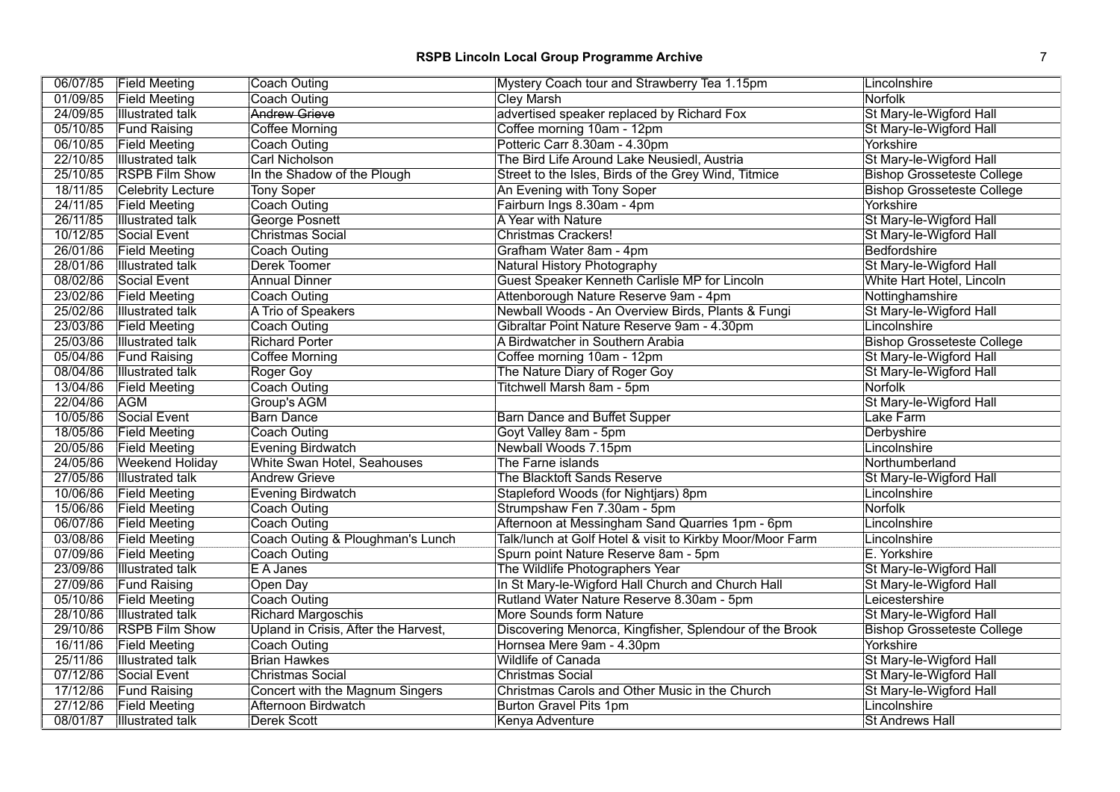# **RSPB Lincoln Local Group Programme Archive** 7

|          | 06/07/85 Field Meeting   | Coach Outing                         | Mystery Coach tour and Strawberry Tea 1.15pm              | Lincolnshire                      |
|----------|--------------------------|--------------------------------------|-----------------------------------------------------------|-----------------------------------|
| 01/09/85 | <b>Field Meeting</b>     | Coach Outing                         | Cley Marsh                                                | Norfolk                           |
| 24/09/85 | <b>Illustrated talk</b>  | <b>Andrew Grieve</b>                 | advertised speaker replaced by Richard Fox                | St Mary-le-Wigford Hall           |
| 05/10/85 | <b>Fund Raising</b>      | <b>Coffee Morning</b>                | Coffee morning 10am - 12pm                                | St Mary-le-Wigford Hall           |
| 06/10/85 | <b>Field Meeting</b>     | Coach Outing                         | Potteric Carr 8.30am - 4.30pm                             | Yorkshire                         |
| 22/10/85 | <b>Illustrated talk</b>  | Carl Nicholson                       | The Bird Life Around Lake Neusiedl, Austria               | St Mary-le-Wigford Hall           |
| 25/10/85 | <b>RSPB Film Show</b>    | In the Shadow of the Plough          | Street to the Isles, Birds of the Grey Wind, Titmice      | <b>Bishop Grosseteste College</b> |
| 18/11/85 | <b>Celebrity Lecture</b> | <b>Tony Soper</b>                    | An Evening with Tony Soper                                | <b>Bishop Grosseteste College</b> |
| 24/11/85 | <b>Field Meeting</b>     | Coach Outing                         | Fairburn Ings 8.30am - 4pm                                | Yorkshire                         |
| 26/11/85 | <b>Illustrated talk</b>  | George Posnett                       | A Year with Nature                                        | St Mary-le-Wigford Hall           |
| 10/12/85 | Social Event             | <b>Christmas Social</b>              | <b>Christmas Crackers!</b>                                | St Mary-le-Wigford Hall           |
| 26/01/86 | <b>Field Meeting</b>     | Coach Outing                         | Grafham Water 8am - 4pm                                   | Bedfordshire                      |
| 28/01/86 | <b>Illustrated talk</b>  | Derek Toomer                         | Natural History Photography                               | St Mary-le-Wigford Hall           |
| 08/02/86 | Social Event             | <b>Annual Dinner</b>                 | Guest Speaker Kenneth Carlisle MP for Lincoln             | White Hart Hotel, Lincoln         |
| 23/02/86 | <b>Field Meeting</b>     | Coach Outing                         | Attenborough Nature Reserve 9am - 4pm                     | Nottinghamshire                   |
| 25/02/86 | <b>Illustrated talk</b>  | A Trio of Speakers                   | Newball Woods - An Overview Birds, Plants & Fungi         | St Mary-le-Wigford Hall           |
| 23/03/86 | <b>Field Meeting</b>     | Coach Outing                         | Gibraltar Point Nature Reserve 9am - 4.30pm               | Lincolnshire                      |
| 25/03/86 | <b>Illustrated talk</b>  | <b>Richard Porter</b>                | A Birdwatcher in Southern Arabia                          | <b>Bishop Grosseteste College</b> |
| 05/04/86 | <b>Fund Raising</b>      | <b>Coffee Morning</b>                | Coffee morning 10am - 12pm                                | St Mary-le-Wigford Hall           |
| 08/04/86 | <b>Illustrated talk</b>  | Roger Goy                            | The Nature Diary of Roger Goy                             | St Mary-le-Wigford Hall           |
| 13/04/86 | <b>Field Meeting</b>     | Coach Outing                         | Titchwell Marsh 8am - 5pm                                 | <b>Norfolk</b>                    |
| 22/04/86 | <b>AGM</b>               | Group's AGM                          |                                                           | St Mary-le-Wigford Hall           |
| 10/05/86 | Social Event             | <b>Barn Dance</b>                    | <b>Barn Dance and Buffet Supper</b>                       | Lake Farm                         |
| 18/05/86 | <b>Field Meeting</b>     | Coach Outing                         | Goyt Valley 8am - 5pm                                     | Derbyshire                        |
| 20/05/86 | <b>Field Meeting</b>     | Evening Birdwatch                    | Newball Woods 7.15pm                                      | Lincolnshire                      |
| 24/05/86 | <b>Weekend Holiday</b>   | White Swan Hotel, Seahouses          | The Farne islands                                         | Northumberland                    |
| 27/05/86 | <b>Illustrated talk</b>  | <b>Andrew Grieve</b>                 | The Blacktoft Sands Reserve                               | St Mary-le-Wigford Hall           |
| 10/06/86 | <b>Field Meeting</b>     | Evening Birdwatch                    | Stapleford Woods (for Nightjars) 8pm                      | Lincolnshire                      |
| 15/06/86 | <b>Field Meeting</b>     | Coach Outing                         | Strumpshaw Fen 7.30am - 5pm                               | <b>Norfolk</b>                    |
| 06/07/86 | <b>Field Meeting</b>     | <b>Coach Outing</b>                  | Afternoon at Messingham Sand Quarries 1pm - 6pm           | Lincolnshire                      |
| 03/08/86 | <b>Field Meeting</b>     | Coach Outing & Ploughman's Lunch     | Talk/lunch at Golf Hotel & visit to Kirkby Moor/Moor Farm | Lincolnshire                      |
| 07/09/86 | <b>Field Meeting</b>     | Coach Outing                         | Spurn point Nature Reserve 8am - 5pm                      | E. Yorkshire                      |
| 23/09/86 | <b>Illustrated talk</b>  | E A Janes                            | The Wildlife Photographers Year                           | St Mary-le-Wigford Hall           |
| 27/09/86 | <b>Fund Raising</b>      | Open Day                             | In St Mary-le-Wigford Hall Church and Church Hall         | St Mary-le-Wigford Hall           |
| 05/10/86 | <b>Field Meeting</b>     | Coach Outing                         | Rutland Water Nature Reserve 8.30am - 5pm                 | Leicestershire                    |
| 28/10/86 | <b>Illustrated talk</b>  | <b>Richard Margoschis</b>            | More Sounds form Nature                                   | St Mary-le-Wigford Hall           |
| 29/10/86 | <b>RSPB Film Show</b>    | Upland in Crisis, After the Harvest, | Discovering Menorca, Kingfisher, Splendour of the Brook   | <b>Bishop Grosseteste College</b> |
| 16/11/86 | <b>Field Meeting</b>     | Coach Outing                         | Hornsea Mere 9am - 4.30pm                                 | Yorkshire                         |
| 25/11/86 | <b>Illustrated talk</b>  | <b>Brian Hawkes</b>                  | Wildlife of Canada                                        | St Mary-le-Wigford Hall           |
| 07/12/86 | Social Event             | Christmas Social                     | <b>Christmas Social</b>                                   | St Mary-le-Wigford Hall           |
| 17/12/86 | <b>Fund Raising</b>      | Concert with the Magnum Singers      | Christmas Carols and Other Music in the Church            | St Mary-le-Wigford Hall           |
| 27/12/86 | <b>Field Meeting</b>     | Afternoon Birdwatch                  | <b>Burton Gravel Pits 1pm</b>                             | Lincolnshire                      |
| 08/01/87 | <b>Illustrated talk</b>  | <b>Derek Scott</b>                   | Kenya Adventure                                           | <b>St Andrews Hall</b>            |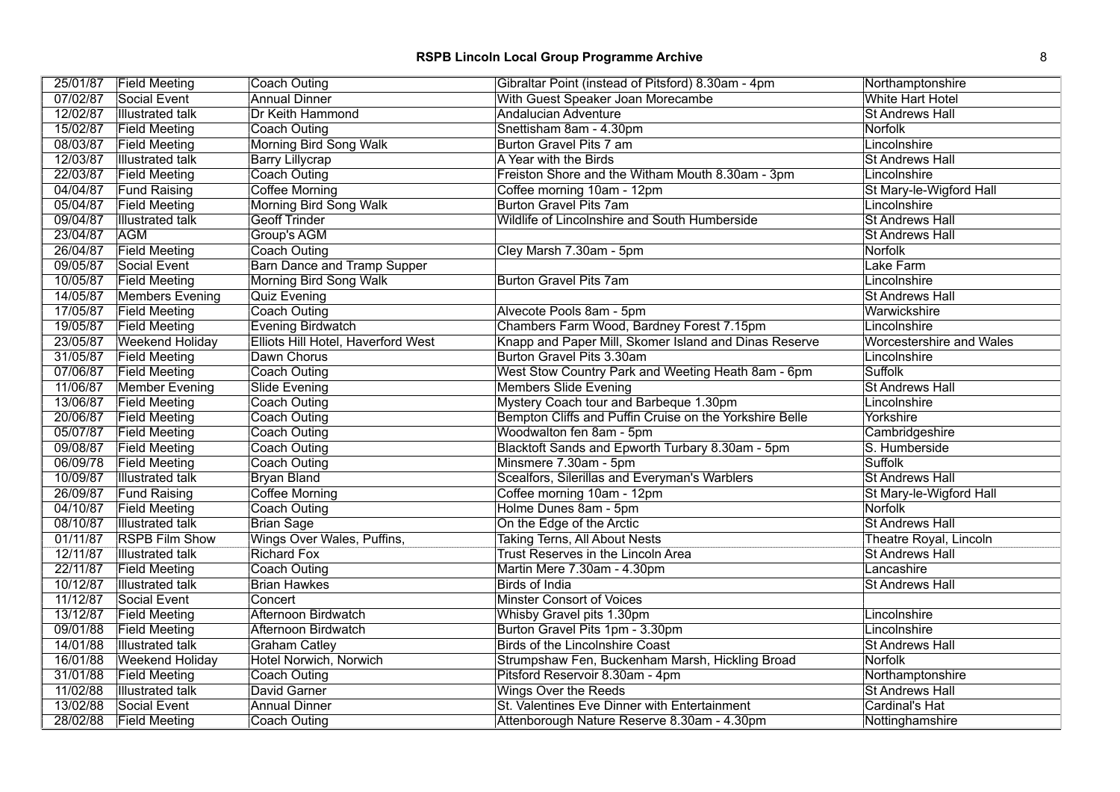|          | 25/01/87 Field Meeting  | Coach Outing                       | Gibraltar Point (instead of Pitsford) 8.30am - 4pm      | Northamptonshire                |
|----------|-------------------------|------------------------------------|---------------------------------------------------------|---------------------------------|
| 07/02/87 | Social Event            | <b>Annual Dinner</b>               | With Guest Speaker Joan Morecambe                       | <b>White Hart Hotel</b>         |
| 12/02/87 | <b>Illustrated talk</b> | Dr Keith Hammond                   | <b>Andalucian Adventure</b>                             | <b>St Andrews Hall</b>          |
| 15/02/87 | <b>Field Meeting</b>    | Coach Outing                       | Snettisham 8am - 4.30pm                                 | Norfolk                         |
| 08/03/87 | <b>Field Meeting</b>    | Morning Bird Song Walk             | Burton Gravel Pits 7 am                                 | Lincolnshire                    |
| 12/03/87 | <b>Illustrated talk</b> | <b>Barry Lillycrap</b>             | A Year with the Birds                                   | <b>St Andrews Hall</b>          |
| 22/03/87 | <b>Field Meeting</b>    | <b>Coach Outing</b>                | Freiston Shore and the Witham Mouth 8.30am - 3pm        | Lincolnshire                    |
| 04/04/87 | <b>Fund Raising</b>     | Coffee Morning                     | Coffee morning 10am - 12pm                              | St Mary-le-Wigford Hall         |
| 05/04/87 | <b>Field Meeting</b>    | Morning Bird Song Walk             | <b>Burton Gravel Pits 7am</b>                           | Lincolnshire                    |
| 09/04/87 | <b>Illustrated talk</b> | <b>Geoff Trinder</b>               | Wildlife of Lincolnshire and South Humberside           | <b>St Andrews Hall</b>          |
| 23/04/87 | <b>AGM</b>              | Group's AGM                        |                                                         | <b>St Andrews Hall</b>          |
| 26/04/87 | <b>Field Meeting</b>    | Coach Outing                       | Cley Marsh 7.30am - 5pm                                 | <b>Norfolk</b>                  |
| 09/05/87 | Social Event            | <b>Barn Dance and Tramp Supper</b> |                                                         | Lake Farm                       |
| 10/05/87 | <b>Field Meeting</b>    | Morning Bird Song Walk             | <b>Burton Gravel Pits 7am</b>                           | Lincolnshire                    |
| 14/05/87 | Members Evening         | Quiz Evening                       |                                                         | <b>St Andrews Hall</b>          |
| 17/05/87 | <b>Field Meeting</b>    | Coach Outing                       | Alvecote Pools 8am - 5pm                                | Warwickshire                    |
| 19/05/87 | <b>Field Meeting</b>    | Evening Birdwatch                  | Chambers Farm Wood, Bardney Forest 7.15pm               | Lincolnshire                    |
| 23/05/87 | <b>Weekend Holiday</b>  | Elliots Hill Hotel, Haverford West | Knapp and Paper Mill, Skomer Island and Dinas Reserve   | <b>Worcestershire and Wales</b> |
| 31/05/87 | <b>Field Meeting</b>    | Dawn Chorus                        | Burton Gravel Pits 3.30am                               | Lincolnshire                    |
| 07/06/87 | <b>Field Meeting</b>    | Coach Outing                       | West Stow Country Park and Weeting Heath 8am - 6pm      | <b>Suffolk</b>                  |
| 11/06/87 | Member Evening          | Slide Evening                      | <b>Members Slide Evening</b>                            | <b>St Andrews Hall</b>          |
| 13/06/87 | <b>Field Meeting</b>    | Coach Outing                       | Mystery Coach tour and Barbeque 1.30pm                  | Lincolnshire                    |
| 20/06/87 | <b>Field Meeting</b>    | Coach Outing                       | Bempton Cliffs and Puffin Cruise on the Yorkshire Belle | Yorkshire                       |
| 05/07/87 | <b>Field Meeting</b>    | Coach Outing                       | Woodwalton fen 8am - 5pm                                | Cambridgeshire                  |
| 09/08/87 | <b>Field Meeting</b>    | Coach Outing                       | Blacktoft Sands and Epworth Turbary 8.30am - 5pm        | S. Humberside                   |
| 06/09/78 | <b>Field Meeting</b>    | <b>Coach Outing</b>                | Minsmere 7.30am - 5pm                                   | <b>Suffolk</b>                  |
| 10/09/87 | <b>Illustrated talk</b> | <b>Bryan Bland</b>                 | Scealfors, Silerillas and Everyman's Warblers           | <b>St Andrews Hall</b>          |
| 26/09/87 | <b>Fund Raising</b>     | Coffee Morning                     | Coffee morning 10am - 12pm                              | St Mary-le-Wigford Hall         |
| 04/10/87 | <b>Field Meeting</b>    | Coach Outing                       | Holme Dunes 8am - 5pm                                   | Norfolk                         |
| 08/10/87 | <b>Illustrated talk</b> | <b>Brian Sage</b>                  | On the Edge of the Arctic                               | <b>St Andrews Hall</b>          |
| 01/11/87 | <b>RSPB Film Show</b>   | Wings Over Wales, Puffins,         | <b>Taking Terns, All About Nests</b>                    | Theatre Royal, Lincoln          |
| 12/11/87 | <b>Illustrated talk</b> | <b>Richard Fox</b>                 | Trust Reserves in the Lincoln Area                      | <b>St Andrews Hall</b>          |
| 22/11/87 | <b>Field Meeting</b>    | Coach Outing                       | Martin Mere 7.30am - 4.30pm                             | Lancashire                      |
| 10/12/87 | <b>Illustrated talk</b> | <b>Brian Hawkes</b>                | <b>Birds of India</b>                                   | <b>St Andrews Hall</b>          |
| 11/12/87 | Social Event            | Concert                            | <b>Minster Consort of Voices</b>                        |                                 |
| 13/12/87 | <b>Field Meeting</b>    | Afternoon Birdwatch                | Whisby Gravel pits 1.30pm                               | Lincolnshire                    |
| 09/01/88 | <b>Field Meeting</b>    | Afternoon Birdwatch                | Burton Gravel Pits 1pm - 3.30pm                         | Lincolnshire                    |
| 14/01/88 | <b>Illustrated talk</b> | <b>Graham Catley</b>               | Birds of the Lincolnshire Coast                         | <b>St Andrews Hall</b>          |
| 16/01/88 | <b>Weekend Holiday</b>  | Hotel Norwich, Norwich             | Strumpshaw Fen, Buckenham Marsh, Hickling Broad         | Norfolk                         |
| 31/01/88 | <b>Field Meeting</b>    | Coach Outing                       | Pitsford Reservoir 8.30am - 4pm                         | Northamptonshire                |
| 11/02/88 | <b>Illustrated talk</b> | David Garner                       | <b>Wings Over the Reeds</b>                             | <b>St Andrews Hall</b>          |
| 13/02/88 | Social Event            | <b>Annual Dinner</b>               | St. Valentines Eve Dinner with Entertainment            | Cardinal's Hat                  |
| 28/02/88 | <b>Field Meeting</b>    | Coach Outing                       | Attenborough Nature Reserve 8.30am - 4.30pm             | Nottinghamshire                 |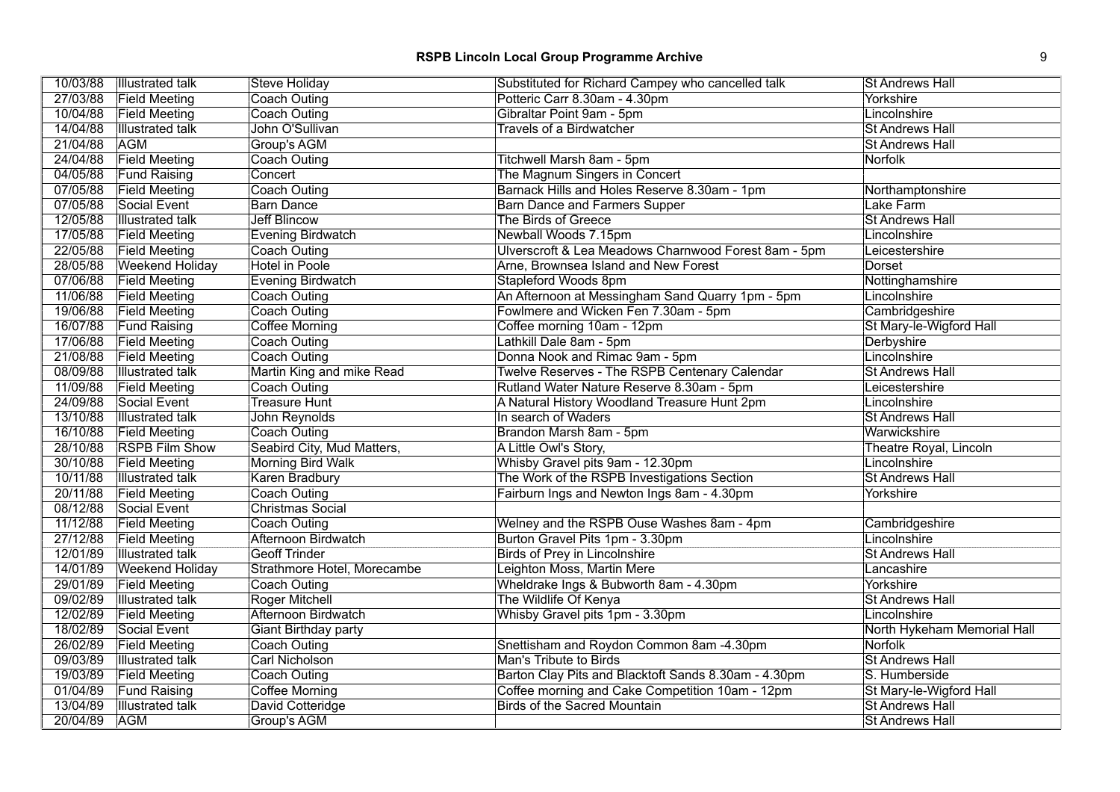| 10/03/88 | <b>Illustrated talk</b> | <b>Steve Holiday</b>        | Substituted for Richard Campey who cancelled talk    | <b>St Andrews Hall</b>      |
|----------|-------------------------|-----------------------------|------------------------------------------------------|-----------------------------|
| 27/03/88 | <b>Field Meeting</b>    | Coach Outing                | Potteric Carr 8.30am - 4.30pm                        | Yorkshire                   |
| 10/04/88 | <b>Field Meeting</b>    | Coach Outing                | Gibraltar Point 9am - 5pm                            | Lincolnshire                |
| 14/04/88 | <b>Illustrated talk</b> | John O'Sullivan             | <b>Travels of a Birdwatcher</b>                      | <b>St Andrews Hall</b>      |
| 21/04/88 | <b>AGM</b>              | Group's AGM                 |                                                      | <b>St Andrews Hall</b>      |
| 24/04/88 | <b>Field Meeting</b>    | <b>Coach Outing</b>         | Titchwell Marsh 8am - 5pm                            | Norfolk                     |
| 04/05/88 | <b>Fund Raising</b>     | Concert                     | The Magnum Singers in Concert                        |                             |
| 07/05/88 | <b>Field Meeting</b>    | Coach Outing                | Barnack Hills and Holes Reserve 8.30am - 1pm         | Northamptonshire            |
| 07/05/88 | Social Event            | <b>Barn Dance</b>           | <b>Barn Dance and Farmers Supper</b>                 | Lake Farm                   |
| 12/05/88 | <b>Illustrated talk</b> | <b>Jeff Blincow</b>         | The Birds of Greece                                  | <b>St Andrews Hall</b>      |
| 17/05/88 | <b>Field Meeting</b>    | <b>Evening Birdwatch</b>    | Newball Woods 7.15pm                                 | Lincolnshire                |
| 22/05/88 | <b>Field Meeting</b>    | Coach Outing                | Ulverscroft & Lea Meadows Charnwood Forest 8am - 5pm | Leicestershire              |
| 28/05/88 | <b>Weekend Holiday</b>  | <b>Hotel in Poole</b>       | Arne, Brownsea Island and New Forest                 | Dorset                      |
| 07/06/88 | <b>Field Meeting</b>    | Evening Birdwatch           | Stapleford Woods 8pm                                 | Nottinghamshire             |
| 11/06/88 | <b>Field Meeting</b>    | Coach Outing                | An Afternoon at Messingham Sand Quarry 1pm - 5pm     | Lincolnshire                |
| 19/06/88 | <b>Field Meeting</b>    | <b>Coach Outing</b>         | Fowlmere and Wicken Fen 7.30am - 5pm                 | Cambridgeshire              |
| 16/07/88 | <b>Fund Raising</b>     | Coffee Morning              | Coffee morning 10am - 12pm                           | St Mary-le-Wigford Hall     |
| 17/06/88 | <b>Field Meeting</b>    | <b>Coach Outing</b>         | Lathkill Dale 8am - 5pm                              | Derbyshire                  |
| 21/08/88 | <b>Field Meeting</b>    | Coach Outing                | Donna Nook and Rimac 9am - 5pm                       | Lincolnshire                |
| 08/09/88 | <b>Illustrated talk</b> | Martin King and mike Read   | Twelve Reserves - The RSPB Centenary Calendar        | <b>St Andrews Hall</b>      |
| 11/09/88 | <b>Field Meeting</b>    | <b>Coach Outing</b>         | Rutland Water Nature Reserve 8.30am - 5pm            | Leicestershire              |
| 24/09/88 | Social Event            | <b>Treasure Hunt</b>        | A Natural History Woodland Treasure Hunt 2pm         | Lincolnshire                |
| 13/10/88 | <b>Illustrated talk</b> | John Reynolds               | In search of Waders                                  | <b>St Andrews Hall</b>      |
| 16/10/88 | <b>Field Meeting</b>    | Coach Outing                | Brandon Marsh 8am - 5pm                              | Warwickshire                |
| 28/10/88 | <b>RSPB Film Show</b>   | Seabird City, Mud Matters,  | A Little Owl's Story,                                | Theatre Royal, Lincoln      |
| 30/10/88 | <b>Field Meeting</b>    | <b>Morning Bird Walk</b>    | Whisby Gravel pits 9am - 12.30pm                     | Lincolnshire                |
| 10/11/88 | <b>Illustrated talk</b> | Karen Bradbury              | The Work of the RSPB Investigations Section          | <b>St Andrews Hall</b>      |
| 20/11/88 | <b>Field Meeting</b>    | Coach Outing                | Fairburn Ings and Newton Ings 8am - 4.30pm           | Yorkshire                   |
| 08/12/88 | Social Event            | <b>Christmas Social</b>     |                                                      |                             |
| 11/12/88 | <b>Field Meeting</b>    | Coach Outing                | Welney and the RSPB Ouse Washes 8am - 4pm            | Cambridgeshire              |
| 27/12/88 | <b>Field Meeting</b>    | Afternoon Birdwatch         | Burton Gravel Pits 1pm - 3.30pm                      | Lincolnshire                |
| 12/01/89 | <b>Illustrated talk</b> | <b>Geoff Trinder</b>        | <b>Birds of Prey in Lincolnshire</b>                 | <b>St Andrews Hall</b>      |
| 14/01/89 | <b>Weekend Holiday</b>  | Strathmore Hotel, Morecambe | Leighton Moss, Martin Mere                           | Lancashire                  |
| 29/01/89 | <b>Field Meeting</b>    | <b>Coach Outing</b>         | Wheldrake Ings & Bubworth 8am - 4.30pm               | Yorkshire                   |
| 09/02/89 | <b>Illustrated talk</b> | Roger Mitchell              | The Wildlife Of Kenya                                | <b>St Andrews Hall</b>      |
| 12/02/89 | <b>Field Meeting</b>    | <b>Afternoon Birdwatch</b>  | Whisby Gravel pits 1pm - 3.30pm                      | Lincolnshire                |
| 18/02/89 | Social Event            | Giant Birthday party        |                                                      | North Hykeham Memorial Hall |
| 26/02/89 | <b>Field Meeting</b>    | <b>Coach Outing</b>         | Snettisham and Roydon Common 8am -4.30pm             | Norfolk                     |
| 09/03/89 | <b>Illustrated talk</b> | Carl Nicholson              | Man's Tribute to Birds                               | <b>St Andrews Hall</b>      |
| 19/03/89 | <b>Field Meeting</b>    | Coach Outing                | Barton Clay Pits and Blacktoft Sands 8.30am - 4.30pm | S. Humberside               |
| 01/04/89 | <b>Fund Raising</b>     | <b>Coffee Morning</b>       | Coffee morning and Cake Competition 10am - 12pm      | St Mary-le-Wigford Hall     |
| 13/04/89 | <b>Illustrated talk</b> | David Cotteridge            | <b>Birds of the Sacred Mountain</b>                  | <b>St Andrews Hall</b>      |
| 20/04/89 | <b>AGM</b>              | Group's AGM                 |                                                      | St Andrews Hall             |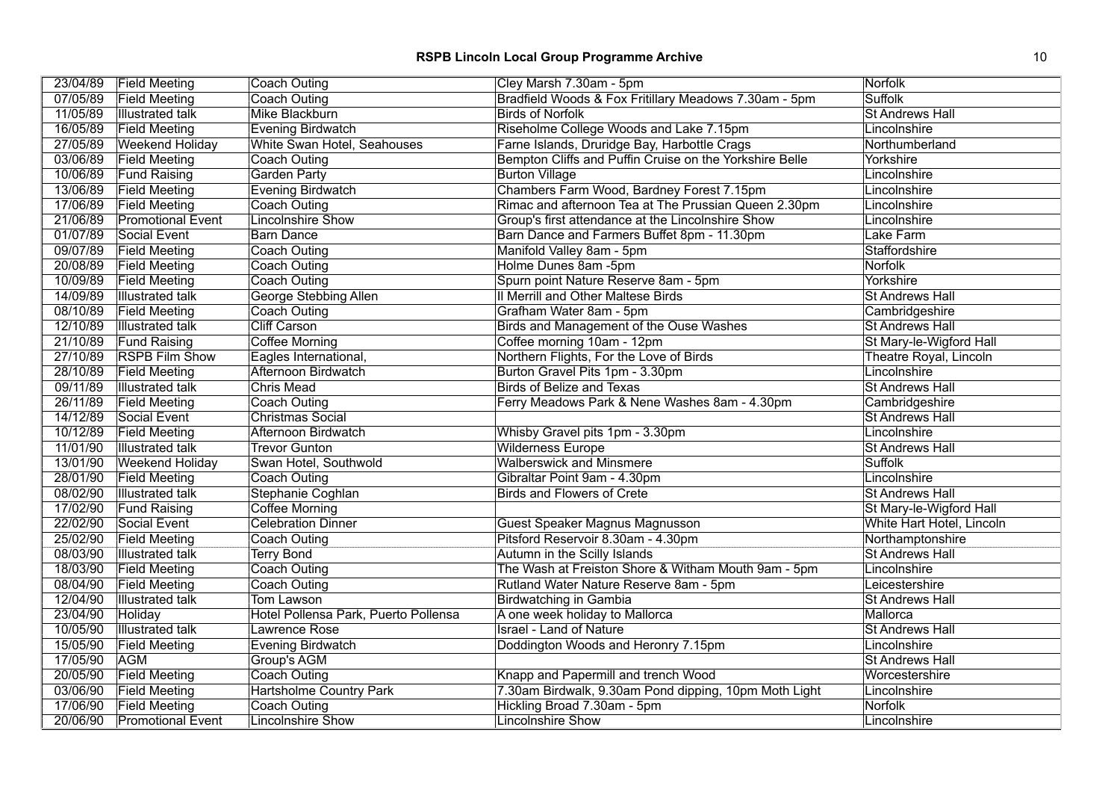# **RSPB Lincoln Local Group Programme Archive** 10 10

| 23/04/89 | <b>Field Meeting</b>     | Coach Outing                         | Cley Marsh 7.30am - 5pm                                 | Norfolk                   |
|----------|--------------------------|--------------------------------------|---------------------------------------------------------|---------------------------|
| 07/05/89 | <b>Field Meeting</b>     | Coach Outing                         | Bradfield Woods & Fox Fritillary Meadows 7.30am - 5pm   | <b>Suffolk</b>            |
| 11/05/89 | <b>Illustrated talk</b>  | Mike Blackburn                       | <b>Birds of Norfolk</b>                                 | <b>St Andrews Hall</b>    |
| 16/05/89 | <b>Field Meeting</b>     | Evening Birdwatch                    | Riseholme College Woods and Lake 7.15pm                 | Lincolnshire              |
| 27/05/89 | <b>Weekend Holiday</b>   | White Swan Hotel, Seahouses          | Farne Islands, Druridge Bay, Harbottle Crags            | Northumberland            |
| 03/06/89 | <b>Field Meeting</b>     | Coach Outing                         | Bempton Cliffs and Puffin Cruise on the Yorkshire Belle | Yorkshire                 |
| 10/06/89 | <b>Fund Raising</b>      | <b>Garden Party</b>                  | <b>Burton Village</b>                                   | Lincolnshire              |
| 13/06/89 | <b>Field Meeting</b>     | Evening Birdwatch                    | Chambers Farm Wood, Bardney Forest 7.15pm               | Lincolnshire              |
| 17/06/89 | <b>Field Meeting</b>     | Coach Outing                         | Rimac and afternoon Tea at The Prussian Queen 2.30pm    | Lincolnshire              |
| 21/06/89 | <b>Promotional Event</b> | <b>Lincolnshire Show</b>             | Group's first attendance at the Lincolnshire Show       | Lincolnshire              |
| 01/07/89 | Social Event             | <b>Barn Dance</b>                    | Barn Dance and Farmers Buffet 8pm - 11.30pm             | Lake Farm                 |
| 09/07/89 | <b>Field Meeting</b>     | Coach Outing                         | Manifold Valley 8am - 5pm                               | Staffordshire             |
| 20/08/89 | <b>Field Meeting</b>     | Coach Outing                         | Holme Dunes 8am -5pm                                    | <b>Norfolk</b>            |
| 10/09/89 | <b>Field Meeting</b>     | Coach Outing                         | Spurn point Nature Reserve 8am - 5pm                    | Yorkshire                 |
| 14/09/89 | <b>Illustrated talk</b>  | <b>George Stebbing Allen</b>         | II Merrill and Other Maltese Birds                      | <b>St Andrews Hall</b>    |
| 08/10/89 | <b>Field Meeting</b>     | Coach Outing                         | Grafham Water 8am - 5pm                                 | Cambridgeshire            |
| 12/10/89 | <b>Illustrated talk</b>  | <b>Cliff Carson</b>                  | Birds and Management of the Ouse Washes                 | <b>St Andrews Hall</b>    |
| 21/10/89 | <b>Fund Raising</b>      | Coffee Morning                       | Coffee morning 10am - 12pm                              | St Mary-le-Wigford Hall   |
| 27/10/89 | <b>RSPB Film Show</b>    | Eagles International,                | Northern Flights, For the Love of Birds                 | Theatre Royal, Lincoln    |
| 28/10/89 | <b>Field Meeting</b>     | <b>Afternoon Birdwatch</b>           | Burton Gravel Pits 1pm - 3.30pm                         | Lincolnshire              |
| 09/11/89 | <b>Illustrated talk</b>  | <b>Chris Mead</b>                    | <b>Birds of Belize and Texas</b>                        | <b>St Andrews Hall</b>    |
| 26/11/89 | <b>Field Meeting</b>     | Coach Outing                         | Ferry Meadows Park & Nene Washes 8am - 4.30pm           | Cambridgeshire            |
| 14/12/89 | Social Event             | Christmas Social                     |                                                         | <b>St Andrews Hall</b>    |
| 10/12/89 | <b>Field Meeting</b>     | Afternoon Birdwatch                  | Whisby Gravel pits 1pm - 3.30pm                         | Lincolnshire              |
| 11/01/90 | <b>Illustrated talk</b>  | <b>Trevor Gunton</b>                 | <b>Wilderness Europe</b>                                | <b>St Andrews Hall</b>    |
| 13/01/90 | <b>Weekend Holiday</b>   | Swan Hotel, Southwold                | <b>Walberswick and Minsmere</b>                         | <b>Suffolk</b>            |
| 28/01/90 | <b>Field Meeting</b>     | Coach Outing                         | Gibraltar Point 9am - 4.30pm                            | Lincolnshire              |
| 08/02/90 | <b>Illustrated talk</b>  | Stephanie Coghlan                    | <b>Birds and Flowers of Crete</b>                       | <b>St Andrews Hall</b>    |
| 17/02/90 | <b>Fund Raising</b>      | Coffee Morning                       |                                                         | St Mary-le-Wigford Hall   |
| 22/02/90 | Social Event             | <b>Celebration Dinner</b>            | Guest Speaker Magnus Magnusson                          | White Hart Hotel, Lincoln |
| 25/02/90 | <b>Field Meeting</b>     | Coach Outing                         | Pitsford Reservoir 8.30am - 4.30pm                      | Northamptonshire          |
| 08/03/90 | <b>Illustrated talk</b>  | <b>Terry Bond</b>                    | Autumn in the Scilly Islands                            | <b>St Andrews Hall</b>    |
| 18/03/90 | <b>Field Meeting</b>     | Coach Outing                         | The Wash at Freiston Shore & Witham Mouth 9am - 5pm     | Lincolnshire              |
| 08/04/90 | <b>Field Meeting</b>     | Coach Outing                         | Rutland Water Nature Reserve 8am - 5pm                  | Leicestershire            |
| 12/04/90 | <b>Illustrated talk</b>  | Tom Lawson                           | <b>Birdwatching in Gambia</b>                           | <b>St Andrews Hall</b>    |
| 23/04/90 | Holiday                  | Hotel Pollensa Park, Puerto Pollensa | A one week holiday to Mallorca                          | Mallorca                  |
| 10/05/90 | <b>Illustrated talk</b>  | <b>Lawrence Rose</b>                 | <b>Israel - Land of Nature</b>                          | <b>St Andrews Hall</b>    |
| 15/05/90 | <b>Field Meeting</b>     | <b>Evening Birdwatch</b>             | Doddington Woods and Heronry 7.15pm                     | Lincolnshire              |
| 17/05/90 | <b>AGM</b>               | Group's AGM                          |                                                         | <b>St Andrews Hall</b>    |
| 20/05/90 | <b>Field Meeting</b>     | Coach Outing                         | Knapp and Papermill and trench Wood                     | Worcestershire            |
| 03/06/90 | <b>Field Meeting</b>     | <b>Hartsholme Country Park</b>       | 7.30am Birdwalk, 9.30am Pond dipping, 10pm Moth Light   | Lincolnshire              |
| 17/06/90 | <b>Field Meeting</b>     | Coach Outing                         | Hickling Broad 7.30am - 5pm                             | <b>Norfolk</b>            |
| 20/06/90 | <b>Promotional Event</b> | Lincolnshire Show                    | <b>Lincolnshire Show</b>                                | Lincolnshire              |
|          |                          |                                      |                                                         |                           |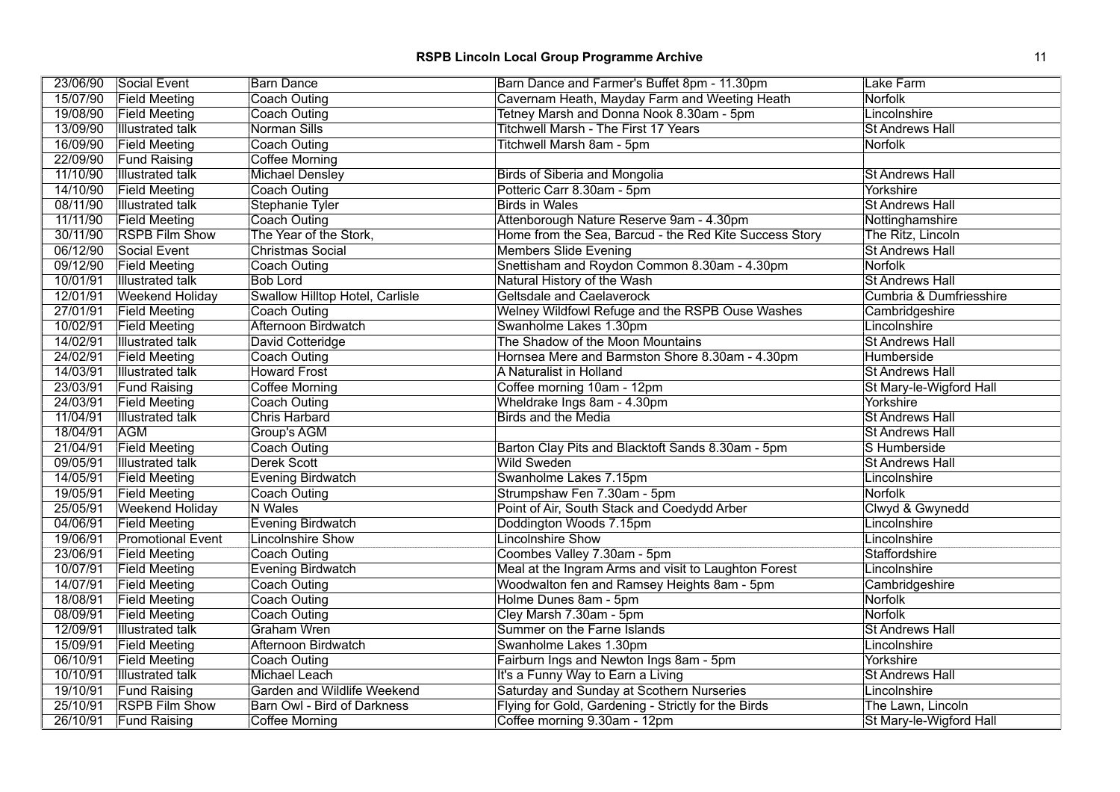|          | 23/06/90 Social Event    | <b>Barn Dance</b>               | Barn Dance and Farmer's Buffet 8pm - 11.30pm           | Lake Farm                          |
|----------|--------------------------|---------------------------------|--------------------------------------------------------|------------------------------------|
| 15/07/90 | <b>Field Meeting</b>     | <b>Coach Outing</b>             | Cavernam Heath, Mayday Farm and Weeting Heath          | Norfolk                            |
| 19/08/90 | <b>Field Meeting</b>     | Coach Outing                    | Tetney Marsh and Donna Nook 8.30am - 5pm               | Lincolnshire                       |
| 13/09/90 | <b>Illustrated talk</b>  | Norman Sills                    | <b>Titchwell Marsh - The First 17 Years</b>            | <b>St Andrews Hall</b>             |
| 16/09/90 | <b>Field Meeting</b>     | <b>Coach Outing</b>             | Titchwell Marsh 8am - 5pm                              | <b>Norfolk</b>                     |
| 22/09/90 | <b>Fund Raising</b>      | <b>Coffee Morning</b>           |                                                        |                                    |
| 11/10/90 | <b>Illustrated talk</b>  | <b>Michael Densley</b>          | <b>Birds of Siberia and Mongolia</b>                   | <b>St Andrews Hall</b>             |
| 14/10/90 | <b>Field Meeting</b>     | Coach Outing                    | Potteric Carr 8.30am - 5pm                             | Yorkshire                          |
| 08/11/90 | <b>Illustrated talk</b>  | <b>Stephanie Tyler</b>          | <b>Birds in Wales</b>                                  | <b>St Andrews Hall</b>             |
| 11/11/90 | <b>Field Meeting</b>     | Coach Outing                    | Attenborough Nature Reserve 9am - 4.30pm               | Nottinghamshire                    |
| 30/11/90 | <b>RSPB Film Show</b>    | The Year of the Stork,          | Home from the Sea, Barcud - the Red Kite Success Story | The Ritz, Lincoln                  |
| 06/12/90 | Social Event             | <b>Christmas Social</b>         | <b>Members Slide Evening</b>                           | <b>St Andrews Hall</b>             |
| 09/12/90 | <b>Field Meeting</b>     | Coach Outing                    | Snettisham and Roydon Common 8.30am - 4.30pm           | <b>Norfolk</b>                     |
| 10/01/91 | <b>Illustrated talk</b>  | <b>Bob Lord</b>                 | Natural History of the Wash                            | <b>St Andrews Hall</b>             |
| 12/01/91 | <b>Weekend Holiday</b>   | Swallow Hilltop Hotel, Carlisle | <b>Geltsdale and Caelaverock</b>                       | <b>Cumbria &amp; Dumfriesshire</b> |
| 27/01/91 | <b>Field Meeting</b>     | <b>Coach Outing</b>             | Welney Wildfowl Refuge and the RSPB Ouse Washes        | Cambridgeshire                     |
| 10/02/91 | <b>Field Meeting</b>     | Afternoon Birdwatch             | Swanholme Lakes 1.30pm                                 | Lincolnshire                       |
| 14/02/91 | <b>Illustrated talk</b>  | David Cotteridge                | The Shadow of the Moon Mountains                       | <b>St Andrews Hall</b>             |
| 24/02/91 | <b>Field Meeting</b>     | Coach Outing                    | Hornsea Mere and Barmston Shore 8.30am - 4.30pm        | Humberside                         |
| 14/03/91 | <b>Illustrated talk</b>  | <b>Howard Frost</b>             | A Naturalist in Holland                                | <b>St Andrews Hall</b>             |
| 23/03/91 | <b>Fund Raising</b>      | <b>Coffee Morning</b>           | Coffee morning 10am - 12pm                             | St Mary-le-Wigford Hall            |
| 24/03/91 | <b>Field Meeting</b>     | Coach Outing                    | Wheldrake Ings 8am - 4.30pm                            | Yorkshire                          |
| 11/04/91 | <b>Illustrated talk</b>  | <b>Chris Harbard</b>            | <b>Birds and the Media</b>                             | <b>St Andrews Hall</b>             |
| 18/04/91 | <b>AGM</b>               | Group's AGM                     |                                                        | <b>St Andrews Hall</b>             |
| 21/04/91 | <b>Field Meeting</b>     | <b>Coach Outing</b>             | Barton Clay Pits and Blacktoft Sands 8.30am - 5pm      | S Humberside                       |
| 09/05/91 | <b>Illustrated talk</b>  | <b>Derek Scott</b>              | <b>Wild Sweden</b>                                     | <b>St Andrews Hall</b>             |
| 14/05/91 | <b>Field Meeting</b>     | <b>Evening Birdwatch</b>        | Swanholme Lakes 7.15pm                                 | Lincolnshire                       |
| 19/05/91 | <b>Field Meeting</b>     | Coach Outing                    | Strumpshaw Fen 7.30am - 5pm                            | <b>Norfolk</b>                     |
| 25/05/91 | <b>Weekend Holiday</b>   | N Wales                         | Point of Air, South Stack and Coedydd Arber            | Clwyd & Gwynedd                    |
| 04/06/91 | <b>Field Meeting</b>     | <b>Evening Birdwatch</b>        | Doddington Woods 7.15pm                                | Lincolnshire                       |
| 19/06/91 | <b>Promotional Event</b> | <b>Lincolnshire Show</b>        | Lincolnshire Show                                      | Lincolnshire                       |
| 23/06/91 | <b>Field Meeting</b>     | Coach Outing                    | Coombes Valley 7.30am - 5pm                            | <b>Staffordshire</b>               |
| 10/07/91 | <b>Field Meeting</b>     | <b>Evening Birdwatch</b>        | Meal at the Ingram Arms and visit to Laughton Forest   | Lincolnshire                       |
| 14/07/91 | <b>Field Meeting</b>     | <b>Coach Outing</b>             | Woodwalton fen and Ramsey Heights 8am - 5pm            | Cambridgeshire                     |
| 18/08/91 | <b>Field Meeting</b>     | Coach Outing                    | Holme Dunes 8am - 5pm                                  | <b>Norfolk</b>                     |
| 08/09/91 | <b>Field Meeting</b>     | <b>Coach Outing</b>             | Cley Marsh 7.30am - 5pm                                | <b>Norfolk</b>                     |
| 12/09/91 | <b>Illustrated talk</b>  | <b>Graham Wren</b>              | Summer on the Farne Islands                            | <b>St Andrews Hall</b>             |
| 15/09/91 | <b>Field Meeting</b>     | Afternoon Birdwatch             | Swanholme Lakes 1.30pm                                 | Lincolnshire                       |
| 06/10/91 | <b>Field Meeting</b>     | Coach Outing                    | Fairburn Ings and Newton Ings 8am - 5pm                | Yorkshire                          |
| 10/10/91 | <b>Illustrated talk</b>  | Michael Leach                   | It's a Funny Way to Earn a Living                      | <b>St Andrews Hall</b>             |
| 19/10/91 | <b>Fund Raising</b>      | Garden and Wildlife Weekend     | Saturday and Sunday at Scothern Nurseries              | Lincolnshire                       |
| 25/10/91 | <b>RSPB Film Show</b>    | Barn Owl - Bird of Darkness     | Flying for Gold, Gardening - Strictly for the Birds    | The Lawn, Lincoln                  |
| 26/10/91 | <b>Fund Raising</b>      | Coffee Morning                  | Coffee morning 9.30am - 12pm                           | St Mary-le-Wigford Hall            |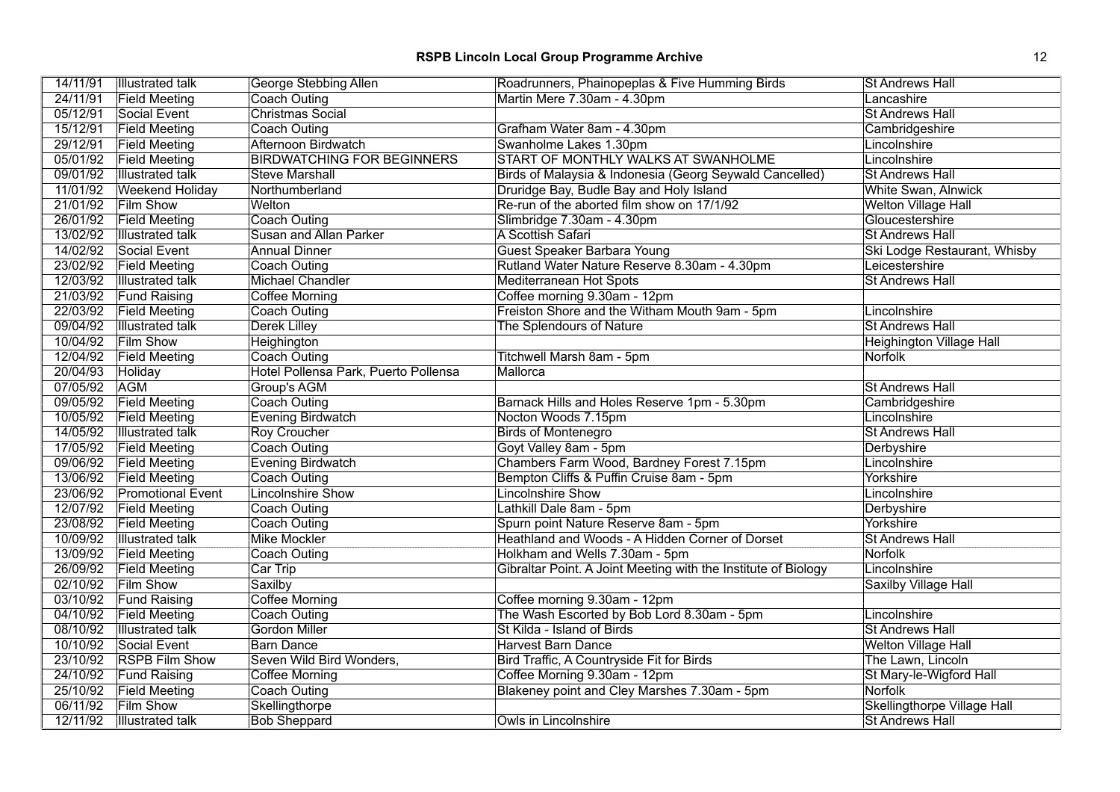| 14/11/91 | <b>Illustrated talk</b>  | George Stebbing Allen                | Roadrunners, Phainopeplas & Five Humming Birds                 | <b>St Andrews Hall</b>          |
|----------|--------------------------|--------------------------------------|----------------------------------------------------------------|---------------------------------|
| 24/11/91 | <b>Field Meeting</b>     | Coach Outing                         | Martin Mere 7.30am - 4.30pm                                    | Lancashire                      |
| 05/12/91 | Social Event             | <b>Christmas Social</b>              |                                                                | <b>St Andrews Hall</b>          |
| 15/12/91 | <b>Field Meeting</b>     | <b>Coach Outing</b>                  | Grafham Water 8am - 4.30pm                                     | Cambridgeshire                  |
| 29/12/91 | <b>Field Meeting</b>     | Afternoon Birdwatch                  | Swanholme Lakes 1.30pm                                         | Lincolnshire                    |
| 05/01/92 | <b>Field Meeting</b>     | <b>BIRDWATCHING FOR BEGINNERS</b>    | START OF MONTHLY WALKS AT SWANHOLME                            | Lincolnshire                    |
| 09/01/92 | <b>Illustrated talk</b>  | <b>Steve Marshall</b>                | Birds of Malaysia & Indonesia (Georg Seywald Cancelled)        | <b>St Andrews Hall</b>          |
| 11/01/92 | <b>Weekend Holiday</b>   | Northumberland                       | Druridge Bay, Budle Bay and Holy Island                        | White Swan, Alnwick             |
| 21/01/92 | <b>Film Show</b>         | Welton                               | Re-run of the aborted film show on 17/1/92                     | <b>Welton Village Hall</b>      |
| 26/01/92 | <b>Field Meeting</b>     | <b>Coach Outing</b>                  | Slimbridge 7.30am - 4.30pm                                     | Gloucestershire                 |
| 13/02/92 | <b>Illustrated talk</b>  | <b>Susan and Allan Parker</b>        | A Scottish Safari                                              | <b>St Andrews Hall</b>          |
| 14/02/92 | Social Event             | <b>Annual Dinner</b>                 | Guest Speaker Barbara Young                                    | Ski Lodge Restaurant, Whisby    |
| 23/02/92 | <b>Field Meeting</b>     | Coach Outing                         | Rutland Water Nature Reserve 8.30am - 4.30pm                   | Leicestershire                  |
| 12/03/92 | <b>Illustrated talk</b>  | Michael Chandler                     | Mediterranean Hot Spots                                        | <b>St Andrews Hall</b>          |
| 21/03/92 | <b>Fund Raising</b>      | <b>Coffee Morning</b>                | Coffee morning 9.30am - 12pm                                   |                                 |
| 22/03/92 | <b>Field Meeting</b>     | <b>Coach Outing</b>                  | Freiston Shore and the Witham Mouth 9am - 5pm                  | Lincolnshire                    |
| 09/04/92 | <b>Illustrated talk</b>  | <b>Derek Lilley</b>                  | The Splendours of Nature                                       | <b>St Andrews Hall</b>          |
| 10/04/92 | <b>Film Show</b>         | Heighington                          |                                                                | <b>Heighington Village Hall</b> |
| 12/04/92 | <b>Field Meeting</b>     | <b>Coach Outing</b>                  | Titchwell Marsh 8am - 5pm                                      | <b>Norfolk</b>                  |
| 20/04/93 | Holiday                  | Hotel Pollensa Park, Puerto Pollensa | Mallorca                                                       |                                 |
| 07/05/92 | <b>AGM</b>               | Group's AGM                          |                                                                | <b>St Andrews Hall</b>          |
| 09/05/92 | <b>Field Meeting</b>     | <b>Coach Outing</b>                  | Barnack Hills and Holes Reserve 1pm - 5.30pm                   | Cambridgeshire                  |
| 10/05/92 | <b>Field Meeting</b>     | <b>Evening Birdwatch</b>             | Nocton Woods 7.15pm                                            | Lincolnshire                    |
| 14/05/92 | <b>Illustrated talk</b>  | <b>Roy Croucher</b>                  | <b>Birds of Montenegro</b>                                     | <b>St Andrews Hall</b>          |
| 17/05/92 | <b>Field Meeting</b>     | <b>Coach Outing</b>                  | Goyt Valley 8am - 5pm                                          | Derbyshire                      |
| 09/06/92 | <b>Field Meeting</b>     | <b>Evening Birdwatch</b>             | Chambers Farm Wood, Bardney Forest 7.15pm                      | Lincolnshire                    |
| 13/06/92 | <b>Field Meeting</b>     | Coach Outing                         | Bempton Cliffs & Puffin Cruise 8am - 5pm                       | Yorkshire                       |
| 23/06/92 | <b>Promotional Event</b> | <b>Lincolnshire Show</b>             | <b>Lincolnshire Show</b>                                       | Lincolnshire                    |
| 12/07/92 | <b>Field Meeting</b>     | Coach Outing                         | Lathkill Dale 8am - 5pm                                        | Derbyshire                      |
| 23/08/92 | <b>Field Meeting</b>     | <b>Coach Outing</b>                  | Spurn point Nature Reserve 8am - 5pm                           | Yorkshire                       |
| 10/09/92 | <b>Illustrated talk</b>  | <b>Mike Mockler</b>                  | Heathland and Woods - A Hidden Corner of Dorset                | <b>St Andrews Hall</b>          |
| 13/09/92 | <b>Field Meeting</b>     | Coach Outing                         | Holkham and Wells 7.30am - 5pm                                 | <b>Norfolk</b>                  |
| 26/09/92 | <b>Field Meeting</b>     | Car Trip                             | Gibraltar Point. A Joint Meeting with the Institute of Biology | Lincolnshire                    |
| 02/10/92 | <b>Film Show</b>         | Saxilby                              |                                                                | Saxilby Village Hall            |
| 03/10/92 | <b>Fund Raising</b>      | Coffee Morning                       | Coffee morning 9.30am - 12pm                                   |                                 |
| 04/10/92 | <b>Field Meeting</b>     | <b>Coach Outing</b>                  | The Wash Escorted by Bob Lord 8.30am - 5pm                     | Lincolnshire                    |
| 08/10/92 | <b>Illustrated talk</b>  | <b>Gordon Miller</b>                 | St Kilda - Island of Birds                                     | <b>St Andrews Hall</b>          |
| 10/10/92 | Social Event             | <b>Barn Dance</b>                    | <b>Harvest Barn Dance</b>                                      | <b>Welton Village Hall</b>      |
| 23/10/92 | <b>RSPB Film Show</b>    | Seven Wild Bird Wonders,             | Bird Traffic, A Countryside Fit for Birds                      | The Lawn, Lincoln               |
| 24/10/92 | <b>Fund Raising</b>      | <b>Coffee Morning</b>                | Coffee Morning 9.30am - 12pm                                   | St Mary-le-Wigford Hall         |
| 25/10/92 | <b>Field Meeting</b>     | <b>Coach Outing</b>                  | Blakeney point and Cley Marshes 7.30am - 5pm                   | Norfolk                         |
| 06/11/92 | <b>Film Show</b>         | Skellingthorpe                       |                                                                | Skellingthorpe Village Hall     |
| 12/11/92 | <b>Illustrated talk</b>  | <b>Bob Sheppard</b>                  | Owls in Lincolnshire                                           | <b>St Andrews Hall</b>          |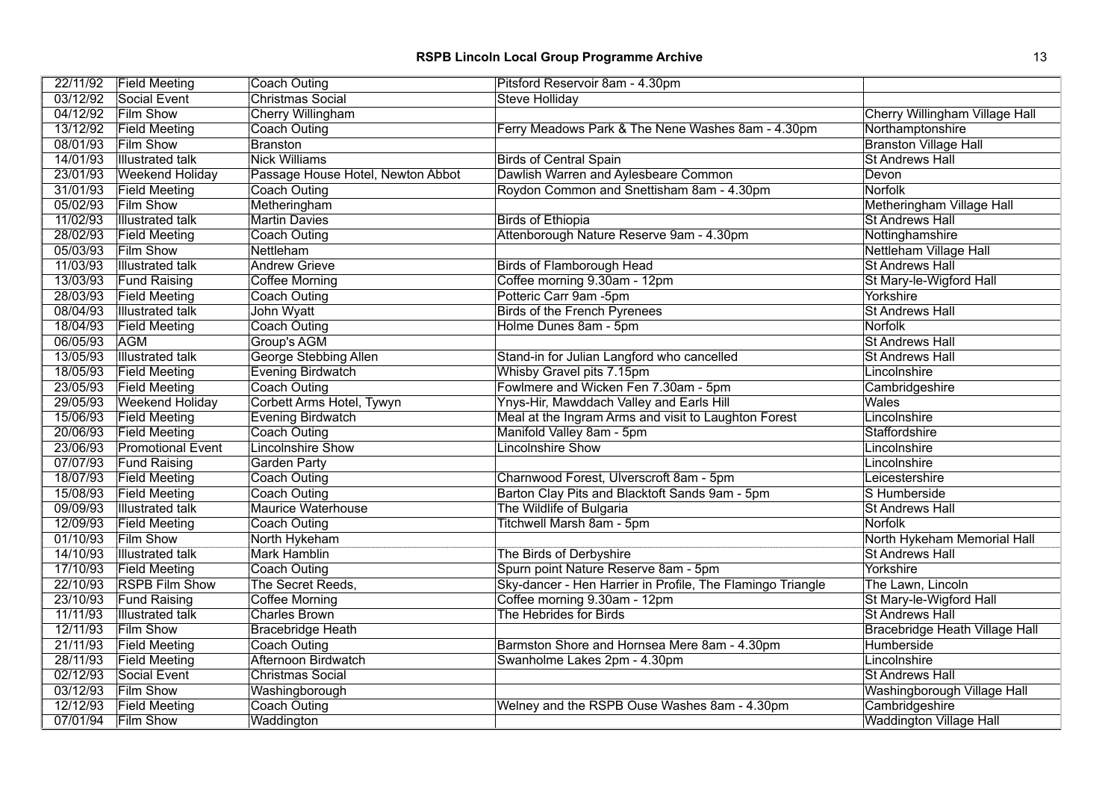|          | 22/11/92 Field Meeting   | <b>Coach Outing</b>               | Pitsford Reservoir 8am - 4.30pm                            |                                |
|----------|--------------------------|-----------------------------------|------------------------------------------------------------|--------------------------------|
| 03/12/92 | Social Event             | <b>Christmas Social</b>           | <b>Steve Holliday</b>                                      |                                |
| 04/12/92 | <b>Film Show</b>         | <b>Cherry Willingham</b>          |                                                            | Cherry Willingham Village Hall |
| 13/12/92 | <b>Field Meeting</b>     | <b>Coach Outing</b>               | Ferry Meadows Park & The Nene Washes 8am - 4.30pm          | Northamptonshire               |
| 08/01/93 | <b>Film Show</b>         | <b>Branston</b>                   |                                                            | <b>Branston Village Hall</b>   |
| 14/01/93 | <b>Illustrated talk</b>  | <b>Nick Williams</b>              | <b>Birds of Central Spain</b>                              | <b>St Andrews Hall</b>         |
| 23/01/93 | <b>Weekend Holiday</b>   | Passage House Hotel, Newton Abbot | Dawlish Warren and Aylesbeare Common                       | Devon                          |
| 31/01/93 | <b>Field Meeting</b>     | Coach Outing                      | Roydon Common and Snettisham 8am - 4.30pm                  | <b>Norfolk</b>                 |
| 05/02/93 | <b>Film Show</b>         | Metheringham                      |                                                            | Metheringham Village Hall      |
| 11/02/93 | <b>Illustrated talk</b>  | <b>Martin Davies</b>              | <b>Birds of Ethiopia</b>                                   | <b>St Andrews Hall</b>         |
| 28/02/93 | <b>Field Meeting</b>     | <b>Coach Outing</b>               | Attenborough Nature Reserve 9am - 4.30pm                   | Nottinghamshire                |
| 05/03/93 | <b>Film Show</b>         | Nettleham                         |                                                            | Nettleham Village Hall         |
| 11/03/93 | <b>Illustrated talk</b>  | <b>Andrew Grieve</b>              | <b>Birds of Flamborough Head</b>                           | <b>St Andrews Hall</b>         |
| 13/03/93 | <b>Fund Raising</b>      | <b>Coffee Morning</b>             | Coffee morning 9.30am - 12pm                               | St Mary-le-Wigford Hall        |
| 28/03/93 | <b>Field Meeting</b>     | <b>Coach Outing</b>               | Potteric Carr 9am -5pm                                     | Yorkshire                      |
| 08/04/93 | <b>Illustrated talk</b>  | John Wyatt                        | <b>Birds of the French Pyrenees</b>                        | <b>St Andrews Hall</b>         |
| 18/04/93 | <b>Field Meeting</b>     | <b>Coach Outing</b>               | Holme Dunes 8am - 5pm                                      | Norfolk                        |
| 06/05/93 | <b>AGM</b>               | Group's AGM                       |                                                            | <b>St Andrews Hall</b>         |
| 13/05/93 | <b>Illustrated talk</b>  | George Stebbing Allen             | Stand-in for Julian Langford who cancelled                 | <b>St Andrews Hall</b>         |
| 18/05/93 | <b>Field Meeting</b>     | Evening Birdwatch                 | Whisby Gravel pits 7.15pm                                  | Lincolnshire                   |
| 23/05/93 | <b>Field Meeting</b>     | Coach Outing                      | Fowlmere and Wicken Fen 7.30am - 5pm                       | Cambridgeshire                 |
| 29/05/93 | <b>Weekend Holiday</b>   | Corbett Arms Hotel, Tywyn         | Ynys-Hir, Mawddach Valley and Earls Hill                   | Wales                          |
| 15/06/93 | <b>Field Meeting</b>     | <b>Evening Birdwatch</b>          | Meal at the Ingram Arms and visit to Laughton Forest       | Lincolnshire                   |
| 20/06/93 | <b>Field Meeting</b>     | Coach Outing                      | Manifold Valley 8am - 5pm                                  | Staffordshire                  |
| 23/06/93 | <b>Promotional Event</b> | <b>Lincolnshire Show</b>          | <b>Lincolnshire Show</b>                                   | Lincolnshire                   |
| 07/07/93 | <b>Fund Raising</b>      | <b>Garden Party</b>               |                                                            | Lincolnshire                   |
| 18/07/93 | <b>Field Meeting</b>     | <b>Coach Outing</b>               | Charnwood Forest, Ulverscroft 8am - 5pm                    | Leicestershire                 |
| 15/08/93 | <b>Field Meeting</b>     | Coach Outing                      | Barton Clay Pits and Blacktoft Sands 9am - 5pm             | S Humberside                   |
| 09/09/93 | <b>Illustrated talk</b>  | <b>Maurice Waterhouse</b>         | The Wildlife of Bulgaria                                   | <b>St Andrews Hall</b>         |
| 12/09/93 | <b>Field Meeting</b>     | <b>Coach Outing</b>               | <b>Titchwell Marsh 8am - 5pm</b>                           | <b>Norfolk</b>                 |
| 01/10/93 | <b>Film Show</b>         | North Hykeham                     |                                                            | North Hykeham Memorial Hall    |
| 14/10/93 | <b>Illustrated talk</b>  | <b>Mark Hamblin</b>               | The Birds of Derbyshire                                    | <b>St Andrews Hall</b>         |
| 17/10/93 | <b>Field Meeting</b>     | <b>Coach Outing</b>               | Spurn point Nature Reserve 8am - 5pm                       | Yorkshire                      |
| 22/10/93 | <b>RSPB Film Show</b>    | The Secret Reeds,                 | Sky-dancer - Hen Harrier in Profile, The Flamingo Triangle | The Lawn, Lincoln              |
| 23/10/93 | <b>Fund Raising</b>      | <b>Coffee Morning</b>             | Coffee morning 9.30am - 12pm                               | St Mary-le-Wigford Hall        |
| 11/11/93 | <b>Illustrated talk</b>  | <b>Charles Brown</b>              | The Hebrides for Birds                                     | <b>St Andrews Hall</b>         |
| 12/11/93 | <b>Film Show</b>         | <b>Bracebridge Heath</b>          |                                                            | Bracebridge Heath Village Hall |
| 21/11/93 | <b>Field Meeting</b>     | Coach Outing                      | Barmston Shore and Hornsea Mere 8am - 4.30pm               | Humberside                     |
| 28/11/93 | <b>Field Meeting</b>     | Afternoon Birdwatch               | Swanholme Lakes 2pm - 4.30pm                               | Lincolnshire                   |
| 02/12/93 | Social Event             | <b>Christmas Social</b>           |                                                            | <b>St Andrews Hall</b>         |
| 03/12/93 | <b>Film Show</b>         | Washingborough                    |                                                            | Washingborough Village Hall    |
| 12/12/93 | <b>Field Meeting</b>     | <b>Coach Outing</b>               | Welney and the RSPB Ouse Washes 8am - 4.30pm               | Cambridgeshire                 |
| 07/01/94 | <b>Film Show</b>         | Waddington                        |                                                            | <b>Waddington Village Hall</b> |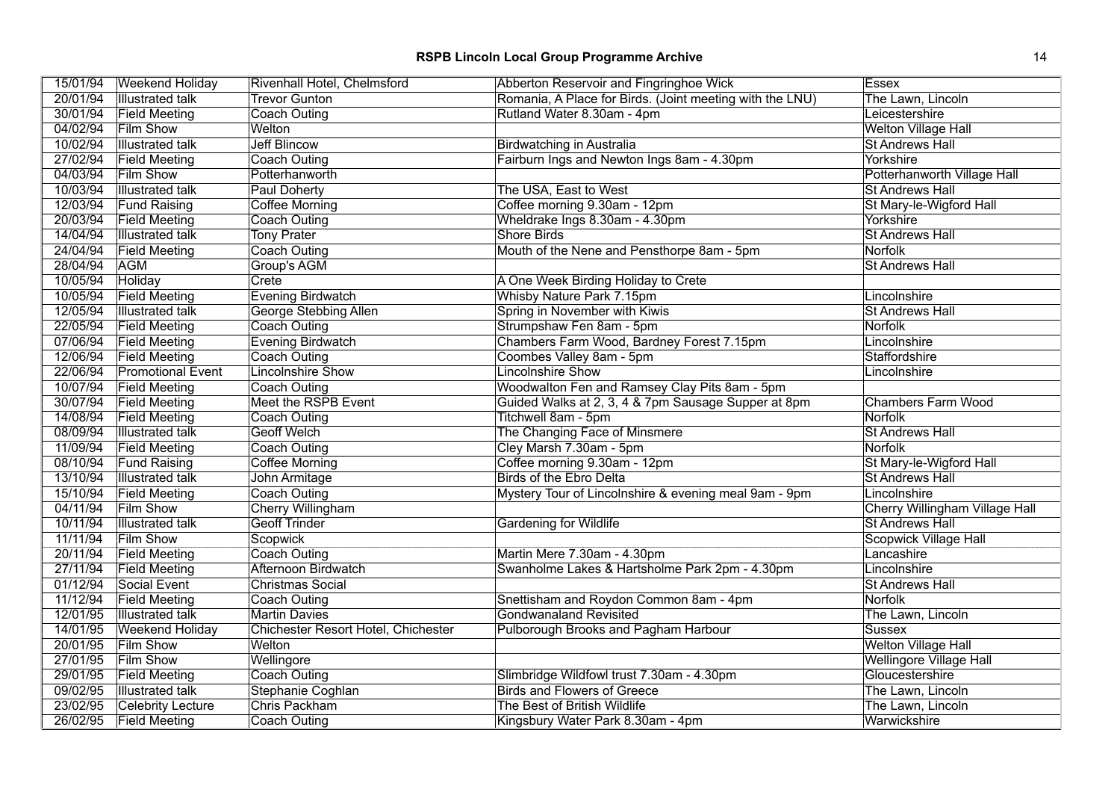|          | 15/01/94 Weekend Holiday | Rivenhall Hotel, Chelmsford         | Abberton Reservoir and Fingringhoe Wick                  | <b>Essex</b>                          |
|----------|--------------------------|-------------------------------------|----------------------------------------------------------|---------------------------------------|
| 20/01/94 | <b>Illustrated talk</b>  | <b>Trevor Gunton</b>                | Romania, A Place for Birds. (Joint meeting with the LNU) | The Lawn, Lincoln                     |
| 30/01/94 | <b>Field Meeting</b>     | <b>Coach Outing</b>                 | Rutland Water 8.30am - 4pm                               | Leicestershire                        |
| 04/02/94 | <b>Film Show</b>         | Welton                              |                                                          | <b>Welton Village Hall</b>            |
| 10/02/94 | <b>Illustrated talk</b>  | <b>Jeff Blincow</b>                 | <b>Birdwatching in Australia</b>                         | <b>St Andrews Hall</b>                |
| 27/02/94 | <b>Field Meeting</b>     | <b>Coach Outing</b>                 | Fairburn Ings and Newton Ings 8am - 4.30pm               | Yorkshire                             |
| 04/03/94 | <b>Film Show</b>         | Potterhanworth                      |                                                          | Potterhanworth Village Hall           |
| 10/03/94 | <b>Illustrated talk</b>  | <b>Paul Doherty</b>                 | The USA, East to West                                    | <b>St Andrews Hall</b>                |
| 12/03/94 | <b>Fund Raising</b>      | Coffee Morning                      | Coffee morning 9.30am - 12pm                             | St Mary-le-Wigford Hall               |
| 20/03/94 | <b>Field Meeting</b>     | Coach Outing                        | Wheldrake Ings 8.30am - 4.30pm                           | Yorkshire                             |
| 14/04/94 | <b>Illustrated talk</b>  | <b>Tony Prater</b>                  | <b>Shore Birds</b>                                       | <b>St Andrews Hall</b>                |
| 24/04/94 | <b>Field Meeting</b>     | Coach Outing                        | Mouth of the Nene and Pensthorpe 8am - 5pm               | <b>Norfolk</b>                        |
| 28/04/94 | <b>AGM</b>               | Group's AGM                         |                                                          | <b>St Andrews Hall</b>                |
| 10/05/94 | Holiday                  | Crete                               | A One Week Birding Holiday to Crete                      |                                       |
| 10/05/94 | <b>Field Meeting</b>     | <b>Evening Birdwatch</b>            | Whisby Nature Park 7.15pm                                | Lincolnshire                          |
| 12/05/94 | <b>Illustrated talk</b>  | <b>George Stebbing Allen</b>        | Spring in November with Kiwis                            | <b>St Andrews Hall</b>                |
| 22/05/94 | <b>Field Meeting</b>     | Coach Outing                        | Strumpshaw Fen 8am - 5pm                                 | <b>Norfolk</b>                        |
| 07/06/94 | <b>Field Meeting</b>     | Evening Birdwatch                   | Chambers Farm Wood, Bardney Forest 7.15pm                | Lincolnshire                          |
| 12/06/94 | <b>Field Meeting</b>     | <b>Coach Outing</b>                 | Coombes Valley 8am - 5pm                                 | Staffordshire                         |
| 22/06/94 | <b>Promotional Event</b> | <b>Lincolnshire Show</b>            | <b>Lincolnshire Show</b>                                 | Lincolnshire                          |
| 10/07/94 | <b>Field Meeting</b>     | Coach Outing                        | Woodwalton Fen and Ramsey Clay Pits 8am - 5pm            |                                       |
| 30/07/94 | <b>Field Meeting</b>     | Meet the RSPB Event                 | Guided Walks at 2, 3, 4 & 7pm Sausage Supper at 8pm      | <b>Chambers Farm Wood</b>             |
| 14/08/94 | <b>Field Meeting</b>     | <b>Coach Outing</b>                 | Titchwell 8am - 5pm                                      | <b>Norfolk</b>                        |
| 08/09/94 | <b>Illustrated talk</b>  | <b>Geoff Welch</b>                  | The Changing Face of Minsmere                            | <b>St Andrews Hall</b>                |
| 11/09/94 | <b>Field Meeting</b>     | Coach Outing                        | Cley Marsh 7.30am - 5pm                                  | <b>Norfolk</b>                        |
| 08/10/94 | <b>Fund Raising</b>      | <b>Coffee Morning</b>               | Coffee morning 9.30am - 12pm                             | St Mary-le-Wigford Hall               |
| 13/10/94 | <b>Illustrated talk</b>  | John Armitage                       | <b>Birds of the Ebro Delta</b>                           | <b>St Andrews Hall</b>                |
| 15/10/94 | <b>Field Meeting</b>     | Coach Outing                        | Mystery Tour of Lincolnshire & evening meal 9am - 9pm    | Lincolnshire                          |
| 04/11/94 | <b>Film Show</b>         | Cherry Willingham                   |                                                          | <b>Cherry Willingham Village Hall</b> |
| 10/11/94 | <b>Illustrated talk</b>  | <b>Geoff Trinder</b>                | Gardening for Wildlife                                   | <b>St Andrews Hall</b>                |
| 11/11/94 | <b>Film Show</b>         | Scopwick                            |                                                          | <b>Scopwick Village Hall</b>          |
| 20/11/94 | <b>Field Meeting</b>     | Coach Outing                        | Martin Mere 7.30am - 4.30pm                              | Lancashire                            |
| 27/11/94 | <b>Field Meeting</b>     | Afternoon Birdwatch                 | Swanholme Lakes & Hartsholme Park 2pm - 4.30pm           | Lincolnshire                          |
| 01/12/94 | Social Event             | <b>Christmas Social</b>             |                                                          | <b>St Andrews Hall</b>                |
| 11/12/94 | <b>Field Meeting</b>     | Coach Outing                        | Snettisham and Roydon Common 8am - 4pm                   | <b>Norfolk</b>                        |
| 12/01/95 | <b>Illustrated talk</b>  | <b>Martin Davies</b>                | <b>Gondwanaland Revisited</b>                            | The Lawn, Lincoln                     |
| 14/01/95 | <b>Weekend Holiday</b>   | Chichester Resort Hotel, Chichester | <b>Pulborough Brooks and Pagham Harbour</b>              | <b>Sussex</b>                         |
| 20/01/95 | Film Show                | Welton                              |                                                          | <b>Welton Village Hall</b>            |
| 27/01/95 | <b>Film Show</b>         | Wellingore                          |                                                          | <b>Wellingore Village Hall</b>        |
| 29/01/95 | <b>Field Meeting</b>     | Coach Outing                        | Slimbridge Wildfowl trust 7.30am - 4.30pm                | Gloucestershire                       |
| 09/02/95 | <b>Illustrated talk</b>  | Stephanie Coghlan                   | <b>Birds and Flowers of Greece</b>                       | The Lawn, Lincoln                     |
| 23/02/95 | Celebrity Lecture        | Chris Packham                       | The Best of British Wildlife                             | The Lawn, Lincoln                     |
| 26/02/95 | <b>Field Meeting</b>     | Coach Outing                        | Kingsbury Water Park 8.30am - 4pm                        | Warwickshire                          |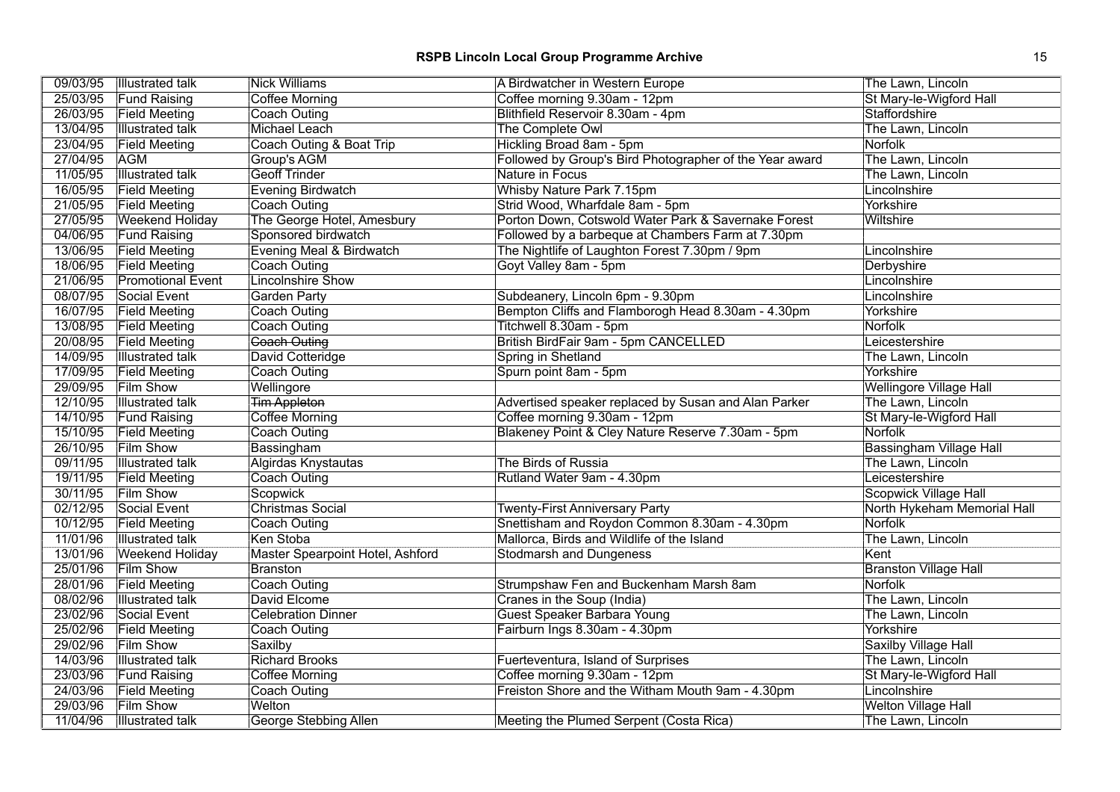| 09/03/95 | <b>Illustrated talk</b>  | <b>Nick Williams</b>             | A Birdwatcher in Western Europe                         | The Lawn, Lincoln              |
|----------|--------------------------|----------------------------------|---------------------------------------------------------|--------------------------------|
| 25/03/95 | <b>Fund Raising</b>      | <b>Coffee Morning</b>            | Coffee morning 9.30am - 12pm                            | St Mary-le-Wigford Hall        |
| 26/03/95 | <b>Field Meeting</b>     | Coach Outing                     | Blithfield Reservoir 8.30am - 4pm                       | Staffordshire                  |
| 13/04/95 | <b>Illustrated talk</b>  | <b>Michael Leach</b>             | The Complete Owl                                        | The Lawn, Lincoln              |
| 23/04/95 | <b>Field Meeting</b>     | Coach Outing & Boat Trip         | Hickling Broad 8am - 5pm                                | Norfolk                        |
| 27/04/95 | <b>AGM</b>               | <b>Group's AGM</b>               | Followed by Group's Bird Photographer of the Year award | The Lawn, Lincoln              |
| 11/05/95 | <b>Illustrated talk</b>  | <b>Geoff Trinder</b>             | Nature in Focus                                         | The Lawn, Lincoln              |
| 16/05/95 | <b>Field Meeting</b>     | <b>Evening Birdwatch</b>         | Whisby Nature Park 7.15pm                               | Lincolnshire                   |
| 21/05/95 | <b>Field Meeting</b>     | Coach Outing                     | Strid Wood, Wharfdale 8am - 5pm                         | Yorkshire                      |
| 27/05/95 | <b>Weekend Holiday</b>   | The George Hotel, Amesbury       | Porton Down, Cotswold Water Park & Savernake Forest     | Wiltshire                      |
| 04/06/95 | <b>Fund Raising</b>      | Sponsored birdwatch              | Followed by a barbeque at Chambers Farm at 7.30pm       |                                |
| 13/06/95 | <b>Field Meeting</b>     | Evening Meal & Birdwatch         | The Nightlife of Laughton Forest 7.30pm / 9pm           | Lincolnshire                   |
| 18/06/95 | <b>Field Meeting</b>     | Coach Outing                     | Goyt Valley 8am - 5pm                                   | Derbyshire                     |
| 21/06/95 | <b>Promotional Event</b> | <b>Lincolnshire Show</b>         |                                                         | Lincolnshire                   |
| 08/07/95 | Social Event             | <b>Garden Party</b>              | Subdeanery, Lincoln 6pm - 9.30pm                        | Lincolnshire                   |
| 16/07/95 | <b>Field Meeting</b>     | <b>Coach Outing</b>              | Bempton Cliffs and Flamborogh Head 8.30am - 4.30pm      | Yorkshire                      |
| 13/08/95 | <b>Field Meeting</b>     | Coach Outing                     | Titchwell 8.30am - 5pm                                  | Norfolk                        |
| 20/08/95 | <b>Field Meeting</b>     | <b>Coach Outing</b>              | British BirdFair 9am - 5pm CANCELLED                    | Leicestershire                 |
| 14/09/95 | <b>Illustrated talk</b>  | David Cotteridge                 | Spring in Shetland                                      | The Lawn, Lincoln              |
| 17/09/95 | <b>Field Meeting</b>     | Coach Outing                     | Spurn point 8am - 5pm                                   | Yorkshire                      |
| 29/09/95 | <b>Film Show</b>         | Wellingore                       |                                                         | <b>Wellingore Village Hall</b> |
| 12/10/95 | <b>Illustrated talk</b>  | <b>Tim Appleton</b>              | Advertised speaker replaced by Susan and Alan Parker    | The Lawn, Lincoln              |
| 14/10/95 | <b>Fund Raising</b>      | Coffee Morning                   | Coffee morning 9.30am - 12pm                            | St Mary-le-Wigford Hall        |
| 15/10/95 | <b>Field Meeting</b>     | <b>Coach Outing</b>              | Blakeney Point & Cley Nature Reserve 7.30am - 5pm       | Norfolk                        |
| 26/10/95 | <b>Film Show</b>         | Bassingham                       |                                                         | <b>Bassingham Village Hall</b> |
| 09/11/95 | <b>Illustrated talk</b>  | Algirdas Knystautas              | The Birds of Russia                                     | The Lawn, Lincoln              |
| 19/11/95 | <b>Field Meeting</b>     | <b>Coach Outing</b>              | Rutland Water 9am - 4.30pm                              | Leicestershire                 |
| 30/11/95 | <b>Film Show</b>         | Scopwick                         |                                                         | <b>Scopwick Village Hall</b>   |
| 02/12/95 | Social Event             | <b>Christmas Social</b>          | <b>Twenty-First Anniversary Party</b>                   | North Hykeham Memorial Hall    |
| 10/12/95 | <b>Field Meeting</b>     | <b>Coach Outing</b>              | Snettisham and Roydon Common 8.30am - 4.30pm            | Norfolk                        |
| 11/01/96 | <b>Illustrated talk</b>  | Ken Stoba                        | Mallorca, Birds and Wildlife of the Island              | The Lawn, Lincoln              |
| 13/01/96 | <b>Weekend Holiday</b>   | Master Spearpoint Hotel, Ashford | <b>Stodmarsh and Dungeness</b>                          | Kent                           |
| 25/01/96 | <b>Film Show</b>         | Branston                         |                                                         | <b>Branston Village Hall</b>   |
| 28/01/96 | <b>Field Meeting</b>     | <b>Coach Outing</b>              | Strumpshaw Fen and Buckenham Marsh 8am                  | Norfolk                        |
| 08/02/96 | <b>Illustrated talk</b>  | David Elcome                     | Cranes in the Soup (India)                              | The Lawn, Lincoln              |
| 23/02/96 | Social Event             | <b>Celebration Dinner</b>        | Guest Speaker Barbara Young                             | The Lawn, Lincoln              |
| 25/02/96 | <b>Field Meeting</b>     | Coach Outing                     | Fairburn Ings 8.30am - 4.30pm                           | Yorkshire                      |
| 29/02/96 | <b>Film Show</b>         | Saxilby                          |                                                         | Saxilby Village Hall           |
| 14/03/96 | <b>Illustrated talk</b>  | <b>Richard Brooks</b>            | Fuerteventura, Island of Surprises                      | The Lawn, Lincoln              |
| 23/03/96 | <b>Fund Raising</b>      | Coffee Morning                   | Coffee morning 9.30am - 12pm                            | St Mary-le-Wigford Hall        |
| 24/03/96 | <b>Field Meeting</b>     | Coach Outing                     | Freiston Shore and the Witham Mouth 9am - 4.30pm        | Lincolnshire                   |
| 29/03/96 | <b>Film Show</b>         | Welton                           |                                                         | <b>Welton Village Hall</b>     |
| 11/04/96 | Illustrated talk         | George Stebbing Allen            | Meeting the Plumed Serpent (Costa Rica)                 | The Lawn, Lincoln              |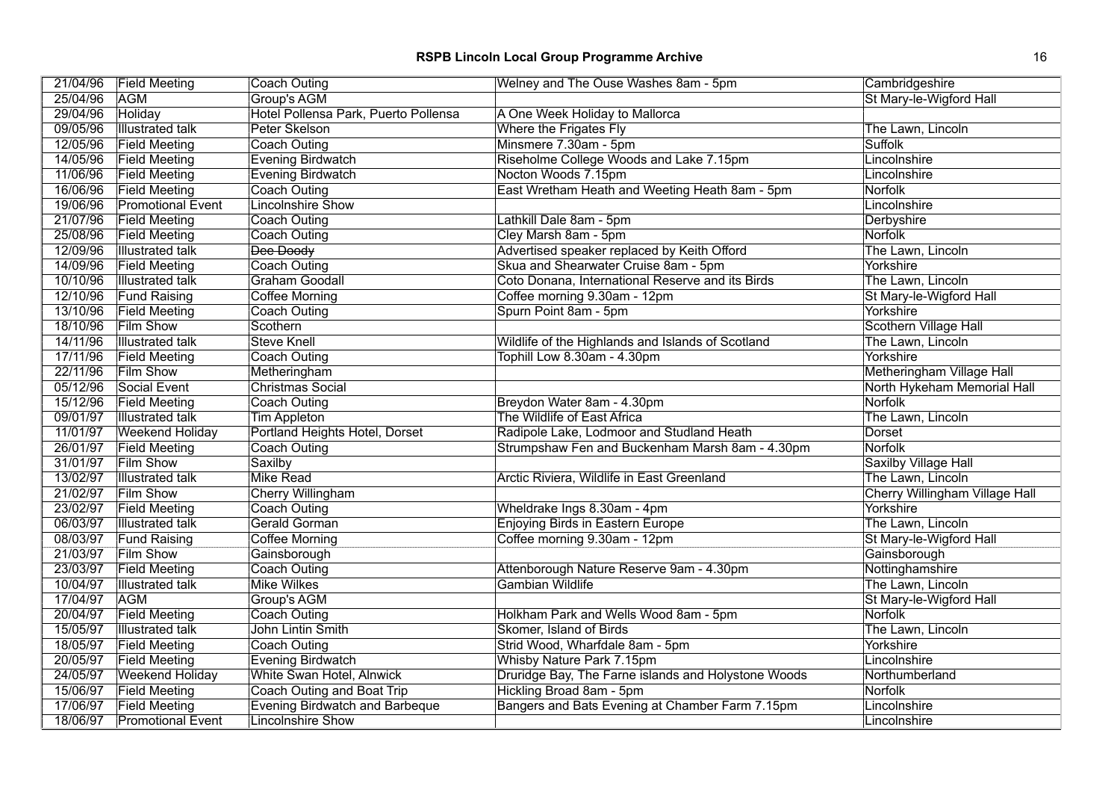| 21/04/96 | <b>Field Meeting</b>     | <b>Coach Outing</b>                   | Welney and The Ouse Washes 8am - 5pm                | Cambridgeshire                 |
|----------|--------------------------|---------------------------------------|-----------------------------------------------------|--------------------------------|
| 25/04/96 | <b>AGM</b>               | Group's AGM                           |                                                     | St Mary-le-Wigford Hall        |
| 29/04/96 | Holiday                  | Hotel Pollensa Park, Puerto Pollensa  | A One Week Holiday to Mallorca                      |                                |
| 09/05/96 | <b>Illustrated talk</b>  | Peter Skelson                         | Where the Frigates Fly                              | The Lawn, Lincoln              |
| 12/05/96 | <b>Field Meeting</b>     | <b>Coach Outing</b>                   | Minsmere 7.30am - 5pm                               | Suffolk                        |
| 14/05/96 | <b>Field Meeting</b>     | Evening Birdwatch                     | Riseholme College Woods and Lake 7.15pm             | Lincolnshire                   |
| 11/06/96 | <b>Field Meeting</b>     | <b>Evening Birdwatch</b>              | Nocton Woods 7.15pm                                 | Lincolnshire                   |
| 16/06/96 | <b>Field Meeting</b>     | Coach Outing                          | East Wretham Heath and Weeting Heath 8am - 5pm      | Norfolk                        |
| 19/06/96 | <b>Promotional Event</b> | <b>Lincolnshire Show</b>              |                                                     | Lincolnshire                   |
| 21/07/96 | <b>Field Meeting</b>     | Coach Outing                          | Lathkill Dale 8am - 5pm                             | Derbyshire                     |
| 25/08/96 | <b>Field Meeting</b>     | <b>Coach Outing</b>                   | Cley Marsh 8am - 5pm                                | Norfolk                        |
| 12/09/96 | <b>Illustrated talk</b>  | Dee Doody                             | Advertised speaker replaced by Keith Offord         | The Lawn, Lincoln              |
| 14/09/96 | <b>Field Meeting</b>     | Coach Outing                          | Skua and Shearwater Cruise 8am - 5pm                | Yorkshire                      |
| 10/10/96 | <b>Illustrated talk</b>  | <b>Graham Goodall</b>                 | Coto Donana, International Reserve and its Birds    | The Lawn, Lincoln              |
| 12/10/96 | <b>Fund Raising</b>      | <b>Coffee Morning</b>                 | Coffee morning 9.30am - 12pm                        | St Mary-le-Wigford Hall        |
| 13/10/96 | <b>Field Meeting</b>     | Coach Outing                          | Spurn Point 8am - 5pm                               | Yorkshire                      |
| 18/10/96 | <b>Film Show</b>         | Scothern                              |                                                     | Scothern Village Hall          |
| 14/11/96 | <b>Illustrated talk</b>  | <b>Steve Knell</b>                    | Wildlife of the Highlands and Islands of Scotland   | The Lawn, Lincoln              |
| 17/11/96 | <b>Field Meeting</b>     | Coach Outing                          | Tophill Low 8.30am - 4.30pm                         | Yorkshire                      |
| 22/11/96 | <b>Film Show</b>         | Metheringham                          |                                                     | Metheringham Village Hall      |
| 05/12/96 | Social Event             | <b>Christmas Social</b>               |                                                     | North Hykeham Memorial Hall    |
| 15/12/96 | <b>Field Meeting</b>     | Coach Outing                          | Breydon Water 8am - 4.30pm                          | Norfolk                        |
| 09/01/97 | <b>Illustrated talk</b>  | <b>Tim Appleton</b>                   | The Wildlife of East Africa                         | The Lawn, Lincoln              |
| 11/01/97 | <b>Weekend Holiday</b>   | Portland Heights Hotel, Dorset        | Radipole Lake, Lodmoor and Studland Heath           | Dorset                         |
| 26/01/97 | <b>Field Meeting</b>     | <b>Coach Outing</b>                   | Strumpshaw Fen and Buckenham Marsh 8am - 4.30pm     | Norfolk                        |
| 31/01/97 | <b>Film Show</b>         | Saxilby                               |                                                     | Saxilby Village Hall           |
| 13/02/97 | <b>Illustrated talk</b>  | <b>Mike Read</b>                      | Arctic Riviera, Wildlife in East Greenland          | The Lawn, Lincoln              |
| 21/02/97 | <b>Film Show</b>         | Cherry Willingham                     |                                                     | Cherry Willingham Village Hall |
| 23/02/97 | <b>Field Meeting</b>     | Coach Outing                          | Wheldrake Ings 8.30am - 4pm                         | Yorkshire                      |
| 06/03/97 | <b>Illustrated talk</b>  | Gerald Gorman                         | <b>Enjoying Birds in Eastern Europe</b>             | The Lawn, Lincoln              |
| 08/03/97 | <b>Fund Raising</b>      | <b>Coffee Morning</b>                 | Coffee morning 9.30am - 12pm                        | St Mary-le-Wigford Hall        |
| 21/03/97 | <b>Film Show</b>         | Gainsborough                          |                                                     | Gainsborough                   |
| 23/03/97 | <b>Field Meeting</b>     | <b>Coach Outing</b>                   | Attenborough Nature Reserve 9am - 4.30pm            | Nottinghamshire                |
| 10/04/97 | Illustrated talk         | <b>Mike Wilkes</b>                    | Gambian Wildlife                                    | The Lawn, Lincoln              |
| 17/04/97 | <b>AGM</b>               | Group's AGM                           |                                                     | St Mary-le-Wigford Hall        |
| 20/04/97 | <b>Field Meeting</b>     | <b>Coach Outing</b>                   | Holkham Park and Wells Wood 8am - 5pm               | Norfolk                        |
| 15/05/97 | <b>Illustrated talk</b>  | John Lintin Smith                     | Skomer, Island of Birds                             | The Lawn, Lincoln              |
| 18/05/97 | <b>Field Meeting</b>     | <b>Coach Outing</b>                   | Strid Wood, Wharfdale 8am - 5pm                     | Yorkshire                      |
| 20/05/97 | <b>Field Meeting</b>     | <b>Evening Birdwatch</b>              | Whisby Nature Park 7.15pm                           | Lincolnshire                   |
| 24/05/97 | <b>Weekend Holiday</b>   | <b>White Swan Hotel, Alnwick</b>      | Druridge Bay, The Farne islands and Holystone Woods | Northumberland                 |
| 15/06/97 | <b>Field Meeting</b>     | <b>Coach Outing and Boat Trip</b>     | Hickling Broad 8am - 5pm                            | Norfolk                        |
| 17/06/97 | <b>Field Meeting</b>     | <b>Evening Birdwatch and Barbeque</b> | Bangers and Bats Evening at Chamber Farm 7.15pm     | Lincolnshire                   |
| 18/06/97 | <b>Promotional Event</b> | Lincolnshire Show                     |                                                     | Lincolnshire                   |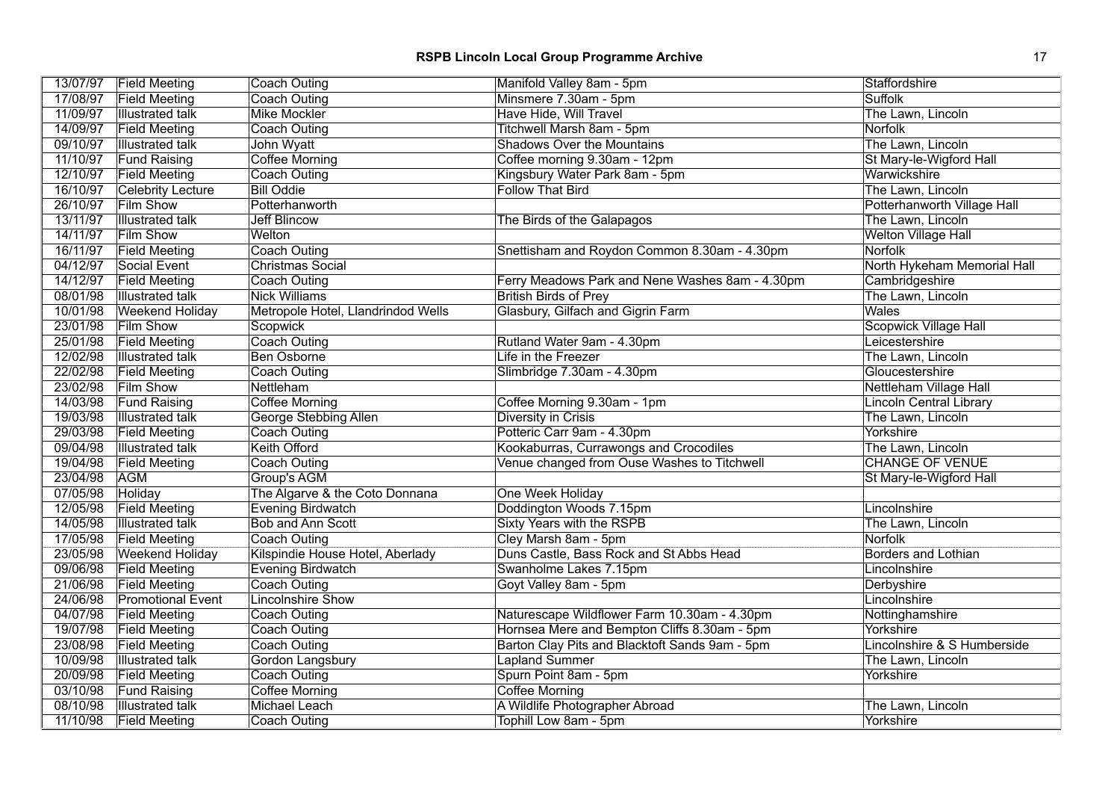|          | 13/07/97 Field Meeting   | <b>Coach Outing</b>                | Manifold Valley 8am - 5pm                       | Staffordshire                  |
|----------|--------------------------|------------------------------------|-------------------------------------------------|--------------------------------|
| 17/08/97 | <b>Field Meeting</b>     | Coach Outing                       | Minsmere 7.30am - 5pm                           | Suffolk                        |
| 11/09/97 | <b>Illustrated talk</b>  | <b>Mike Mockler</b>                | Have Hide, Will Travel                          | The Lawn, Lincoln              |
| 14/09/97 | <b>Field Meeting</b>     | <b>Coach Outing</b>                | Titchwell Marsh 8am - 5pm                       | Norfolk                        |
| 09/10/97 | <b>Illustrated talk</b>  | John Wyatt                         | <b>Shadows Over the Mountains</b>               | The Lawn, Lincoln              |
| 11/10/97 | <b>Fund Raising</b>      | <b>Coffee Morning</b>              | Coffee morning 9.30am - 12pm                    | St Mary-le-Wigford Hall        |
| 12/10/97 | <b>Field Meeting</b>     | <b>Coach Outing</b>                | Kingsbury Water Park 8am - 5pm                  | Warwickshire                   |
| 16/10/97 | <b>Celebrity Lecture</b> | <b>Bill Oddie</b>                  | <b>Follow That Bird</b>                         | The Lawn, Lincoln              |
| 26/10/97 | <b>Film Show</b>         | Potterhanworth                     |                                                 | Potterhanworth Village Hall    |
| 13/11/97 | <b>Illustrated talk</b>  | <b>Jeff Blincow</b>                | The Birds of the Galapagos                      | The Lawn, Lincoln              |
| 14/11/97 | Film Show                | Welton                             |                                                 | <b>Welton Village Hall</b>     |
| 16/11/97 | <b>Field Meeting</b>     | <b>Coach Outing</b>                | Snettisham and Roydon Common 8.30am - 4.30pm    | Norfolk                        |
| 04/12/97 | Social Event             | Christmas Social                   |                                                 | North Hykeham Memorial Hall    |
| 14/12/97 | <b>Field Meeting</b>     | <b>Coach Outing</b>                | Ferry Meadows Park and Nene Washes 8am - 4.30pm | Cambridgeshire                 |
| 08/01/98 | <b>Illustrated talk</b>  | <b>Nick Williams</b>               | <b>British Birds of Prey</b>                    | The Lawn, Lincoln              |
| 10/01/98 | <b>Weekend Holiday</b>   | Metropole Hotel, Llandrindod Wells | Glasbury, Gilfach and Gigrin Farm               | Wales                          |
| 23/01/98 | <b>Film Show</b>         | Scopwick                           |                                                 | <b>Scopwick Village Hall</b>   |
| 25/01/98 | <b>Field Meeting</b>     | Coach Outing                       | Rutland Water 9am - 4.30pm                      | Leicestershire                 |
| 12/02/98 | <b>Illustrated talk</b>  | <b>Ben Osborne</b>                 | Life in the Freezer                             | The Lawn, Lincoln              |
| 22/02/98 | <b>Field Meeting</b>     | Coach Outing                       | Slimbridge 7.30am - 4.30pm                      | Gloucestershire                |
| 23/02/98 | <b>Film Show</b>         | Nettleham                          |                                                 | Nettleham Village Hall         |
| 14/03/98 | <b>Fund Raising</b>      | Coffee Morning                     | Coffee Morning 9.30am - 1pm                     | <b>Lincoln Central Library</b> |
| 19/03/98 | <b>Illustrated talk</b>  | George Stebbing Allen              | Diversity in Crisis                             | The Lawn, Lincoln              |
| 29/03/98 | <b>Field Meeting</b>     | Coach Outing                       | Potteric Carr 9am - 4.30pm                      | Yorkshire                      |
| 09/04/98 | <b>Illustrated talk</b>  | <b>Keith Offord</b>                | Kookaburras, Currawongs and Crocodiles          | The Lawn, Lincoln              |
| 19/04/98 | <b>Field Meeting</b>     | <b>Coach Outing</b>                | Venue changed from Ouse Washes to Titchwell     | <b>CHANGE OF VENUE</b>         |
| 23/04/98 | <b>AGM</b>               | Group's AGM                        |                                                 | St Mary-le-Wigford Hall        |
| 07/05/98 | Holiday                  | The Algarve & the Coto Donnana     | One Week Holiday                                |                                |
| 12/05/98 | <b>Field Meeting</b>     | <b>Evening Birdwatch</b>           | Doddington Woods 7.15pm                         | Lincolnshire                   |
| 14/05/98 | <b>Illustrated talk</b>  | <b>Bob and Ann Scott</b>           | <b>Sixty Years with the RSPB</b>                | The Lawn, Lincoln              |
| 17/05/98 | <b>Field Meeting</b>     | <b>Coach Outing</b>                | Cley Marsh 8am - 5pm                            | Norfolk                        |
| 23/05/98 | <b>Weekend Holiday</b>   | Kilspindie House Hotel, Aberlady   | Duns Castle, Bass Rock and St Abbs Head         | <b>Borders and Lothian</b>     |
| 09/06/98 | <b>Field Meeting</b>     | <b>Evening Birdwatch</b>           | Swanholme Lakes 7.15pm                          | Lincolnshire                   |
| 21/06/98 | <b>Field Meeting</b>     | <b>Coach Outing</b>                | Goyt Valley 8am - 5pm                           | Derbyshire                     |
| 24/06/98 | <b>Promotional Event</b> | <b>Lincolnshire Show</b>           |                                                 | Lincolnshire                   |
| 04/07/98 | <b>Field Meeting</b>     | <b>Coach Outing</b>                | Naturescape Wildflower Farm 10.30am - 4.30pm    | Nottinghamshire                |
| 19/07/98 | <b>Field Meeting</b>     | Coach Outing                       | Hornsea Mere and Bempton Cliffs 8.30am - 5pm    | Yorkshire                      |
| 23/08/98 | <b>Field Meeting</b>     | Coach Outing                       | Barton Clay Pits and Blacktoft Sands 9am - 5pm  | Lincolnshire & S Humberside    |
| 10/09/98 | <b>Illustrated talk</b>  | Gordon Langsbury                   | <b>Lapland Summer</b>                           | The Lawn, Lincoln              |
| 20/09/98 | <b>Field Meeting</b>     | Coach Outing                       | Spurn Point 8am - 5pm                           | Yorkshire                      |
| 03/10/98 | <b>Fund Raising</b>      | <b>Coffee Morning</b>              | <b>Coffee Morning</b>                           |                                |
| 08/10/98 | <b>Illustrated talk</b>  | <b>Michael Leach</b>               | A Wildlife Photographer Abroad                  | The Lawn, Lincoln              |
| 11/10/98 | <b>Field Meeting</b>     | <b>Coach Outing</b>                | Tophill Low 8am - 5pm                           | Yorkshire                      |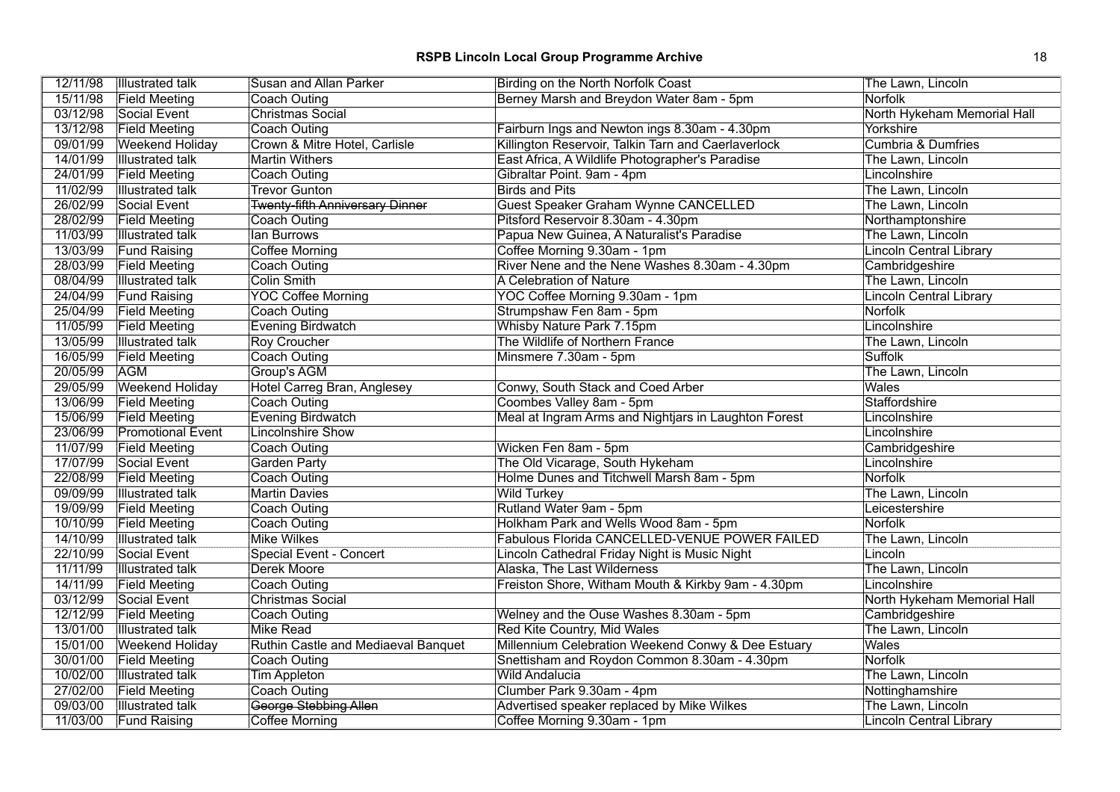| 12/11/98 | <b>Illustrated talk</b>  | Susan and Allan Parker                 | Birding on the North Norfolk Coast                   | The Lawn, Lincoln              |
|----------|--------------------------|----------------------------------------|------------------------------------------------------|--------------------------------|
| 15/11/98 | <b>Field Meeting</b>     | Coach Outing                           | Berney Marsh and Breydon Water 8am - 5pm             | Norfolk                        |
| 03/12/98 | Social Event             | <b>Christmas Social</b>                |                                                      | North Hykeham Memorial Hall    |
| 13/12/98 | <b>Field Meeting</b>     | <b>Coach Outing</b>                    | Fairburn Ings and Newton ings 8.30am - 4.30pm        | Yorkshire                      |
| 09/01/99 | <b>Weekend Holiday</b>   | Crown & Mitre Hotel, Carlisle          | Killington Reservoir, Talkin Tarn and Caerlaverlock  | <b>Cumbria &amp; Dumfries</b>  |
| 14/01/99 | <b>Illustrated talk</b>  | <b>Martin Withers</b>                  | East Africa, A Wildlife Photographer's Paradise      | The Lawn, Lincoln              |
| 24/01/99 | <b>Field Meeting</b>     | <b>Coach Outing</b>                    | Gibraltar Point. 9am - 4pm                           | Lincolnshire                   |
| 11/02/99 | <b>Illustrated talk</b>  | <b>Trevor Gunton</b>                   | <b>Birds and Pits</b>                                | The Lawn, Lincoln              |
| 26/02/99 | Social Event             | <b>Twenty-fifth Anniversary Dinner</b> | Guest Speaker Graham Wynne CANCELLED                 | The Lawn, Lincoln              |
| 28/02/99 | <b>Field Meeting</b>     | <b>Coach Outing</b>                    | Pitsford Reservoir 8.30am - 4.30pm                   | Northamptonshire               |
| 11/03/99 | <b>Illustrated talk</b>  | lan Burrows                            | Papua New Guinea, A Naturalist's Paradise            | The Lawn, Lincoln              |
| 13/03/99 | <b>Fund Raising</b>      | Coffee Morning                         | Coffee Morning 9.30am - 1pm                          | Lincoln Central Library        |
| 28/03/99 | <b>Field Meeting</b>     | Coach Outing                           | River Nene and the Nene Washes 8.30am - 4.30pm       | Cambridgeshire                 |
| 08/04/99 | <b>Illustrated talk</b>  | Colin Smith                            | A Celebration of Nature                              | The Lawn, Lincoln              |
| 24/04/99 | <b>Fund Raising</b>      | <b>YOC Coffee Morning</b>              | YOC Coffee Morning 9.30am - 1pm                      | <b>Lincoln Central Library</b> |
| 25/04/99 | <b>Field Meeting</b>     | Coach Outing                           | Strumpshaw Fen 8am - 5pm                             | Norfolk                        |
| 11/05/99 | <b>Field Meeting</b>     | Evening Birdwatch                      | Whisby Nature Park 7.15pm                            | Lincolnshire                   |
| 13/05/99 | <b>Illustrated talk</b>  | Roy Croucher                           | The Wildlife of Northern France                      | The Lawn, Lincoln              |
| 16/05/99 | <b>Field Meeting</b>     | <b>Coach Outing</b>                    | Minsmere 7.30am - 5pm                                | Suffolk                        |
| 20/05/99 | <b>AGM</b>               | Group's AGM                            |                                                      | The Lawn, Lincoln              |
| 29/05/99 | Weekend Holiday          | Hotel Carreg Bran, Anglesey            | Conwy, South Stack and Coed Arber                    | Wales                          |
| 13/06/99 | <b>Field Meeting</b>     | <b>Coach Outing</b>                    | Coombes Valley 8am - 5pm                             | Staffordshire                  |
| 15/06/99 | <b>Field Meeting</b>     | <b>Evening Birdwatch</b>               | Meal at Ingram Arms and Nightjars in Laughton Forest | Lincolnshire                   |
| 23/06/99 | <b>Promotional Event</b> | <b>Lincolnshire Show</b>               |                                                      | Lincolnshire                   |
| 11/07/99 | <b>Field Meeting</b>     | Coach Outing                           | Wicken Fen 8am - 5pm                                 | Cambridgeshire                 |
| 17/07/99 | Social Event             | <b>Garden Party</b>                    | The Old Vicarage, South Hykeham                      | Lincolnshire                   |
| 22/08/99 | <b>Field Meeting</b>     | Coach Outing                           | Holme Dunes and Titchwell Marsh 8am - 5pm            | Norfolk                        |
| 09/09/99 | <b>Illustrated talk</b>  | <b>Martin Davies</b>                   | <b>Wild Turkey</b>                                   | The Lawn, Lincoln              |
| 19/09/99 | <b>Field Meeting</b>     | Coach Outing                           | Rutland Water 9am - 5pm                              | Leicestershire                 |
| 10/10/99 | <b>Field Meeting</b>     | <b>Coach Outing</b>                    | Holkham Park and Wells Wood 8am - 5pm                | Norfolk                        |
| 14/10/99 | <b>Illustrated talk</b>  | <b>Mike Wilkes</b>                     | Fabulous Florida CANCELLED-VENUE POWER FAILED        | The Lawn, Lincoln              |
| 22/10/99 | Social Event             | Special Event - Concert                | Lincoln Cathedral Friday Night is Music Night        | Lincoln                        |
| 11/11/99 | <b>Illustrated talk</b>  | Derek Moore                            | Alaska, The Last Wilderness                          | The Lawn, Lincoln              |
| 14/11/99 | <b>Field Meeting</b>     | Coach Outing                           | Freiston Shore, Witham Mouth & Kirkby 9am - 4.30pm   | Lincolnshire                   |
| 03/12/99 | Social Event             | <b>Christmas Social</b>                |                                                      | North Hykeham Memorial Hall    |
| 12/12/99 | <b>Field Meeting</b>     | Coach Outing                           | Welney and the Ouse Washes 8.30am - 5pm              | Cambridgeshire                 |
| 13/01/00 | <b>Illustrated talk</b>  | <b>Mike Read</b>                       | Red Kite Country, Mid Wales                          | The Lawn, Lincoln              |
| 15/01/00 | <b>Weekend Holiday</b>   | Ruthin Castle and Mediaeval Banquet    | Millennium Celebration Weekend Conwy & Dee Estuary   | <b>Wales</b>                   |
| 30/01/00 | <b>Field Meeting</b>     | <b>Coach Outing</b>                    | Snettisham and Roydon Common 8.30am - 4.30pm         | Norfolk                        |
| 10/02/00 | <b>Illustrated talk</b>  | <b>Tim Appleton</b>                    | <b>Wild Andalucia</b>                                | The Lawn, Lincoln              |
| 27/02/00 | <b>Field Meeting</b>     | Coach Outing                           | Clumber Park 9.30am - 4pm                            | Nottinghamshire                |
| 09/03/00 | <b>Illustrated talk</b>  | <b>George Stebbing Allen</b>           | Advertised speaker replaced by Mike Wilkes           | The Lawn, Lincoln              |
| 11/03/00 | <b>Fund Raising</b>      | Coffee Morning                         | Coffee Morning 9.30am - 1pm                          | Lincoln Central Library        |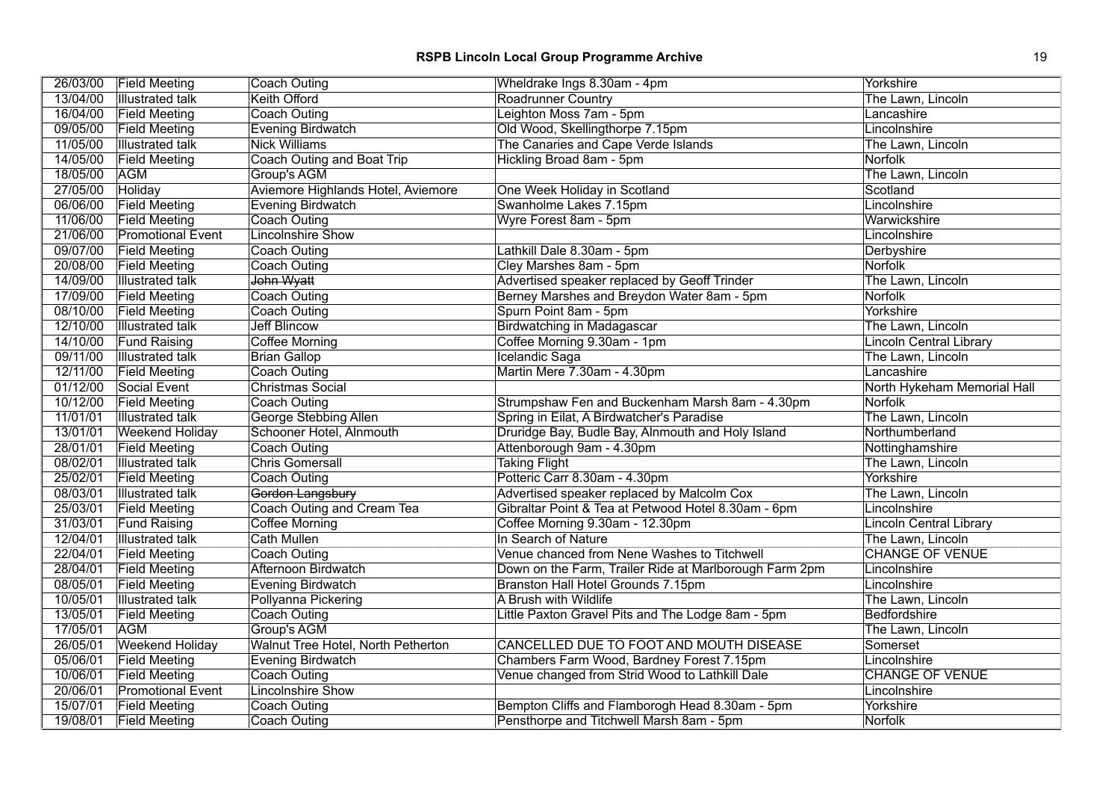| 26/03/00 | <b>Field Meeting</b>     | Coach Outing                       | Wheldrake Ings 8.30am - 4pm                            | Yorkshire                      |
|----------|--------------------------|------------------------------------|--------------------------------------------------------|--------------------------------|
| 13/04/00 | <b>Illustrated talk</b>  | Keith Offord                       | <b>Roadrunner Country</b>                              | The Lawn, Lincoln              |
| 16/04/00 | <b>Field Meeting</b>     | <b>Coach Outing</b>                | Leighton Moss 7am - 5pm                                | Lancashire                     |
| 09/05/00 | <b>Field Meeting</b>     | Evening Birdwatch                  | Old Wood, Skellingthorpe 7.15pm                        | Lincolnshire                   |
| 11/05/00 | <b>Illustrated talk</b>  | <b>Nick Williams</b>               | The Canaries and Cape Verde Islands                    | The Lawn, Lincoln              |
| 14/05/00 | <b>Field Meeting</b>     | Coach Outing and Boat Trip         | Hickling Broad 8am - 5pm                               | <b>Norfolk</b>                 |
| 18/05/00 | <b>AGM</b>               | Group's AGM                        |                                                        | The Lawn, Lincoln              |
| 27/05/00 | Holiday                  | Aviemore Highlands Hotel, Aviemore | One Week Holiday in Scotland                           | Scotland                       |
| 06/06/00 | <b>Field Meeting</b>     | Evening Birdwatch                  | Swanholme Lakes 7.15pm                                 | Lincolnshire                   |
| 11/06/00 | <b>Field Meeting</b>     | Coach Outing                       | Wyre Forest 8am - 5pm                                  | Warwickshire                   |
| 21/06/00 | <b>Promotional Event</b> | <b>Lincolnshire Show</b>           |                                                        | Lincolnshire                   |
| 09/07/00 | <b>Field Meeting</b>     | Coach Outing                       | Lathkill Dale 8.30am - 5pm                             | Derbyshire                     |
| 20/08/00 | <b>Field Meeting</b>     | Coach Outing                       | Cley Marshes 8am - 5pm                                 | <b>Norfolk</b>                 |
| 14/09/00 | <b>Illustrated talk</b>  | John Wyatt                         | Advertised speaker replaced by Geoff Trinder           | The Lawn, Lincoln              |
| 17/09/00 | <b>Field Meeting</b>     | Coach Outing                       | Berney Marshes and Breydon Water 8am - 5pm             | Norfolk                        |
| 08/10/00 | <b>Field Meeting</b>     | Coach Outing                       | Spurn Point 8am - 5pm                                  | Yorkshire                      |
| 12/10/00 | <b>Illustrated talk</b>  | <b>Jeff Blincow</b>                | <b>Birdwatching in Madagascar</b>                      | The Lawn, Lincoln              |
| 14/10/00 | <b>Fund Raising</b>      | <b>Coffee Morning</b>              | Coffee Morning 9.30am - 1pm                            | <b>Lincoln Central Library</b> |
| 09/11/00 | <b>Illustrated talk</b>  | <b>Brian Gallop</b>                | Icelandic Saga                                         | The Lawn, Lincoln              |
| 12/11/00 | <b>Field Meeting</b>     | Coach Outing                       | Martin Mere 7.30am - 4.30pm                            | Lancashire                     |
| 01/12/00 | Social Event             | Christmas Social                   |                                                        | North Hykeham Memorial Hall    |
| 10/12/00 | <b>Field Meeting</b>     | <b>Coach Outing</b>                | Strumpshaw Fen and Buckenham Marsh 8am - 4.30pm        | Norfolk                        |
| 11/01/01 | <b>Illustrated talk</b>  | <b>George Stebbing Allen</b>       | Spring in Eilat, A Birdwatcher's Paradise              | The Lawn, Lincoln              |
| 13/01/01 | <b>Weekend Holiday</b>   | Schooner Hotel, Alnmouth           | Druridge Bay, Budle Bay, Alnmouth and Holy Island      | Northumberland                 |
| 28/01/01 | <b>Field Meeting</b>     | Coach Outing                       | Attenborough 9am - 4.30pm                              | Nottinghamshire                |
| 08/02/01 | <b>Illustrated talk</b>  | <b>Chris Gomersall</b>             | <b>Taking Flight</b>                                   | The Lawn, Lincoln              |
| 25/02/01 | <b>Field Meeting</b>     | Coach Outing                       | Potteric Carr 8.30am - 4.30pm                          | Yorkshire                      |
| 08/03/01 | <b>Illustrated talk</b>  | Gordon Langsbury                   | Advertised speaker replaced by Malcolm Cox             | The Lawn, Lincoln              |
| 25/03/01 | <b>Field Meeting</b>     | Coach Outing and Cream Tea         | Gibraltar Point & Tea at Petwood Hotel 8.30am - 6pm    | Lincolnshire                   |
| 31/03/01 | <b>Fund Raising</b>      | <b>Coffee Morning</b>              | Coffee Morning 9.30am - 12.30pm                        | <b>Lincoln Central Library</b> |
| 12/04/01 | <b>Illustrated talk</b>  | Cath Mullen                        | In Search of Nature                                    | The Lawn, Lincoln              |
| 22/04/01 | <b>Field Meeting</b>     | Coach Outing                       | Venue chanced from Nene Washes to Titchwell            | <b>CHANGE OF VENUE</b>         |
| 28/04/01 | <b>Field Meeting</b>     | <b>Afternoon Birdwatch</b>         | Down on the Farm, Trailer Ride at Marlborough Farm 2pm | Lincolnshire                   |
| 08/05/01 | <b>Field Meeting</b>     | Evening Birdwatch                  | Branston Hall Hotel Grounds 7.15pm                     | Lincolnshire                   |
| 10/05/01 | <b>Illustrated talk</b>  | Pollyanna Pickering                | A Brush with Wildlife                                  | The Lawn, Lincoln              |
| 13/05/01 | <b>Field Meeting</b>     | Coach Outing                       | Little Paxton Gravel Pits and The Lodge 8am - 5pm      | Bedfordshire                   |
| 17/05/01 | <b>AGM</b>               | Group's AGM                        |                                                        | The Lawn, Lincoln              |
| 26/05/01 | <b>Weekend Holiday</b>   | Walnut Tree Hotel, North Petherton | CANCELLED DUE TO FOOT AND MOUTH DISEASE                | Somerset                       |
| 05/06/01 | <b>Field Meeting</b>     | Evening Birdwatch                  | Chambers Farm Wood, Bardney Forest 7.15pm              | Lincolnshire                   |
| 10/06/01 | <b>Field Meeting</b>     | Coach Outing                       | Venue changed from Strid Wood to Lathkill Dale         | <b>CHANGE OF VENUE</b>         |
| 20/06/01 | <b>Promotional Event</b> | <b>Lincolnshire Show</b>           |                                                        | Lincolnshire                   |
| 15/07/01 | <b>Field Meeting</b>     | <b>Coach Outing</b>                | Bempton Cliffs and Flamborogh Head 8.30am - 5pm        | Yorkshire                      |
| 19/08/01 | <b>Field Meeting</b>     | Coach Outing                       | Pensthorpe and Titchwell Marsh 8am - 5pm               | <b>Norfolk</b>                 |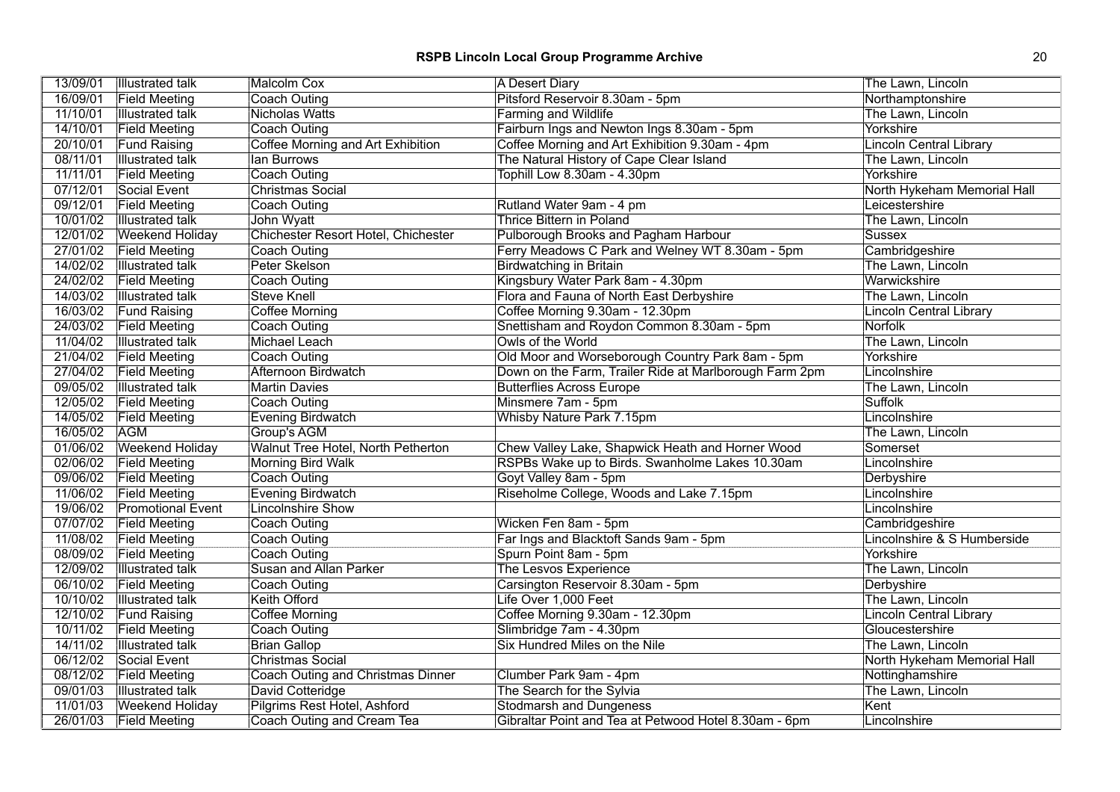# **RSPB Lincoln Local Group Programme Archive** 20 20

| 13/09/01 | <b>Illustrated talk</b>  | <b>Malcolm Cox</b>                  | <b>A Desert Diary</b>                                  | The Lawn, Lincoln              |
|----------|--------------------------|-------------------------------------|--------------------------------------------------------|--------------------------------|
| 16/09/01 | <b>Field Meeting</b>     | Coach Outing                        | Pitsford Reservoir 8.30am - 5pm                        | Northamptonshire               |
| 11/10/01 | <b>Illustrated talk</b>  | <b>Nicholas Watts</b>               | <b>Farming and Wildlife</b>                            | The Lawn, Lincoln              |
| 14/10/01 | <b>Field Meeting</b>     | Coach Outing                        | Fairburn Ings and Newton Ings 8.30am - 5pm             | Yorkshire                      |
| 20/10/01 | <b>Fund Raising</b>      | Coffee Morning and Art Exhibition   | Coffee Morning and Art Exhibition 9.30am - 4pm         | <b>Lincoln Central Library</b> |
| 08/11/01 | <b>Illustrated talk</b>  | lan Burrows                         | The Natural History of Cape Clear Island               | The Lawn, Lincoln              |
| 11/11/01 | <b>Field Meeting</b>     | <b>Coach Outing</b>                 | Tophill Low 8.30am - 4.30pm                            | Yorkshire                      |
| 07/12/01 | Social Event             | <b>Christmas Social</b>             |                                                        | North Hykeham Memorial Hall    |
| 09/12/01 | <b>Field Meeting</b>     | Coach Outing                        | Rutland Water 9am - 4 pm                               | Leicestershire                 |
| 10/01/02 | <b>Illustrated talk</b>  | John Wyatt                          | <b>Thrice Bittern in Poland</b>                        | The Lawn, Lincoln              |
| 12/01/02 | <b>Weekend Holiday</b>   | Chichester Resort Hotel, Chichester | Pulborough Brooks and Pagham Harbour                   | Sussex                         |
| 27/01/02 | <b>Field Meeting</b>     | <b>Coach Outing</b>                 | Ferry Meadows C Park and Welney WT 8.30am - 5pm        | Cambridgeshire                 |
| 14/02/02 | <b>Illustrated talk</b>  | Peter Skelson                       | <b>Birdwatching in Britain</b>                         | The Lawn, Lincoln              |
| 24/02/02 | <b>Field Meeting</b>     | Coach Outing                        | Kingsbury Water Park 8am - 4.30pm                      | Warwickshire                   |
| 14/03/02 | <b>Illustrated talk</b>  | <b>Steve Knell</b>                  | Flora and Fauna of North East Derbyshire               | The Lawn, Lincoln              |
| 16/03/02 | <b>Fund Raising</b>      | Coffee Morning                      | Coffee Morning 9.30am - 12.30pm                        | <b>Lincoln Central Library</b> |
| 24/03/02 | <b>Field Meeting</b>     | Coach Outing                        | Snettisham and Roydon Common 8.30am - 5pm              | Norfolk                        |
| 11/04/02 | <b>Illustrated talk</b>  | Michael Leach                       | Owls of the World                                      | The Lawn, Lincoln              |
| 21/04/02 | <b>Field Meeting</b>     | Coach Outing                        | Old Moor and Worseborough Country Park 8am - 5pm       | Yorkshire                      |
| 27/04/02 | <b>Field Meeting</b>     | <b>Afternoon Birdwatch</b>          | Down on the Farm, Trailer Ride at Marlborough Farm 2pm | Lincolnshire                   |
| 09/05/02 | <b>Illustrated talk</b>  | <b>Martin Davies</b>                | <b>Butterflies Across Europe</b>                       | The Lawn, Lincoln              |
| 12/05/02 | <b>Field Meeting</b>     | Coach Outing                        | Minsmere 7am - 5pm                                     | Suffolk                        |
| 14/05/02 | <b>Field Meeting</b>     | <b>Evening Birdwatch</b>            | <b>Whisby Nature Park 7.15pm</b>                       | Lincolnshire                   |
| 16/05/02 | <b>AGM</b>               | Group's AGM                         |                                                        | The Lawn, Lincoln              |
| 01/06/02 | <b>Weekend Holiday</b>   | Walnut Tree Hotel, North Petherton  | Chew Valley Lake, Shapwick Heath and Horner Wood       | Somerset                       |
| 02/06/02 | <b>Field Meeting</b>     | <b>Morning Bird Walk</b>            | RSPBs Wake up to Birds. Swanholme Lakes 10.30am        | Lincolnshire                   |
| 09/06/02 | <b>Field Meeting</b>     | Coach Outing                        | Goyt Valley 8am - 5pm                                  | Derbyshire                     |
| 11/06/02 | <b>Field Meeting</b>     | Evening Birdwatch                   | Riseholme College, Woods and Lake 7.15pm               | Lincolnshire                   |
| 19/06/02 | <b>Promotional Event</b> | <b>Lincolnshire Show</b>            |                                                        | Lincolnshire                   |
| 07/07/02 | <b>Field Meeting</b>     | Coach Outing                        | Wicken Fen 8am - 5pm                                   | Cambridgeshire                 |
| 11/08/02 | <b>Field Meeting</b>     | <b>Coach Outing</b>                 | Far Ings and Blacktoft Sands 9am - 5pm                 | Lincolnshire & S Humberside    |
| 08/09/02 | <b>Field Meeting</b>     | Coach Outing                        | Spurn Point 8am - 5pm                                  | Yorkshire                      |
| 12/09/02 | <b>Illustrated talk</b>  | <b>Susan and Allan Parker</b>       | The Lesvos Experience                                  | The Lawn, Lincoln              |
| 06/10/02 | <b>Field Meeting</b>     | Coach Outing                        | Carsington Reservoir 8.30am - 5pm                      | Derbyshire                     |
| 10/10/02 | <b>Illustrated talk</b>  | Keith Offord                        | Life Over 1,000 Feet                                   | The Lawn, Lincoln              |
| 12/10/02 | <b>Fund Raising</b>      | Coffee Morning                      | Coffee Morning 9.30am - 12.30pm                        | Lincoln Central Library        |
| 10/11/02 | <b>Field Meeting</b>     | Coach Outing                        | Slimbridge 7am - 4.30pm                                | Gloucestershire                |
| 14/11/02 | <b>Illustrated talk</b>  | <b>Brian Gallop</b>                 | <b>Six Hundred Miles on the Nile</b>                   | The Lawn, Lincoln              |
| 06/12/02 | Social Event             | <b>Christmas Social</b>             |                                                        | North Hykeham Memorial Hall    |
| 08/12/02 | <b>Field Meeting</b>     | Coach Outing and Christmas Dinner   | Clumber Park 9am - 4pm                                 | Nottinghamshire                |
| 09/01/03 | <b>Illustrated talk</b>  | David Cotteridge                    | The Search for the Sylvia                              | The Lawn, Lincoln              |
| 11/01/03 | <b>Weekend Holiday</b>   | Pilgrims Rest Hotel, Ashford        | <b>Stodmarsh and Dungeness</b>                         | Kent                           |
| 26/01/03 | <b>Field Meeting</b>     | Coach Outing and Cream Tea          | Gibraltar Point and Tea at Petwood Hotel 8.30am - 6pm  | Lincolnshire                   |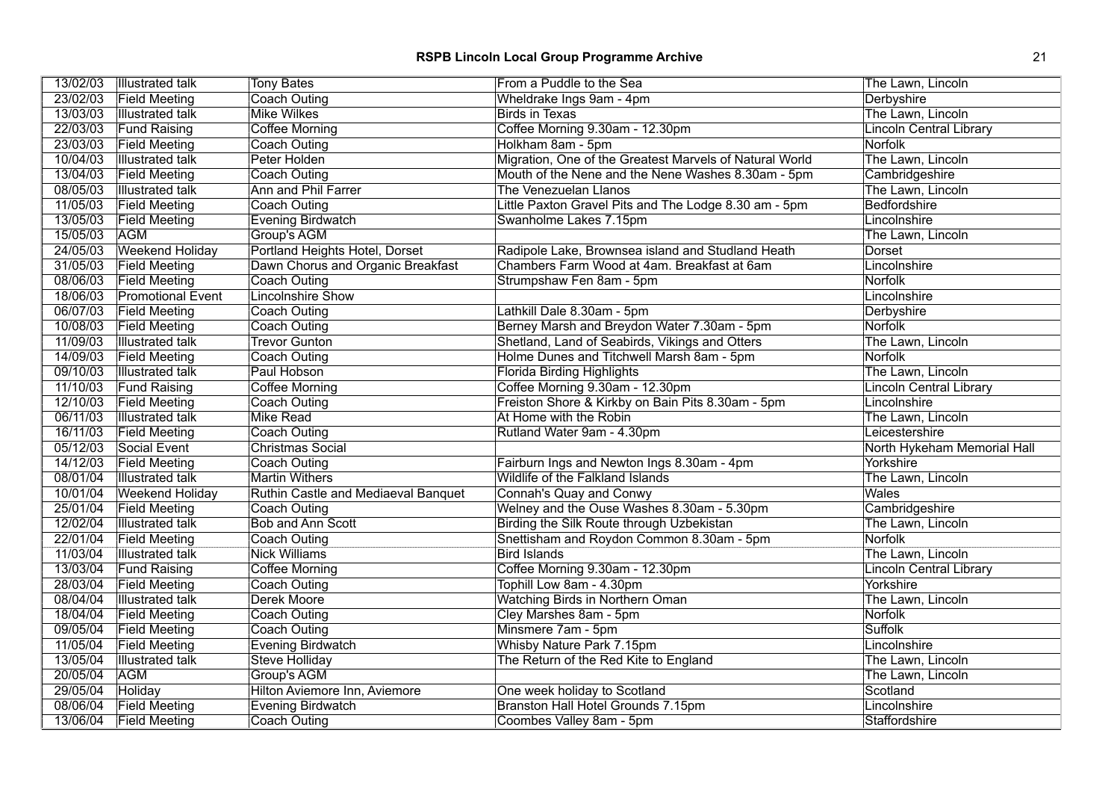| <b>Field Meeting</b><br>Coach Outing<br>Wheldrake Ings 9am - 4pm<br>Derbyshire<br>13/03/03<br><b>Mike Wilkes</b><br>The Lawn, Lincoln<br><b>Illustrated talk</b><br><b>Birds in Texas</b><br>22/03/03<br>Coffee Morning 9.30am - 12.30pm<br><b>Fund Raising</b><br><b>Coffee Morning</b><br><b>Lincoln Central Library</b><br>23/03/03<br>Holkham 8am - 5pm<br>Norfolk<br><b>Field Meeting</b><br>Coach Outing<br>10/04/03<br>Migration, One of the Greatest Marvels of Natural World<br><b>Illustrated talk</b><br>Peter Holden<br>The Lawn, Lincoln<br>13/04/03<br>Mouth of the Nene and the Nene Washes 8.30am - 5pm<br><b>Field Meeting</b><br>Coach Outing<br>Cambridgeshire<br>08/05/03<br>Ann and Phil Farrer<br><b>Illustrated talk</b><br>The Venezuelan Llanos<br>The Lawn, Lincoln<br>11/05/03<br>Coach Outing<br>Little Paxton Gravel Pits and The Lodge 8.30 am - 5pm<br><b>Bedfordshire</b><br><b>Field Meeting</b><br>13/05/03<br><b>Evening Birdwatch</b><br><b>Field Meeting</b><br>Swanholme Lakes 7.15pm<br>Lincolnshire<br>15/05/03<br>Group's AGM<br><b>AGM</b><br>The Lawn, Lincoln<br>24/05/03<br>Weekend Holiday<br>Portland Heights Hotel, Dorset<br>Radipole Lake, Brownsea island and Studland Heath<br>Dorset<br>31/05/03<br><b>Field Meeting</b><br>Dawn Chorus and Organic Breakfast<br>Chambers Farm Wood at 4am. Breakfast at 6am<br>Lincolnshire<br>08/06/03<br><b>Field Meeting</b><br><b>Coach Outing</b><br>Strumpshaw Fen 8am - 5pm<br><b>Norfolk</b><br>18/06/03<br><b>Promotional Event</b><br><b>Lincolnshire Show</b><br>Lincolnshire<br>06/07/03<br><b>Field Meeting</b><br>Coach Outing<br>Lathkill Dale 8.30am - 5pm<br>Derbyshire<br>10/08/03<br><b>Field Meeting</b><br>Coach Outing<br>Berney Marsh and Breydon Water 7.30am - 5pm<br><b>Norfolk</b><br>11/09/03<br><b>Trevor Gunton</b><br>Shetland, Land of Seabirds, Vikings and Otters<br><b>Illustrated talk</b><br>The Lawn, Lincoln<br>14/09/03<br>Norfolk<br><b>Field Meeting</b><br>Holme Dunes and Titchwell Marsh 8am - 5pm<br>Coach Outing<br>09/10/03<br><b>Illustrated talk</b><br>Paul Hobson<br><b>Florida Birding Highlights</b><br>The Lawn, Lincoln<br>11/10/03<br><b>Fund Raising</b><br><b>Coffee Morning</b><br>Coffee Morning 9.30am - 12.30pm<br><b>Lincoln Central Library</b><br>12/10/03<br>Freiston Shore & Kirkby on Bain Pits 8.30am - 5pm<br><b>Field Meeting</b><br>Coach Outing<br>Lincolnshire<br>06/11/03<br>At Home with the Robin<br><b>Illustrated talk</b><br><b>Mike Read</b><br>The Lawn, Lincoln<br>16/11/03<br>Coach Outing<br>Rutland Water 9am - 4.30pm<br><b>Field Meeting</b><br>Leicestershire<br>05/12/03<br>Christmas Social<br>Social Event<br>North Hykeham Memorial Hall<br>14/12/03<br>Fairburn Ings and Newton Ings 8.30am - 4pm<br><b>Field Meeting</b><br><b>Coach Outing</b><br>Yorkshire<br>08/01/04<br><b>Illustrated talk</b><br><b>Martin Withers</b><br>Wildlife of the Falkland Islands<br>The Lawn, Lincoln<br>10/01/04<br>Wales<br><b>Weekend Holiday</b><br>Ruthin Castle and Mediaeval Banquet<br>Connah's Quay and Conwy<br>25/01/04<br>Welney and the Ouse Washes 8.30am - 5.30pm<br><b>Field Meeting</b><br>Cambridgeshire<br>Coach Outing<br>12/02/04<br><b>Bob and Ann Scott</b><br><b>Birding the Silk Route through Uzbekistan</b><br><b>Illustrated talk</b><br>The Lawn, Lincoln<br>22/01/04<br>Snettisham and Roydon Common 8.30am - 5pm<br><b>Norfolk</b><br><b>Field Meeting</b><br><b>Coach Outing</b><br>11/03/04<br><b>Nick Williams</b><br><b>Bird Islands</b><br>The Lawn, Lincoln<br><b>Illustrated talk</b><br>13/03/04<br>Coffee Morning 9.30am - 12.30pm<br><b>Fund Raising</b><br><b>Coffee Morning</b><br><b>Lincoln Central Library</b><br>28/03/04<br>Tophill Low 8am - 4.30pm<br><b>Field Meeting</b><br>Coach Outing<br>Yorkshire<br>08/04/04<br>Watching Birds in Northern Oman<br><b>Illustrated talk</b><br>Derek Moore<br>The Lawn, Lincoln<br>18/04/04<br><b>Field Meeting</b><br>Coach Outing<br>Cley Marshes 8am - 5pm<br>Norfolk<br>09/05/04<br>Minsmere 7am - 5pm<br>Suffolk<br><b>Field Meeting</b><br><b>Coach Outing</b><br>11/05/04<br>Evening Birdwatch<br>Whisby Nature Park 7.15pm<br><b>Field Meeting</b><br>Lincolnshire<br>13/05/04<br><b>Illustrated talk</b><br>Steve Holliday<br>The Return of the Red Kite to England<br>The Lawn, Lincoln<br>20/05/04<br><b>AGM</b><br>Group's AGM<br>The Lawn, Lincoln<br>29/05/04<br>Scotland<br>Holiday<br>Hilton Aviemore Inn, Aviemore<br>One week holiday to Scotland<br>08/06/04<br><b>Field Meeting</b><br><b>Evening Birdwatch</b><br>Branston Hall Hotel Grounds 7.15pm<br>Lincolnshire<br>13/06/04 Field Meeting<br>Coombes Valley 8am - 5pm<br>Coach Outing<br>Staffordshire | 13/02/03 | <b>Illustrated talk</b> | <b>Tony Bates</b> | From a Puddle to the Sea | The Lawn, Lincoln |
|------------------------------------------------------------------------------------------------------------------------------------------------------------------------------------------------------------------------------------------------------------------------------------------------------------------------------------------------------------------------------------------------------------------------------------------------------------------------------------------------------------------------------------------------------------------------------------------------------------------------------------------------------------------------------------------------------------------------------------------------------------------------------------------------------------------------------------------------------------------------------------------------------------------------------------------------------------------------------------------------------------------------------------------------------------------------------------------------------------------------------------------------------------------------------------------------------------------------------------------------------------------------------------------------------------------------------------------------------------------------------------------------------------------------------------------------------------------------------------------------------------------------------------------------------------------------------------------------------------------------------------------------------------------------------------------------------------------------------------------------------------------------------------------------------------------------------------------------------------------------------------------------------------------------------------------------------------------------------------------------------------------------------------------------------------------------------------------------------------------------------------------------------------------------------------------------------------------------------------------------------------------------------------------------------------------------------------------------------------------------------------------------------------------------------------------------------------------------------------------------------------------------------------------------------------------------------------------------------------------------------------------------------------------------------------------------------------------------------------------------------------------------------------------------------------------------------------------------------------------------------------------------------------------------------------------------------------------------------------------------------------------------------------------------------------------------------------------------------------------------------------------------------------------------------------------------------------------------------------------------------------------------------------------------------------------------------------------------------------------------------------------------------------------------------------------------------------------------------------------------------------------------------------------------------------------------------------------------------------------------------------------------------------------------------------------------------------------------------------------------------------------------------------------------------------------------------------------------------------------------------------------------------------------------------------------------------------------------------------------------------------------------------------------------------------------------------------------------------------------------------------------------------------------------------------------------------------------------------------------------------------------------------------------------------------------------------------------------------------------------------------------------------------------------------------------------------------------------------------------------------------------------------------------------------------------------------------------------------------------------------------------------------------------------------------------------------------------------------------------------|----------|-------------------------|-------------------|--------------------------|-------------------|
|                                                                                                                                                                                                                                                                                                                                                                                                                                                                                                                                                                                                                                                                                                                                                                                                                                                                                                                                                                                                                                                                                                                                                                                                                                                                                                                                                                                                                                                                                                                                                                                                                                                                                                                                                                                                                                                                                                                                                                                                                                                                                                                                                                                                                                                                                                                                                                                                                                                                                                                                                                                                                                                                                                                                                                                                                                                                                                                                                                                                                                                                                                                                                                                                                                                                                                                                                                                                                                                                                                                                                                                                                                                                                                                                                                                                                                                                                                                                                                                                                                                                                                                                                                                                                                                                                                                                                                                                                                                                                                                                                                                                                                                                                                                                                | 23/02/03 |                         |                   |                          |                   |
|                                                                                                                                                                                                                                                                                                                                                                                                                                                                                                                                                                                                                                                                                                                                                                                                                                                                                                                                                                                                                                                                                                                                                                                                                                                                                                                                                                                                                                                                                                                                                                                                                                                                                                                                                                                                                                                                                                                                                                                                                                                                                                                                                                                                                                                                                                                                                                                                                                                                                                                                                                                                                                                                                                                                                                                                                                                                                                                                                                                                                                                                                                                                                                                                                                                                                                                                                                                                                                                                                                                                                                                                                                                                                                                                                                                                                                                                                                                                                                                                                                                                                                                                                                                                                                                                                                                                                                                                                                                                                                                                                                                                                                                                                                                                                |          |                         |                   |                          |                   |
|                                                                                                                                                                                                                                                                                                                                                                                                                                                                                                                                                                                                                                                                                                                                                                                                                                                                                                                                                                                                                                                                                                                                                                                                                                                                                                                                                                                                                                                                                                                                                                                                                                                                                                                                                                                                                                                                                                                                                                                                                                                                                                                                                                                                                                                                                                                                                                                                                                                                                                                                                                                                                                                                                                                                                                                                                                                                                                                                                                                                                                                                                                                                                                                                                                                                                                                                                                                                                                                                                                                                                                                                                                                                                                                                                                                                                                                                                                                                                                                                                                                                                                                                                                                                                                                                                                                                                                                                                                                                                                                                                                                                                                                                                                                                                |          |                         |                   |                          |                   |
|                                                                                                                                                                                                                                                                                                                                                                                                                                                                                                                                                                                                                                                                                                                                                                                                                                                                                                                                                                                                                                                                                                                                                                                                                                                                                                                                                                                                                                                                                                                                                                                                                                                                                                                                                                                                                                                                                                                                                                                                                                                                                                                                                                                                                                                                                                                                                                                                                                                                                                                                                                                                                                                                                                                                                                                                                                                                                                                                                                                                                                                                                                                                                                                                                                                                                                                                                                                                                                                                                                                                                                                                                                                                                                                                                                                                                                                                                                                                                                                                                                                                                                                                                                                                                                                                                                                                                                                                                                                                                                                                                                                                                                                                                                                                                |          |                         |                   |                          |                   |
|                                                                                                                                                                                                                                                                                                                                                                                                                                                                                                                                                                                                                                                                                                                                                                                                                                                                                                                                                                                                                                                                                                                                                                                                                                                                                                                                                                                                                                                                                                                                                                                                                                                                                                                                                                                                                                                                                                                                                                                                                                                                                                                                                                                                                                                                                                                                                                                                                                                                                                                                                                                                                                                                                                                                                                                                                                                                                                                                                                                                                                                                                                                                                                                                                                                                                                                                                                                                                                                                                                                                                                                                                                                                                                                                                                                                                                                                                                                                                                                                                                                                                                                                                                                                                                                                                                                                                                                                                                                                                                                                                                                                                                                                                                                                                |          |                         |                   |                          |                   |
|                                                                                                                                                                                                                                                                                                                                                                                                                                                                                                                                                                                                                                                                                                                                                                                                                                                                                                                                                                                                                                                                                                                                                                                                                                                                                                                                                                                                                                                                                                                                                                                                                                                                                                                                                                                                                                                                                                                                                                                                                                                                                                                                                                                                                                                                                                                                                                                                                                                                                                                                                                                                                                                                                                                                                                                                                                                                                                                                                                                                                                                                                                                                                                                                                                                                                                                                                                                                                                                                                                                                                                                                                                                                                                                                                                                                                                                                                                                                                                                                                                                                                                                                                                                                                                                                                                                                                                                                                                                                                                                                                                                                                                                                                                                                                |          |                         |                   |                          |                   |
|                                                                                                                                                                                                                                                                                                                                                                                                                                                                                                                                                                                                                                                                                                                                                                                                                                                                                                                                                                                                                                                                                                                                                                                                                                                                                                                                                                                                                                                                                                                                                                                                                                                                                                                                                                                                                                                                                                                                                                                                                                                                                                                                                                                                                                                                                                                                                                                                                                                                                                                                                                                                                                                                                                                                                                                                                                                                                                                                                                                                                                                                                                                                                                                                                                                                                                                                                                                                                                                                                                                                                                                                                                                                                                                                                                                                                                                                                                                                                                                                                                                                                                                                                                                                                                                                                                                                                                                                                                                                                                                                                                                                                                                                                                                                                |          |                         |                   |                          |                   |
|                                                                                                                                                                                                                                                                                                                                                                                                                                                                                                                                                                                                                                                                                                                                                                                                                                                                                                                                                                                                                                                                                                                                                                                                                                                                                                                                                                                                                                                                                                                                                                                                                                                                                                                                                                                                                                                                                                                                                                                                                                                                                                                                                                                                                                                                                                                                                                                                                                                                                                                                                                                                                                                                                                                                                                                                                                                                                                                                                                                                                                                                                                                                                                                                                                                                                                                                                                                                                                                                                                                                                                                                                                                                                                                                                                                                                                                                                                                                                                                                                                                                                                                                                                                                                                                                                                                                                                                                                                                                                                                                                                                                                                                                                                                                                |          |                         |                   |                          |                   |
|                                                                                                                                                                                                                                                                                                                                                                                                                                                                                                                                                                                                                                                                                                                                                                                                                                                                                                                                                                                                                                                                                                                                                                                                                                                                                                                                                                                                                                                                                                                                                                                                                                                                                                                                                                                                                                                                                                                                                                                                                                                                                                                                                                                                                                                                                                                                                                                                                                                                                                                                                                                                                                                                                                                                                                                                                                                                                                                                                                                                                                                                                                                                                                                                                                                                                                                                                                                                                                                                                                                                                                                                                                                                                                                                                                                                                                                                                                                                                                                                                                                                                                                                                                                                                                                                                                                                                                                                                                                                                                                                                                                                                                                                                                                                                |          |                         |                   |                          |                   |
|                                                                                                                                                                                                                                                                                                                                                                                                                                                                                                                                                                                                                                                                                                                                                                                                                                                                                                                                                                                                                                                                                                                                                                                                                                                                                                                                                                                                                                                                                                                                                                                                                                                                                                                                                                                                                                                                                                                                                                                                                                                                                                                                                                                                                                                                                                                                                                                                                                                                                                                                                                                                                                                                                                                                                                                                                                                                                                                                                                                                                                                                                                                                                                                                                                                                                                                                                                                                                                                                                                                                                                                                                                                                                                                                                                                                                                                                                                                                                                                                                                                                                                                                                                                                                                                                                                                                                                                                                                                                                                                                                                                                                                                                                                                                                |          |                         |                   |                          |                   |
|                                                                                                                                                                                                                                                                                                                                                                                                                                                                                                                                                                                                                                                                                                                                                                                                                                                                                                                                                                                                                                                                                                                                                                                                                                                                                                                                                                                                                                                                                                                                                                                                                                                                                                                                                                                                                                                                                                                                                                                                                                                                                                                                                                                                                                                                                                                                                                                                                                                                                                                                                                                                                                                                                                                                                                                                                                                                                                                                                                                                                                                                                                                                                                                                                                                                                                                                                                                                                                                                                                                                                                                                                                                                                                                                                                                                                                                                                                                                                                                                                                                                                                                                                                                                                                                                                                                                                                                                                                                                                                                                                                                                                                                                                                                                                |          |                         |                   |                          |                   |
|                                                                                                                                                                                                                                                                                                                                                                                                                                                                                                                                                                                                                                                                                                                                                                                                                                                                                                                                                                                                                                                                                                                                                                                                                                                                                                                                                                                                                                                                                                                                                                                                                                                                                                                                                                                                                                                                                                                                                                                                                                                                                                                                                                                                                                                                                                                                                                                                                                                                                                                                                                                                                                                                                                                                                                                                                                                                                                                                                                                                                                                                                                                                                                                                                                                                                                                                                                                                                                                                                                                                                                                                                                                                                                                                                                                                                                                                                                                                                                                                                                                                                                                                                                                                                                                                                                                                                                                                                                                                                                                                                                                                                                                                                                                                                |          |                         |                   |                          |                   |
|                                                                                                                                                                                                                                                                                                                                                                                                                                                                                                                                                                                                                                                                                                                                                                                                                                                                                                                                                                                                                                                                                                                                                                                                                                                                                                                                                                                                                                                                                                                                                                                                                                                                                                                                                                                                                                                                                                                                                                                                                                                                                                                                                                                                                                                                                                                                                                                                                                                                                                                                                                                                                                                                                                                                                                                                                                                                                                                                                                                                                                                                                                                                                                                                                                                                                                                                                                                                                                                                                                                                                                                                                                                                                                                                                                                                                                                                                                                                                                                                                                                                                                                                                                                                                                                                                                                                                                                                                                                                                                                                                                                                                                                                                                                                                |          |                         |                   |                          |                   |
|                                                                                                                                                                                                                                                                                                                                                                                                                                                                                                                                                                                                                                                                                                                                                                                                                                                                                                                                                                                                                                                                                                                                                                                                                                                                                                                                                                                                                                                                                                                                                                                                                                                                                                                                                                                                                                                                                                                                                                                                                                                                                                                                                                                                                                                                                                                                                                                                                                                                                                                                                                                                                                                                                                                                                                                                                                                                                                                                                                                                                                                                                                                                                                                                                                                                                                                                                                                                                                                                                                                                                                                                                                                                                                                                                                                                                                                                                                                                                                                                                                                                                                                                                                                                                                                                                                                                                                                                                                                                                                                                                                                                                                                                                                                                                |          |                         |                   |                          |                   |
|                                                                                                                                                                                                                                                                                                                                                                                                                                                                                                                                                                                                                                                                                                                                                                                                                                                                                                                                                                                                                                                                                                                                                                                                                                                                                                                                                                                                                                                                                                                                                                                                                                                                                                                                                                                                                                                                                                                                                                                                                                                                                                                                                                                                                                                                                                                                                                                                                                                                                                                                                                                                                                                                                                                                                                                                                                                                                                                                                                                                                                                                                                                                                                                                                                                                                                                                                                                                                                                                                                                                                                                                                                                                                                                                                                                                                                                                                                                                                                                                                                                                                                                                                                                                                                                                                                                                                                                                                                                                                                                                                                                                                                                                                                                                                |          |                         |                   |                          |                   |
|                                                                                                                                                                                                                                                                                                                                                                                                                                                                                                                                                                                                                                                                                                                                                                                                                                                                                                                                                                                                                                                                                                                                                                                                                                                                                                                                                                                                                                                                                                                                                                                                                                                                                                                                                                                                                                                                                                                                                                                                                                                                                                                                                                                                                                                                                                                                                                                                                                                                                                                                                                                                                                                                                                                                                                                                                                                                                                                                                                                                                                                                                                                                                                                                                                                                                                                                                                                                                                                                                                                                                                                                                                                                                                                                                                                                                                                                                                                                                                                                                                                                                                                                                                                                                                                                                                                                                                                                                                                                                                                                                                                                                                                                                                                                                |          |                         |                   |                          |                   |
|                                                                                                                                                                                                                                                                                                                                                                                                                                                                                                                                                                                                                                                                                                                                                                                                                                                                                                                                                                                                                                                                                                                                                                                                                                                                                                                                                                                                                                                                                                                                                                                                                                                                                                                                                                                                                                                                                                                                                                                                                                                                                                                                                                                                                                                                                                                                                                                                                                                                                                                                                                                                                                                                                                                                                                                                                                                                                                                                                                                                                                                                                                                                                                                                                                                                                                                                                                                                                                                                                                                                                                                                                                                                                                                                                                                                                                                                                                                                                                                                                                                                                                                                                                                                                                                                                                                                                                                                                                                                                                                                                                                                                                                                                                                                                |          |                         |                   |                          |                   |
|                                                                                                                                                                                                                                                                                                                                                                                                                                                                                                                                                                                                                                                                                                                                                                                                                                                                                                                                                                                                                                                                                                                                                                                                                                                                                                                                                                                                                                                                                                                                                                                                                                                                                                                                                                                                                                                                                                                                                                                                                                                                                                                                                                                                                                                                                                                                                                                                                                                                                                                                                                                                                                                                                                                                                                                                                                                                                                                                                                                                                                                                                                                                                                                                                                                                                                                                                                                                                                                                                                                                                                                                                                                                                                                                                                                                                                                                                                                                                                                                                                                                                                                                                                                                                                                                                                                                                                                                                                                                                                                                                                                                                                                                                                                                                |          |                         |                   |                          |                   |
|                                                                                                                                                                                                                                                                                                                                                                                                                                                                                                                                                                                                                                                                                                                                                                                                                                                                                                                                                                                                                                                                                                                                                                                                                                                                                                                                                                                                                                                                                                                                                                                                                                                                                                                                                                                                                                                                                                                                                                                                                                                                                                                                                                                                                                                                                                                                                                                                                                                                                                                                                                                                                                                                                                                                                                                                                                                                                                                                                                                                                                                                                                                                                                                                                                                                                                                                                                                                                                                                                                                                                                                                                                                                                                                                                                                                                                                                                                                                                                                                                                                                                                                                                                                                                                                                                                                                                                                                                                                                                                                                                                                                                                                                                                                                                |          |                         |                   |                          |                   |
|                                                                                                                                                                                                                                                                                                                                                                                                                                                                                                                                                                                                                                                                                                                                                                                                                                                                                                                                                                                                                                                                                                                                                                                                                                                                                                                                                                                                                                                                                                                                                                                                                                                                                                                                                                                                                                                                                                                                                                                                                                                                                                                                                                                                                                                                                                                                                                                                                                                                                                                                                                                                                                                                                                                                                                                                                                                                                                                                                                                                                                                                                                                                                                                                                                                                                                                                                                                                                                                                                                                                                                                                                                                                                                                                                                                                                                                                                                                                                                                                                                                                                                                                                                                                                                                                                                                                                                                                                                                                                                                                                                                                                                                                                                                                                |          |                         |                   |                          |                   |
|                                                                                                                                                                                                                                                                                                                                                                                                                                                                                                                                                                                                                                                                                                                                                                                                                                                                                                                                                                                                                                                                                                                                                                                                                                                                                                                                                                                                                                                                                                                                                                                                                                                                                                                                                                                                                                                                                                                                                                                                                                                                                                                                                                                                                                                                                                                                                                                                                                                                                                                                                                                                                                                                                                                                                                                                                                                                                                                                                                                                                                                                                                                                                                                                                                                                                                                                                                                                                                                                                                                                                                                                                                                                                                                                                                                                                                                                                                                                                                                                                                                                                                                                                                                                                                                                                                                                                                                                                                                                                                                                                                                                                                                                                                                                                |          |                         |                   |                          |                   |
|                                                                                                                                                                                                                                                                                                                                                                                                                                                                                                                                                                                                                                                                                                                                                                                                                                                                                                                                                                                                                                                                                                                                                                                                                                                                                                                                                                                                                                                                                                                                                                                                                                                                                                                                                                                                                                                                                                                                                                                                                                                                                                                                                                                                                                                                                                                                                                                                                                                                                                                                                                                                                                                                                                                                                                                                                                                                                                                                                                                                                                                                                                                                                                                                                                                                                                                                                                                                                                                                                                                                                                                                                                                                                                                                                                                                                                                                                                                                                                                                                                                                                                                                                                                                                                                                                                                                                                                                                                                                                                                                                                                                                                                                                                                                                |          |                         |                   |                          |                   |
|                                                                                                                                                                                                                                                                                                                                                                                                                                                                                                                                                                                                                                                                                                                                                                                                                                                                                                                                                                                                                                                                                                                                                                                                                                                                                                                                                                                                                                                                                                                                                                                                                                                                                                                                                                                                                                                                                                                                                                                                                                                                                                                                                                                                                                                                                                                                                                                                                                                                                                                                                                                                                                                                                                                                                                                                                                                                                                                                                                                                                                                                                                                                                                                                                                                                                                                                                                                                                                                                                                                                                                                                                                                                                                                                                                                                                                                                                                                                                                                                                                                                                                                                                                                                                                                                                                                                                                                                                                                                                                                                                                                                                                                                                                                                                |          |                         |                   |                          |                   |
|                                                                                                                                                                                                                                                                                                                                                                                                                                                                                                                                                                                                                                                                                                                                                                                                                                                                                                                                                                                                                                                                                                                                                                                                                                                                                                                                                                                                                                                                                                                                                                                                                                                                                                                                                                                                                                                                                                                                                                                                                                                                                                                                                                                                                                                                                                                                                                                                                                                                                                                                                                                                                                                                                                                                                                                                                                                                                                                                                                                                                                                                                                                                                                                                                                                                                                                                                                                                                                                                                                                                                                                                                                                                                                                                                                                                                                                                                                                                                                                                                                                                                                                                                                                                                                                                                                                                                                                                                                                                                                                                                                                                                                                                                                                                                |          |                         |                   |                          |                   |
|                                                                                                                                                                                                                                                                                                                                                                                                                                                                                                                                                                                                                                                                                                                                                                                                                                                                                                                                                                                                                                                                                                                                                                                                                                                                                                                                                                                                                                                                                                                                                                                                                                                                                                                                                                                                                                                                                                                                                                                                                                                                                                                                                                                                                                                                                                                                                                                                                                                                                                                                                                                                                                                                                                                                                                                                                                                                                                                                                                                                                                                                                                                                                                                                                                                                                                                                                                                                                                                                                                                                                                                                                                                                                                                                                                                                                                                                                                                                                                                                                                                                                                                                                                                                                                                                                                                                                                                                                                                                                                                                                                                                                                                                                                                                                |          |                         |                   |                          |                   |
|                                                                                                                                                                                                                                                                                                                                                                                                                                                                                                                                                                                                                                                                                                                                                                                                                                                                                                                                                                                                                                                                                                                                                                                                                                                                                                                                                                                                                                                                                                                                                                                                                                                                                                                                                                                                                                                                                                                                                                                                                                                                                                                                                                                                                                                                                                                                                                                                                                                                                                                                                                                                                                                                                                                                                                                                                                                                                                                                                                                                                                                                                                                                                                                                                                                                                                                                                                                                                                                                                                                                                                                                                                                                                                                                                                                                                                                                                                                                                                                                                                                                                                                                                                                                                                                                                                                                                                                                                                                                                                                                                                                                                                                                                                                                                |          |                         |                   |                          |                   |
|                                                                                                                                                                                                                                                                                                                                                                                                                                                                                                                                                                                                                                                                                                                                                                                                                                                                                                                                                                                                                                                                                                                                                                                                                                                                                                                                                                                                                                                                                                                                                                                                                                                                                                                                                                                                                                                                                                                                                                                                                                                                                                                                                                                                                                                                                                                                                                                                                                                                                                                                                                                                                                                                                                                                                                                                                                                                                                                                                                                                                                                                                                                                                                                                                                                                                                                                                                                                                                                                                                                                                                                                                                                                                                                                                                                                                                                                                                                                                                                                                                                                                                                                                                                                                                                                                                                                                                                                                                                                                                                                                                                                                                                                                                                                                |          |                         |                   |                          |                   |
|                                                                                                                                                                                                                                                                                                                                                                                                                                                                                                                                                                                                                                                                                                                                                                                                                                                                                                                                                                                                                                                                                                                                                                                                                                                                                                                                                                                                                                                                                                                                                                                                                                                                                                                                                                                                                                                                                                                                                                                                                                                                                                                                                                                                                                                                                                                                                                                                                                                                                                                                                                                                                                                                                                                                                                                                                                                                                                                                                                                                                                                                                                                                                                                                                                                                                                                                                                                                                                                                                                                                                                                                                                                                                                                                                                                                                                                                                                                                                                                                                                                                                                                                                                                                                                                                                                                                                                                                                                                                                                                                                                                                                                                                                                                                                |          |                         |                   |                          |                   |
|                                                                                                                                                                                                                                                                                                                                                                                                                                                                                                                                                                                                                                                                                                                                                                                                                                                                                                                                                                                                                                                                                                                                                                                                                                                                                                                                                                                                                                                                                                                                                                                                                                                                                                                                                                                                                                                                                                                                                                                                                                                                                                                                                                                                                                                                                                                                                                                                                                                                                                                                                                                                                                                                                                                                                                                                                                                                                                                                                                                                                                                                                                                                                                                                                                                                                                                                                                                                                                                                                                                                                                                                                                                                                                                                                                                                                                                                                                                                                                                                                                                                                                                                                                                                                                                                                                                                                                                                                                                                                                                                                                                                                                                                                                                                                |          |                         |                   |                          |                   |
|                                                                                                                                                                                                                                                                                                                                                                                                                                                                                                                                                                                                                                                                                                                                                                                                                                                                                                                                                                                                                                                                                                                                                                                                                                                                                                                                                                                                                                                                                                                                                                                                                                                                                                                                                                                                                                                                                                                                                                                                                                                                                                                                                                                                                                                                                                                                                                                                                                                                                                                                                                                                                                                                                                                                                                                                                                                                                                                                                                                                                                                                                                                                                                                                                                                                                                                                                                                                                                                                                                                                                                                                                                                                                                                                                                                                                                                                                                                                                                                                                                                                                                                                                                                                                                                                                                                                                                                                                                                                                                                                                                                                                                                                                                                                                |          |                         |                   |                          |                   |
|                                                                                                                                                                                                                                                                                                                                                                                                                                                                                                                                                                                                                                                                                                                                                                                                                                                                                                                                                                                                                                                                                                                                                                                                                                                                                                                                                                                                                                                                                                                                                                                                                                                                                                                                                                                                                                                                                                                                                                                                                                                                                                                                                                                                                                                                                                                                                                                                                                                                                                                                                                                                                                                                                                                                                                                                                                                                                                                                                                                                                                                                                                                                                                                                                                                                                                                                                                                                                                                                                                                                                                                                                                                                                                                                                                                                                                                                                                                                                                                                                                                                                                                                                                                                                                                                                                                                                                                                                                                                                                                                                                                                                                                                                                                                                |          |                         |                   |                          |                   |
|                                                                                                                                                                                                                                                                                                                                                                                                                                                                                                                                                                                                                                                                                                                                                                                                                                                                                                                                                                                                                                                                                                                                                                                                                                                                                                                                                                                                                                                                                                                                                                                                                                                                                                                                                                                                                                                                                                                                                                                                                                                                                                                                                                                                                                                                                                                                                                                                                                                                                                                                                                                                                                                                                                                                                                                                                                                                                                                                                                                                                                                                                                                                                                                                                                                                                                                                                                                                                                                                                                                                                                                                                                                                                                                                                                                                                                                                                                                                                                                                                                                                                                                                                                                                                                                                                                                                                                                                                                                                                                                                                                                                                                                                                                                                                |          |                         |                   |                          |                   |
|                                                                                                                                                                                                                                                                                                                                                                                                                                                                                                                                                                                                                                                                                                                                                                                                                                                                                                                                                                                                                                                                                                                                                                                                                                                                                                                                                                                                                                                                                                                                                                                                                                                                                                                                                                                                                                                                                                                                                                                                                                                                                                                                                                                                                                                                                                                                                                                                                                                                                                                                                                                                                                                                                                                                                                                                                                                                                                                                                                                                                                                                                                                                                                                                                                                                                                                                                                                                                                                                                                                                                                                                                                                                                                                                                                                                                                                                                                                                                                                                                                                                                                                                                                                                                                                                                                                                                                                                                                                                                                                                                                                                                                                                                                                                                |          |                         |                   |                          |                   |
|                                                                                                                                                                                                                                                                                                                                                                                                                                                                                                                                                                                                                                                                                                                                                                                                                                                                                                                                                                                                                                                                                                                                                                                                                                                                                                                                                                                                                                                                                                                                                                                                                                                                                                                                                                                                                                                                                                                                                                                                                                                                                                                                                                                                                                                                                                                                                                                                                                                                                                                                                                                                                                                                                                                                                                                                                                                                                                                                                                                                                                                                                                                                                                                                                                                                                                                                                                                                                                                                                                                                                                                                                                                                                                                                                                                                                                                                                                                                                                                                                                                                                                                                                                                                                                                                                                                                                                                                                                                                                                                                                                                                                                                                                                                                                |          |                         |                   |                          |                   |
|                                                                                                                                                                                                                                                                                                                                                                                                                                                                                                                                                                                                                                                                                                                                                                                                                                                                                                                                                                                                                                                                                                                                                                                                                                                                                                                                                                                                                                                                                                                                                                                                                                                                                                                                                                                                                                                                                                                                                                                                                                                                                                                                                                                                                                                                                                                                                                                                                                                                                                                                                                                                                                                                                                                                                                                                                                                                                                                                                                                                                                                                                                                                                                                                                                                                                                                                                                                                                                                                                                                                                                                                                                                                                                                                                                                                                                                                                                                                                                                                                                                                                                                                                                                                                                                                                                                                                                                                                                                                                                                                                                                                                                                                                                                                                |          |                         |                   |                          |                   |
|                                                                                                                                                                                                                                                                                                                                                                                                                                                                                                                                                                                                                                                                                                                                                                                                                                                                                                                                                                                                                                                                                                                                                                                                                                                                                                                                                                                                                                                                                                                                                                                                                                                                                                                                                                                                                                                                                                                                                                                                                                                                                                                                                                                                                                                                                                                                                                                                                                                                                                                                                                                                                                                                                                                                                                                                                                                                                                                                                                                                                                                                                                                                                                                                                                                                                                                                                                                                                                                                                                                                                                                                                                                                                                                                                                                                                                                                                                                                                                                                                                                                                                                                                                                                                                                                                                                                                                                                                                                                                                                                                                                                                                                                                                                                                |          |                         |                   |                          |                   |
|                                                                                                                                                                                                                                                                                                                                                                                                                                                                                                                                                                                                                                                                                                                                                                                                                                                                                                                                                                                                                                                                                                                                                                                                                                                                                                                                                                                                                                                                                                                                                                                                                                                                                                                                                                                                                                                                                                                                                                                                                                                                                                                                                                                                                                                                                                                                                                                                                                                                                                                                                                                                                                                                                                                                                                                                                                                                                                                                                                                                                                                                                                                                                                                                                                                                                                                                                                                                                                                                                                                                                                                                                                                                                                                                                                                                                                                                                                                                                                                                                                                                                                                                                                                                                                                                                                                                                                                                                                                                                                                                                                                                                                                                                                                                                |          |                         |                   |                          |                   |
|                                                                                                                                                                                                                                                                                                                                                                                                                                                                                                                                                                                                                                                                                                                                                                                                                                                                                                                                                                                                                                                                                                                                                                                                                                                                                                                                                                                                                                                                                                                                                                                                                                                                                                                                                                                                                                                                                                                                                                                                                                                                                                                                                                                                                                                                                                                                                                                                                                                                                                                                                                                                                                                                                                                                                                                                                                                                                                                                                                                                                                                                                                                                                                                                                                                                                                                                                                                                                                                                                                                                                                                                                                                                                                                                                                                                                                                                                                                                                                                                                                                                                                                                                                                                                                                                                                                                                                                                                                                                                                                                                                                                                                                                                                                                                |          |                         |                   |                          |                   |
|                                                                                                                                                                                                                                                                                                                                                                                                                                                                                                                                                                                                                                                                                                                                                                                                                                                                                                                                                                                                                                                                                                                                                                                                                                                                                                                                                                                                                                                                                                                                                                                                                                                                                                                                                                                                                                                                                                                                                                                                                                                                                                                                                                                                                                                                                                                                                                                                                                                                                                                                                                                                                                                                                                                                                                                                                                                                                                                                                                                                                                                                                                                                                                                                                                                                                                                                                                                                                                                                                                                                                                                                                                                                                                                                                                                                                                                                                                                                                                                                                                                                                                                                                                                                                                                                                                                                                                                                                                                                                                                                                                                                                                                                                                                                                |          |                         |                   |                          |                   |
|                                                                                                                                                                                                                                                                                                                                                                                                                                                                                                                                                                                                                                                                                                                                                                                                                                                                                                                                                                                                                                                                                                                                                                                                                                                                                                                                                                                                                                                                                                                                                                                                                                                                                                                                                                                                                                                                                                                                                                                                                                                                                                                                                                                                                                                                                                                                                                                                                                                                                                                                                                                                                                                                                                                                                                                                                                                                                                                                                                                                                                                                                                                                                                                                                                                                                                                                                                                                                                                                                                                                                                                                                                                                                                                                                                                                                                                                                                                                                                                                                                                                                                                                                                                                                                                                                                                                                                                                                                                                                                                                                                                                                                                                                                                                                |          |                         |                   |                          |                   |
|                                                                                                                                                                                                                                                                                                                                                                                                                                                                                                                                                                                                                                                                                                                                                                                                                                                                                                                                                                                                                                                                                                                                                                                                                                                                                                                                                                                                                                                                                                                                                                                                                                                                                                                                                                                                                                                                                                                                                                                                                                                                                                                                                                                                                                                                                                                                                                                                                                                                                                                                                                                                                                                                                                                                                                                                                                                                                                                                                                                                                                                                                                                                                                                                                                                                                                                                                                                                                                                                                                                                                                                                                                                                                                                                                                                                                                                                                                                                                                                                                                                                                                                                                                                                                                                                                                                                                                                                                                                                                                                                                                                                                                                                                                                                                |          |                         |                   |                          |                   |
|                                                                                                                                                                                                                                                                                                                                                                                                                                                                                                                                                                                                                                                                                                                                                                                                                                                                                                                                                                                                                                                                                                                                                                                                                                                                                                                                                                                                                                                                                                                                                                                                                                                                                                                                                                                                                                                                                                                                                                                                                                                                                                                                                                                                                                                                                                                                                                                                                                                                                                                                                                                                                                                                                                                                                                                                                                                                                                                                                                                                                                                                                                                                                                                                                                                                                                                                                                                                                                                                                                                                                                                                                                                                                                                                                                                                                                                                                                                                                                                                                                                                                                                                                                                                                                                                                                                                                                                                                                                                                                                                                                                                                                                                                                                                                |          |                         |                   |                          |                   |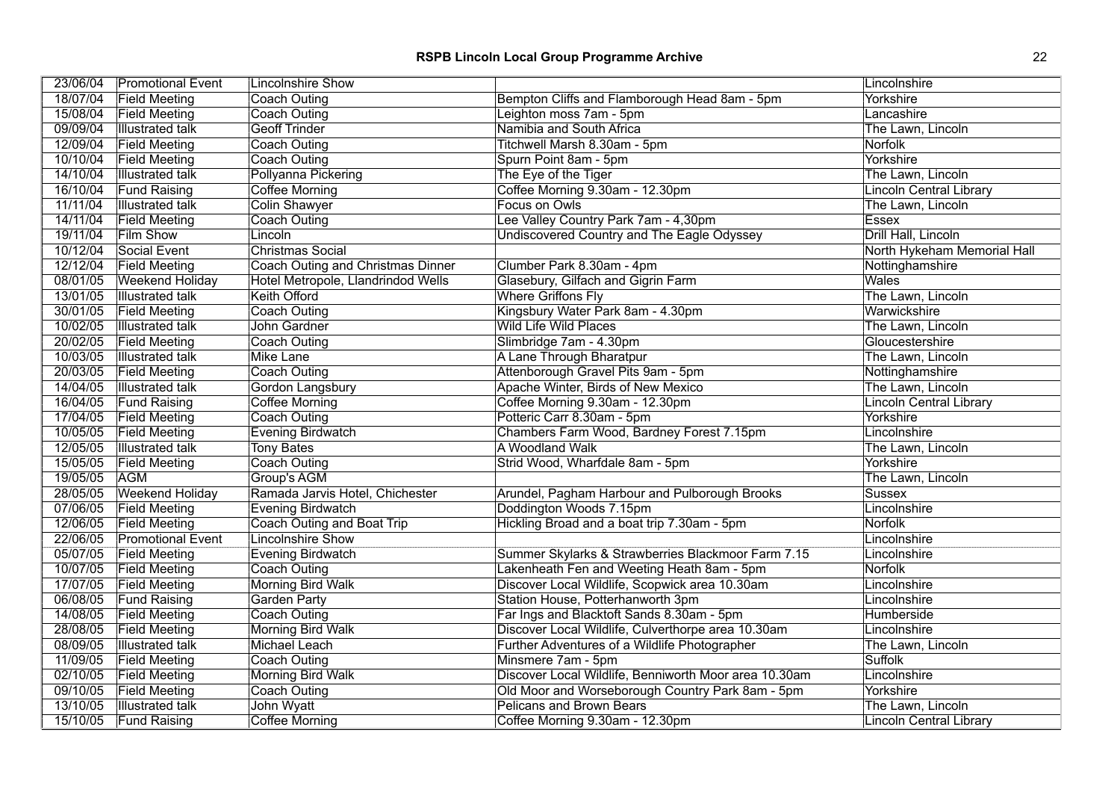| 23/06/04 | <b>Promotional Event</b> | <b>Lincolnshire Show</b>           |                                                       | Lincolnshire                   |
|----------|--------------------------|------------------------------------|-------------------------------------------------------|--------------------------------|
| 18/07/04 | <b>Field Meeting</b>     | Coach Outing                       | Bempton Cliffs and Flamborough Head 8am - 5pm         | Yorkshire                      |
| 15/08/04 | <b>Field Meeting</b>     | <b>Coach Outing</b>                | Leighton moss 7am - 5pm                               | Lancashire                     |
| 09/09/04 | <b>Illustrated talk</b>  | <b>Geoff Trinder</b>               | Namibia and South Africa                              | The Lawn, Lincoln              |
| 12/09/04 | <b>Field Meeting</b>     | <b>Coach Outing</b>                | Titchwell Marsh 8.30am - 5pm                          | Norfolk                        |
| 10/10/04 | <b>Field Meeting</b>     | <b>Coach Outing</b>                | Spurn Point 8am - 5pm                                 | Yorkshire                      |
| 14/10/04 | <b>Illustrated talk</b>  | Pollyanna Pickering                | The Eye of the Tiger                                  | The Lawn, Lincoln              |
| 16/10/04 | <b>Fund Raising</b>      | Coffee Morning                     | Coffee Morning 9.30am - 12.30pm                       | <b>Lincoln Central Library</b> |
| 11/11/04 | <b>Illustrated talk</b>  | <b>Colin Shawyer</b>               | Focus on Owls                                         | The Lawn, Lincoln              |
| 14/11/04 | <b>Field Meeting</b>     | <b>Coach Outing</b>                | Lee Valley Country Park 7am - 4,30pm                  | Essex                          |
| 19/11/04 | <b>Film Show</b>         | Lincoln                            | <b>Undiscovered Country and The Eagle Odyssey</b>     | Drill Hall, Lincoln            |
| 10/12/04 | Social Event             | Christmas Social                   |                                                       | North Hykeham Memorial Hall    |
| 12/12/04 | <b>Field Meeting</b>     | Coach Outing and Christmas Dinner  | Clumber Park 8.30am - 4pm                             | Nottinghamshire                |
| 08/01/05 | <b>Weekend Holiday</b>   | Hotel Metropole, Llandrindod Wells | Glasebury, Gilfach and Gigrin Farm                    | Wales                          |
| 13/01/05 | <b>Illustrated talk</b>  | <b>Keith Offord</b>                | <b>Where Griffons Fly</b>                             | The Lawn, Lincoln              |
| 30/01/05 | <b>Field Meeting</b>     | <b>Coach Outing</b>                | Kingsbury Water Park 8am - 4.30pm                     | Warwickshire                   |
| 10/02/05 | <b>Illustrated talk</b>  | John Gardner                       | <b>Wild Life Wild Places</b>                          | The Lawn, Lincoln              |
| 20/02/05 | <b>Field Meeting</b>     | <b>Coach Outing</b>                | Slimbridge 7am - 4.30pm                               | Gloucestershire                |
| 10/03/05 | Illustrated talk         | Mike Lane                          | A Lane Through Bharatpur                              | The Lawn, Lincoln              |
| 20/03/05 | <b>Field Meeting</b>     | <b>Coach Outing</b>                | Attenborough Gravel Pits 9am - 5pm                    | Nottinghamshire                |
| 14/04/05 | <b>Illustrated talk</b>  | Gordon Langsbury                   | Apache Winter, Birds of New Mexico                    | The Lawn, Lincoln              |
| 16/04/05 | <b>Fund Raising</b>      | <b>Coffee Morning</b>              | Coffee Morning 9.30am - 12.30pm                       | <b>Lincoln Central Library</b> |
| 17/04/05 | <b>Field Meeting</b>     | <b>Coach Outing</b>                | Potteric Carr 8.30am - 5pm                            | Yorkshire                      |
| 10/05/05 | <b>Field Meeting</b>     | <b>Evening Birdwatch</b>           | Chambers Farm Wood, Bardney Forest 7.15pm             | Lincolnshire                   |
| 12/05/05 | <b>Illustrated talk</b>  | <b>Tony Bates</b>                  | A Woodland Walk                                       | The Lawn, Lincoln              |
| 15/05/05 | <b>Field Meeting</b>     | <b>Coach Outing</b>                | Strid Wood, Wharfdale 8am - 5pm                       | Yorkshire                      |
| 19/05/05 | <b>AGM</b>               | Group's AGM                        |                                                       | The Lawn, Lincoln              |
| 28/05/05 | <b>Weekend Holiday</b>   | Ramada Jarvis Hotel, Chichester    | Arundel, Pagham Harbour and Pulborough Brooks         | <b>Sussex</b>                  |
| 07/06/05 | <b>Field Meeting</b>     | <b>Evening Birdwatch</b>           | Doddington Woods 7.15pm                               | Lincolnshire                   |
| 12/06/05 | <b>Field Meeting</b>     | <b>Coach Outing and Boat Trip</b>  | Hickling Broad and a boat trip 7.30am - 5pm           | Norfolk                        |
| 22/06/05 | <b>Promotional Event</b> | <b>Lincolnshire Show</b>           |                                                       | Lincolnshire                   |
| 05/07/05 | <b>Field Meeting</b>     | <b>Evening Birdwatch</b>           | Summer Skylarks & Strawberries Blackmoor Farm 7.15    | Lincolnshire                   |
| 10/07/05 | <b>Field Meeting</b>     | <b>Coach Outing</b>                | Lakenheath Fen and Weeting Heath 8am - 5pm            | Norfolk                        |
| 17/07/05 | <b>Field Meeting</b>     | <b>Morning Bird Walk</b>           | Discover Local Wildlife, Scopwick area 10.30am        | Lincolnshire                   |
| 06/08/05 | <b>Fund Raising</b>      | <b>Garden Party</b>                | Station House, Potterhanworth 3pm                     | Lincolnshire                   |
| 14/08/05 | <b>Field Meeting</b>     | <b>Coach Outing</b>                | Far Ings and Blacktoft Sands 8.30am - 5pm             | Humberside                     |
| 28/08/05 | <b>Field Meeting</b>     | <b>Morning Bird Walk</b>           | Discover Local Wildlife, Culverthorpe area 10.30am    | Lincolnshire                   |
| 08/09/05 | <b>Illustrated talk</b>  | Michael Leach                      | Further Adventures of a Wildlife Photographer         | The Lawn, Lincoln              |
| 11/09/05 | <b>Field Meeting</b>     | Coach Outing                       | Minsmere 7am - 5pm                                    | Suffolk                        |
| 02/10/05 | <b>Field Meeting</b>     | <b>Morning Bird Walk</b>           | Discover Local Wildlife, Benniworth Moor area 10.30am | Lincolnshire                   |
| 09/10/05 | <b>Field Meeting</b>     | <b>Coach Outing</b>                | Old Moor and Worseborough Country Park 8am - 5pm      | Yorkshire                      |
| 13/10/05 | <b>Illustrated talk</b>  | John Wyatt                         | <b>Pelicans and Brown Bears</b>                       | The Lawn, Lincoln              |
| 15/10/05 | <b>Fund Raising</b>      | <b>Coffee Morning</b>              | Coffee Morning 9.30am - 12.30pm                       | Lincoln Central Library        |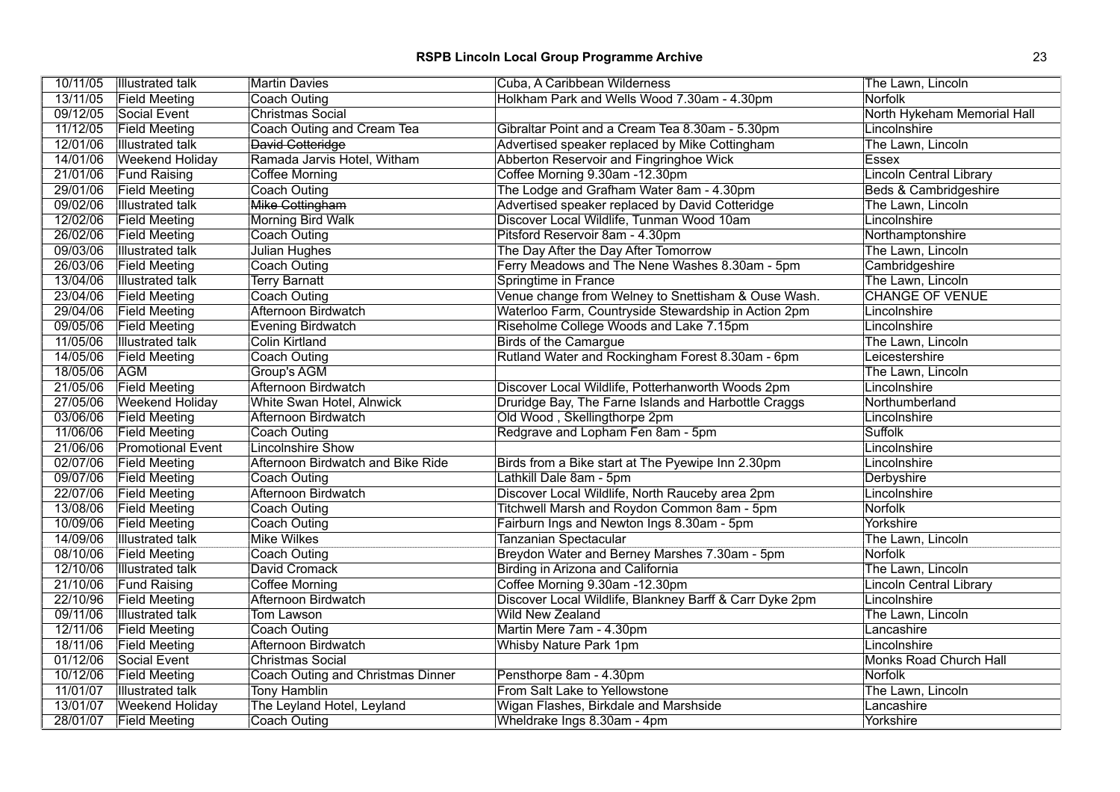| 10/11/05 | <b>Illustrated talk</b>  | <b>Martin Davies</b>              | Cuba, A Caribbean Wilderness                            | The Lawn, Lincoln              |
|----------|--------------------------|-----------------------------------|---------------------------------------------------------|--------------------------------|
| 13/11/05 | <b>Field Meeting</b>     | Coach Outing                      | Holkham Park and Wells Wood 7.30am - 4.30pm             | <b>Norfolk</b>                 |
| 09/12/05 | Social Event             | <b>Christmas Social</b>           |                                                         | North Hykeham Memorial Hall    |
| 11/12/05 | <b>Field Meeting</b>     | Coach Outing and Cream Tea        | Gibraltar Point and a Cream Tea 8.30am - 5.30pm         | Lincolnshire                   |
| 12/01/06 | <b>Illustrated talk</b>  | David Cotteridge                  | Advertised speaker replaced by Mike Cottingham          | The Lawn, Lincoln              |
| 14/01/06 | <b>Weekend Holiday</b>   | Ramada Jarvis Hotel, Witham       | Abberton Reservoir and Fingringhoe Wick                 | <b>Essex</b>                   |
| 21/01/06 | <b>Fund Raising</b>      | Coffee Morning                    | Coffee Morning 9.30am -12.30pm                          | Lincoln Central Library        |
| 29/01/06 | <b>Field Meeting</b>     | Coach Outing                      | The Lodge and Grafham Water 8am - 4.30pm                | Beds & Cambridgeshire          |
| 09/02/06 | <b>Illustrated talk</b>  | Mike Cottingham                   | Advertised speaker replaced by David Cotteridge         | The Lawn, Lincoln              |
| 12/02/06 | <b>Field Meeting</b>     | <b>Morning Bird Walk</b>          | Discover Local Wildlife, Tunman Wood 10am               | Lincolnshire                   |
| 26/02/06 | <b>Field Meeting</b>     | Coach Outing                      | Pitsford Reservoir 8am - 4.30pm                         | Northamptonshire               |
| 09/03/06 | <b>Illustrated talk</b>  | Julian Hughes                     | The Day After the Day After Tomorrow                    | The Lawn, Lincoln              |
| 26/03/06 | <b>Field Meeting</b>     | Coach Outing                      | Ferry Meadows and The Nene Washes 8.30am - 5pm          | Cambridgeshire                 |
| 13/04/06 | <b>Illustrated talk</b>  | <b>Terry Barnatt</b>              | Springtime in France                                    | The Lawn, Lincoln              |
| 23/04/06 | <b>Field Meeting</b>     | <b>Coach Outing</b>               | Venue change from Welney to Snettisham & Ouse Wash.     | <b>CHANGE OF VENUE</b>         |
| 29/04/06 | <b>Field Meeting</b>     | Afternoon Birdwatch               | Waterloo Farm, Countryside Stewardship in Action 2pm    | Lincolnshire                   |
| 09/05/06 | <b>Field Meeting</b>     | Evening Birdwatch                 | Riseholme College Woods and Lake 7.15pm                 | Lincolnshire                   |
| 11/05/06 | <b>Illustrated talk</b>  | <b>Colin Kirtland</b>             | <b>Birds of the Camargue</b>                            | The Lawn, Lincoln              |
| 14/05/06 | <b>Field Meeting</b>     | <b>Coach Outing</b>               | Rutland Water and Rockingham Forest 8.30am - 6pm        | Leicestershire                 |
| 18/05/06 | <b>AGM</b>               | Group's AGM                       |                                                         | The Lawn, Lincoln              |
| 21/05/06 | <b>Field Meeting</b>     | Afternoon Birdwatch               | Discover Local Wildlife, Potterhanworth Woods 2pm       | Lincolnshire                   |
| 27/05/06 | <b>Weekend Holiday</b>   | White Swan Hotel, Alnwick         | Druridge Bay, The Farne Islands and Harbottle Craggs    | Northumberland                 |
| 03/06/06 | <b>Field Meeting</b>     | Afternoon Birdwatch               | Old Wood, Skellingthorpe 2pm                            | Lincolnshire                   |
| 11/06/06 | <b>Field Meeting</b>     | Coach Outing                      | Redgrave and Lopham Fen 8am - 5pm                       | <b>Suffolk</b>                 |
| 21/06/06 | <b>Promotional Event</b> | <b>Lincolnshire Show</b>          |                                                         | Lincolnshire                   |
| 02/07/06 | <b>Field Meeting</b>     | Afternoon Birdwatch and Bike Ride | Birds from a Bike start at The Pyewipe Inn 2.30pm       | Lincolnshire                   |
| 09/07/06 | <b>Field Meeting</b>     | Coach Outing                      | Lathkill Dale 8am - 5pm                                 | Derbyshire                     |
| 22/07/06 | <b>Field Meeting</b>     | Afternoon Birdwatch               | Discover Local Wildlife, North Rauceby area 2pm         | Lincolnshire                   |
| 13/08/06 | <b>Field Meeting</b>     | Coach Outing                      | Titchwell Marsh and Roydon Common 8am - 5pm             | Norfolk                        |
| 10/09/06 | <b>Field Meeting</b>     | Coach Outing                      | Fairburn Ings and Newton Ings 8.30am - 5pm              | Yorkshire                      |
| 14/09/06 | <b>Illustrated talk</b>  | <b>Mike Wilkes</b>                | Tanzanian Spectacular                                   | The Lawn, Lincoln              |
| 08/10/06 | <b>Field Meeting</b>     | Coach Outing                      | Breydon Water and Berney Marshes 7.30am - 5pm           | <b>Norfolk</b>                 |
| 12/10/06 | Illustrated talk         | David Cromack                     | <b>Birding in Arizona and California</b>                | The Lawn, Lincoln              |
| 21/10/06 | <b>Fund Raising</b>      | <b>Coffee Morning</b>             | Coffee Morning 9.30am -12.30pm                          | <b>Lincoln Central Library</b> |
| 22/10/96 | <b>Field Meeting</b>     | Afternoon Birdwatch               | Discover Local Wildlife, Blankney Barff & Carr Dyke 2pm | Lincolnshire                   |
| 09/11/06 | <b>Illustrated talk</b>  | Tom Lawson                        | <b>Wild New Zealand</b>                                 | The Lawn, Lincoln              |
| 12/11/06 | <b>Field Meeting</b>     | <b>Coach Outing</b>               | Martin Mere 7am - 4.30pm                                | Lancashire                     |
| 18/11/06 | <b>Field Meeting</b>     | Afternoon Birdwatch               | Whisby Nature Park 1pm                                  | Lincolnshire                   |
| 01/12/06 | Social Event             | Christmas Social                  |                                                         | Monks Road Church Hall         |
| 10/12/06 | <b>Field Meeting</b>     | Coach Outing and Christmas Dinner | Pensthorpe 8am - 4.30pm                                 | <b>Norfolk</b>                 |
| 11/01/07 | <b>Illustrated talk</b>  | <b>Tony Hamblin</b>               | From Salt Lake to Yellowstone                           | The Lawn, Lincoln              |
| 13/01/07 | <b>Weekend Holiday</b>   | The Leyland Hotel, Leyland        | Wigan Flashes, Birkdale and Marshside                   | Lancashire                     |
| 28/01/07 | <b>Field Meeting</b>     | Coach Outing                      | Wheldrake Ings 8.30am - 4pm                             | Yorkshire                      |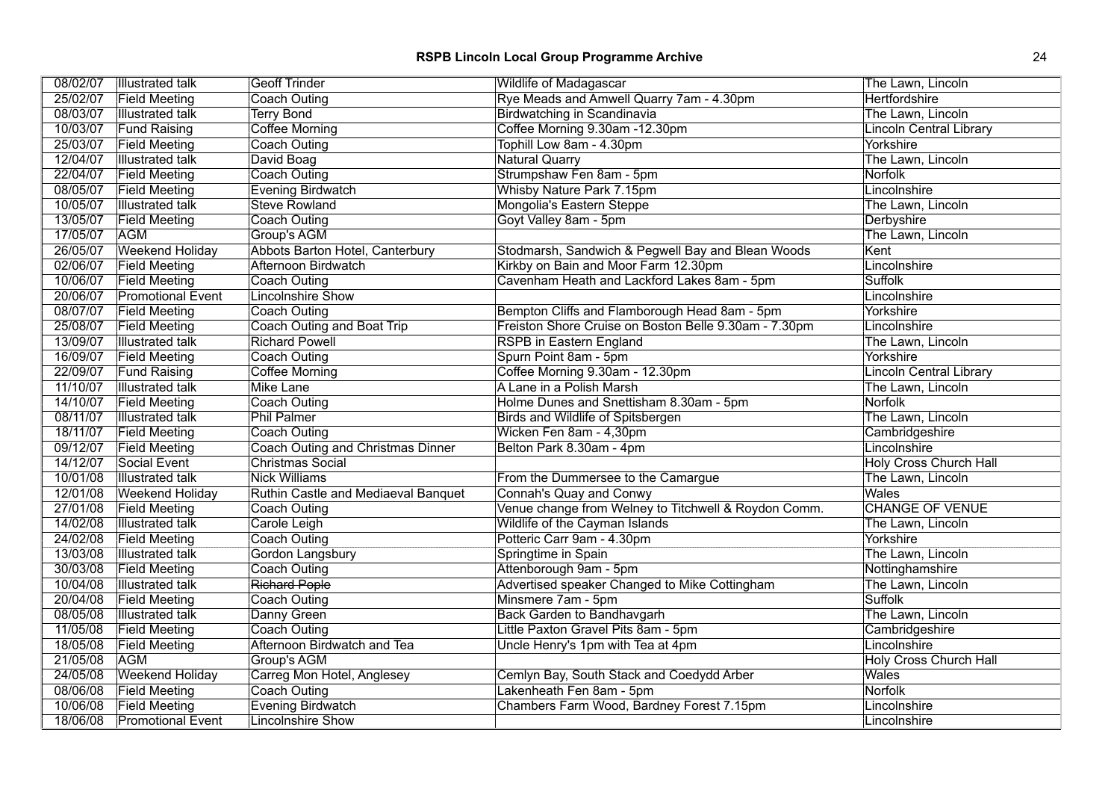# **RSPB Lincoln Local Group Programme Archive** 24

|          | 08/02/07   Illustrated talk | <b>Geoff Trinder</b>                     | <b>Wildlife of Madagascar</b>                         | The Lawn, Lincoln              |
|----------|-----------------------------|------------------------------------------|-------------------------------------------------------|--------------------------------|
| 25/02/07 | <b>Field Meeting</b>        | Coach Outing                             | Rye Meads and Amwell Quarry 7am - 4.30pm              | Hertfordshire                  |
| 08/03/07 | <b>Illustrated talk</b>     | <b>Terry Bond</b>                        | <b>Birdwatching in Scandinavia</b>                    | The Lawn, Lincoln              |
| 10/03/07 | <b>Fund Raising</b>         | <b>Coffee Morning</b>                    | Coffee Morning 9.30am -12.30pm                        | <b>Lincoln Central Library</b> |
| 25/03/07 | <b>Field Meeting</b>        | <b>Coach Outing</b>                      | Tophill Low 8am - 4.30pm                              | Yorkshire                      |
| 12/04/07 | <b>Illustrated talk</b>     | David Boag                               | <b>Natural Quarry</b>                                 | The Lawn, Lincoln              |
| 22/04/07 | <b>Field Meeting</b>        | Coach Outing                             | Strumpshaw Fen 8am - 5pm                              | Norfolk                        |
| 08/05/07 | <b>Field Meeting</b>        | Evening Birdwatch                        | Whisby Nature Park 7.15pm                             | Lincolnshire                   |
| 10/05/07 | <b>Illustrated talk</b>     | <b>Steve Rowland</b>                     | Mongolia's Eastern Steppe                             | The Lawn, Lincoln              |
| 13/05/07 | <b>Field Meeting</b>        | Coach Outing                             | Goyt Valley 8am - 5pm                                 | Derbyshire                     |
| 17/05/07 | <b>AGM</b>                  | Group's AGM                              |                                                       | The Lawn, Lincoln              |
| 26/05/07 | <b>Weekend Holiday</b>      | Abbots Barton Hotel, Canterbury          | Stodmarsh, Sandwich & Pegwell Bay and Blean Woods     | Kent                           |
| 02/06/07 | <b>Field Meeting</b>        | Afternoon Birdwatch                      | Kirkby on Bain and Moor Farm 12.30pm                  | Lincolnshire                   |
| 10/06/07 | <b>Field Meeting</b>        | <b>Coach Outing</b>                      | Cavenham Heath and Lackford Lakes 8am - 5pm           | <b>Suffolk</b>                 |
| 20/06/07 | <b>Promotional Event</b>    | <b>Lincolnshire Show</b>                 |                                                       | Lincolnshire                   |
| 08/07/07 | <b>Field Meeting</b>        | Coach Outing                             | Bempton Cliffs and Flamborough Head 8am - 5pm         | Yorkshire                      |
| 25/08/07 | <b>Field Meeting</b>        | Coach Outing and Boat Trip               | Freiston Shore Cruise on Boston Belle 9.30am - 7.30pm | Lincolnshire                   |
| 13/09/07 | <b>Illustrated talk</b>     | <b>Richard Powell</b>                    | <b>RSPB</b> in Eastern England                        | The Lawn, Lincoln              |
| 16/09/07 | <b>Field Meeting</b>        | Coach Outing                             | Spurn Point 8am - 5pm                                 | Yorkshire                      |
| 22/09/07 | <b>Fund Raising</b>         | <b>Coffee Morning</b>                    | Coffee Morning 9.30am - 12.30pm                       | <b>Lincoln Central Library</b> |
| 11/10/07 | <b>Illustrated talk</b>     | <b>Mike Lane</b>                         | A Lane in a Polish Marsh                              | The Lawn, Lincoln              |
| 14/10/07 | <b>Field Meeting</b>        | Coach Outing                             | Holme Dunes and Snettisham 8.30am - 5pm               | Norfolk                        |
| 08/11/07 | <b>Illustrated talk</b>     | <b>Phil Palmer</b>                       | <b>Birds and Wildlife of Spitsbergen</b>              | The Lawn, Lincoln              |
| 18/11/07 | <b>Field Meeting</b>        | <b>Coach Outing</b>                      | Wicken Fen 8am - 4,30pm                               | Cambridgeshire                 |
| 09/12/07 | <b>Field Meeting</b>        | <b>Coach Outing and Christmas Dinner</b> | Belton Park 8.30am - 4pm                              | Lincolnshire                   |
| 14/12/07 | Social Event                | Christmas Social                         |                                                       | <b>Holy Cross Church Hall</b>  |
| 10/01/08 | <b>Illustrated talk</b>     | <b>Nick Williams</b>                     | From the Dummersee to the Camargue                    | The Lawn, Lincoln              |
| 12/01/08 | <b>Weekend Holiday</b>      | Ruthin Castle and Mediaeval Banquet      | Connah's Quay and Conwy                               | <b>Wales</b>                   |
| 27/01/08 | <b>Field Meeting</b>        | Coach Outing                             | Venue change from Welney to Titchwell & Roydon Comm.  | <b>CHANGE OF VENUE</b>         |
| 14/02/08 | <b>Illustrated talk</b>     | Carole Leigh                             | Wildlife of the Cayman Islands                        | The Lawn, Lincoln              |
| 24/02/08 | <b>Field Meeting</b>        | Coach Outing                             | Potteric Carr 9am - 4.30pm                            | Yorkshire                      |
| 13/03/08 | <b>Illustrated talk</b>     | Gordon Langsbury                         | Springtime in Spain                                   | The Lawn, Lincoln              |
| 30/03/08 | <b>Field Meeting</b>        | Coach Outing                             | Attenborough 9am - 5pm                                | Nottinghamshire                |
| 10/04/08 | <b>Illustrated talk</b>     | <b>Richard Pople</b>                     | Advertised speaker Changed to Mike Cottingham         | The Lawn, Lincoln              |
| 20/04/08 | <b>Field Meeting</b>        | Coach Outing                             | Minsmere 7am - 5pm                                    | <b>Suffolk</b>                 |
| 08/05/08 | Illustrated talk            | Danny Green                              | <b>Back Garden to Bandhavgarh</b>                     | The Lawn, Lincoln              |
| 11/05/08 | <b>Field Meeting</b>        | <b>Coach Outing</b>                      | Little Paxton Gravel Pits 8am - 5pm                   | Cambridgeshire                 |
| 18/05/08 | <b>Field Meeting</b>        | Afternoon Birdwatch and Tea              | Uncle Henry's 1pm with Tea at 4pm                     | Lincolnshire                   |
| 21/05/08 | <b>AGM</b>                  | Group's AGM                              |                                                       | <b>Holy Cross Church Hall</b>  |
| 24/05/08 | <b>Weekend Holiday</b>      | Carreg Mon Hotel, Anglesey               | Cemlyn Bay, South Stack and Coedydd Arber             | <b>Wales</b>                   |
| 08/06/08 | <b>Field Meeting</b>        | <b>Coach Outing</b>                      | Lakenheath Fen 8am - 5pm                              | <b>Norfolk</b>                 |
| 10/06/08 | <b>Field Meeting</b>        | Evening Birdwatch                        | Chambers Farm Wood, Bardney Forest 7.15pm             | Lincolnshire                   |
| 18/06/08 | <b>Promotional Event</b>    | Lincolnshire Show                        |                                                       | Lincolnshire                   |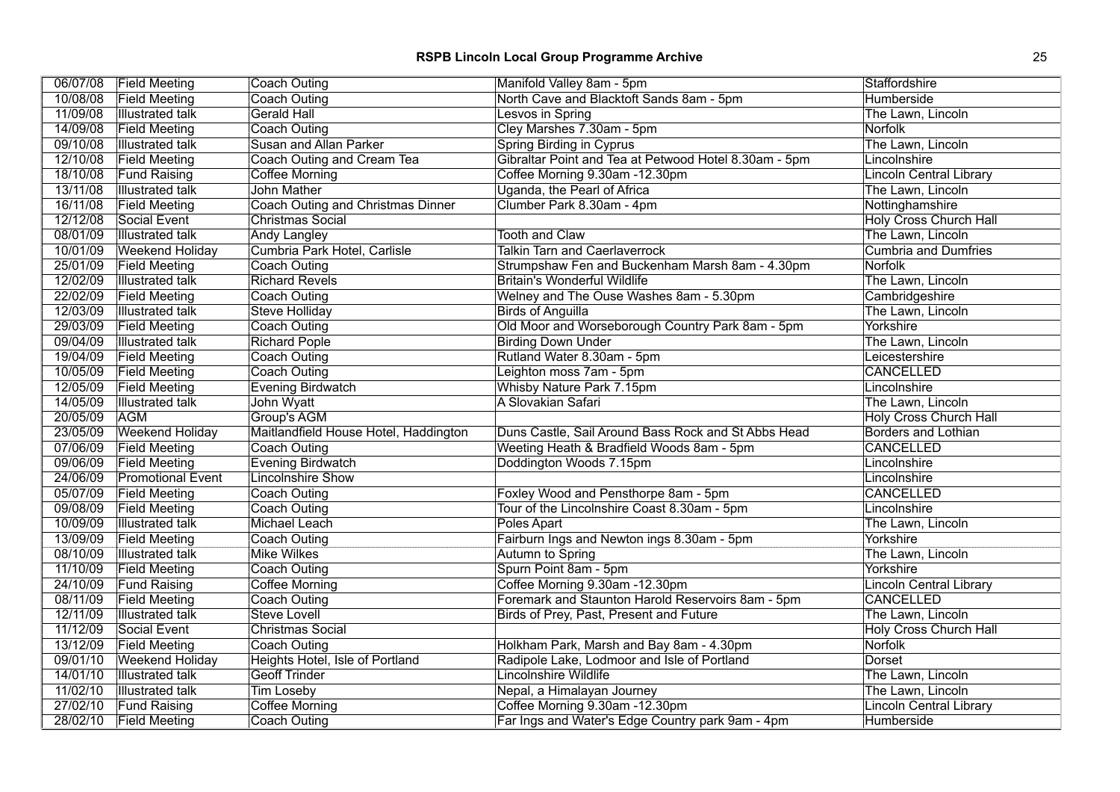|          | 06/07/08 Field Meeting   | Coach Outing                          | Manifold Valley 8am - 5pm                             | Staffordshire                  |
|----------|--------------------------|---------------------------------------|-------------------------------------------------------|--------------------------------|
| 10/08/08 | <b>Field Meeting</b>     | Coach Outing                          | North Cave and Blacktoft Sands 8am - 5pm              | Humberside                     |
| 11/09/08 | <b>Illustrated talk</b>  | <b>Gerald Hall</b>                    | Lesvos in Spring                                      | The Lawn, Lincoln              |
| 14/09/08 | <b>Field Meeting</b>     | Coach Outing                          | Cley Marshes 7.30am - 5pm                             | Norfolk                        |
| 09/10/08 | <b>Illustrated talk</b>  | Susan and Allan Parker                | <b>Spring Birding in Cyprus</b>                       | The Lawn, Lincoln              |
| 12/10/08 | <b>Field Meeting</b>     | Coach Outing and Cream Tea            | Gibraltar Point and Tea at Petwood Hotel 8.30am - 5pm | Lincolnshire                   |
| 18/10/08 | <b>Fund Raising</b>      | Coffee Morning                        | Coffee Morning 9.30am -12.30pm                        | Lincoln Central Library        |
| 13/11/08 | <b>Illustrated talk</b>  | John Mather                           | Uganda, the Pearl of Africa                           | The Lawn, Lincoln              |
| 16/11/08 | <b>Field Meeting</b>     | Coach Outing and Christmas Dinner     | Clumber Park 8.30am - 4pm                             | Nottinghamshire                |
| 12/12/08 | Social Event             | <b>Christmas Social</b>               |                                                       | <b>Holy Cross Church Hall</b>  |
| 08/01/09 | <b>Illustrated talk</b>  | Andy Langley                          | <b>Tooth and Claw</b>                                 | The Lawn, Lincoln              |
| 10/01/09 | <b>Weekend Holiday</b>   | Cumbria Park Hotel, Carlisle          | <b>Talkin Tarn and Caerlaverrock</b>                  | <b>Cumbria and Dumfries</b>    |
| 25/01/09 | <b>Field Meeting</b>     | Coach Outing                          | Strumpshaw Fen and Buckenham Marsh 8am - 4.30pm       | <b>Norfolk</b>                 |
| 12/02/09 | <b>Illustrated talk</b>  | <b>Richard Revels</b>                 | <b>Britain's Wonderful Wildlife</b>                   | The Lawn, Lincoln              |
| 22/02/09 | <b>Field Meeting</b>     | Coach Outing                          | Welney and The Ouse Washes 8am - 5.30pm               | Cambridgeshire                 |
| 12/03/09 | <b>Illustrated talk</b>  | Steve Holliday                        | <b>Birds of Anguilla</b>                              | The Lawn, Lincoln              |
| 29/03/09 | <b>Field Meeting</b>     | Coach Outing                          | Old Moor and Worseborough Country Park 8am - 5pm      | Yorkshire                      |
| 09/04/09 | <b>Illustrated talk</b>  | <b>Richard Pople</b>                  | <b>Birding Down Under</b>                             | The Lawn, Lincoln              |
| 19/04/09 | <b>Field Meeting</b>     | Coach Outing                          | Rutland Water 8.30am - 5pm                            | Leicestershire                 |
| 10/05/09 | <b>Field Meeting</b>     | Coach Outing                          | Leighton moss 7am - 5pm                               | <b>CANCELLED</b>               |
| 12/05/09 | <b>Field Meeting</b>     | Evening Birdwatch                     | Whisby Nature Park 7.15pm                             | Lincolnshire                   |
| 14/05/09 | <b>Illustrated talk</b>  | John Wyatt                            | A Slovakian Safari                                    | The Lawn, Lincoln              |
| 20/05/09 | <b>AGM</b>               | Group's AGM                           |                                                       | <b>Holy Cross Church Hall</b>  |
| 23/05/09 | <b>Weekend Holiday</b>   | Maitlandfield House Hotel, Haddington | Duns Castle, Sail Around Bass Rock and St Abbs Head   | <b>Borders and Lothian</b>     |
| 07/06/09 | <b>Field Meeting</b>     | Coach Outing                          | Weeting Heath & Bradfield Woods 8am - 5pm             | <b>CANCELLED</b>               |
| 09/06/09 | <b>Field Meeting</b>     | Evening Birdwatch                     | Doddington Woods 7.15pm                               | Lincolnshire                   |
| 24/06/09 | <b>Promotional Event</b> | <b>Lincolnshire Show</b>              |                                                       | Lincolnshire                   |
| 05/07/09 | <b>Field Meeting</b>     | Coach Outing                          | Foxley Wood and Pensthorpe 8am - 5pm                  | <b>CANCELLED</b>               |
| 09/08/09 | <b>Field Meeting</b>     | Coach Outing                          | Tour of the Lincolnshire Coast 8.30am - 5pm           | Lincolnshire                   |
| 10/09/09 | <b>Illustrated talk</b>  | Michael Leach                         | Poles Apart                                           | The Lawn, Lincoln              |
| 13/09/09 | <b>Field Meeting</b>     | Coach Outing                          | Fairburn Ings and Newton ings 8.30am - 5pm            | Yorkshire                      |
| 08/10/09 | <b>Illustrated talk</b>  | <b>Mike Wilkes</b>                    | Autumn to Spring                                      | The Lawn, Lincoln              |
| 11/10/09 | <b>Field Meeting</b>     | <b>Coach Outing</b>                   | Spurn Point 8am - 5pm                                 | Yorkshire                      |
| 24/10/09 | <b>Fund Raising</b>      | Coffee Morning                        | Coffee Morning 9.30am -12.30pm                        | Lincoln Central Library        |
| 08/11/09 | <b>Field Meeting</b>     | Coach Outing                          | Foremark and Staunton Harold Reservoirs 8am - 5pm     | <b>CANCELLED</b>               |
| 12/11/09 | <b>Illustrated talk</b>  | Steve Lovell                          | Birds of Prey, Past, Present and Future               | The Lawn, Lincoln              |
| 11/12/09 | Social Event             | Christmas Social                      |                                                       | Holy Cross Church Hall         |
| 13/12/09 | <b>Field Meeting</b>     | Coach Outing                          | Holkham Park, Marsh and Bay 8am - 4.30pm              | Norfolk                        |
| 09/01/10 | <b>Weekend Holiday</b>   | Heights Hotel, Isle of Portland       | Radipole Lake, Lodmoor and Isle of Portland           | Dorset                         |
| 14/01/10 | Illustrated talk         | <b>Geoff Trinder</b>                  | <b>Lincolnshire Wildlife</b>                          | The Lawn, Lincoln              |
| 11/02/10 | <b>Illustrated talk</b>  | <b>Tim Loseby</b>                     | Nepal, a Himalayan Journey                            | The Lawn, Lincoln              |
| 27/02/10 | <b>Fund Raising</b>      | <b>Coffee Morning</b>                 | Coffee Morning 9.30am -12.30pm                        | <b>Lincoln Central Library</b> |
| 28/02/10 | <b>Field Meeting</b>     | Coach Outing                          | Far Ings and Water's Edge Country park 9am - 4pm      | Humberside                     |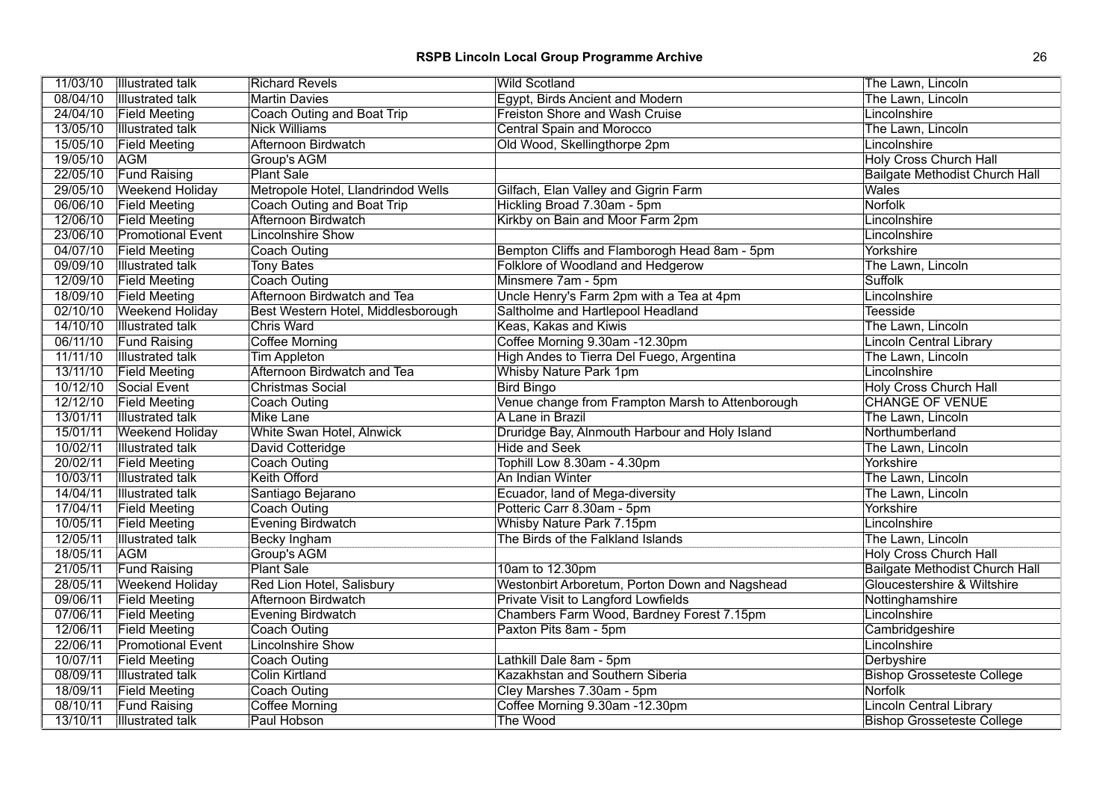| 11/03/10 | <b>Illustrated talk</b>  | <b>Richard Revels</b>              | <b>Wild Scotland</b>                             | The Lawn, Lincoln                     |
|----------|--------------------------|------------------------------------|--------------------------------------------------|---------------------------------------|
| 08/04/10 | <b>Illustrated talk</b>  | <b>Martin Davies</b>               | Egypt, Birds Ancient and Modern                  | The Lawn, Lincoln                     |
| 24/04/10 | <b>Field Meeting</b>     | <b>Coach Outing and Boat Trip</b>  | <b>Freiston Shore and Wash Cruise</b>            | Lincolnshire                          |
| 13/05/10 | <b>Illustrated talk</b>  | <b>Nick Williams</b>               | <b>Central Spain and Morocco</b>                 | The Lawn, Lincoln                     |
| 15/05/10 | <b>Field Meeting</b>     | Afternoon Birdwatch                | Old Wood, Skellingthorpe 2pm                     | Lincolnshire                          |
| 19/05/10 | <b>AGM</b>               | Group's AGM                        |                                                  | <b>Holy Cross Church Hall</b>         |
| 22/05/10 | <b>Fund Raising</b>      | <b>Plant Sale</b>                  |                                                  | <b>Bailgate Methodist Church Hall</b> |
| 29/05/10 | <b>Weekend Holiday</b>   | Metropole Hotel, Llandrindod Wells | Gilfach, Elan Valley and Gigrin Farm             | <b>Wales</b>                          |
| 06/06/10 | <b>Field Meeting</b>     | <b>Coach Outing and Boat Trip</b>  | Hickling Broad 7.30am - 5pm                      | Norfolk                               |
| 12/06/10 | <b>Field Meeting</b>     | Afternoon Birdwatch                | Kirkby on Bain and Moor Farm 2pm                 | Lincolnshire                          |
| 23/06/10 | <b>Promotional Event</b> | Lincolnshire Show                  |                                                  | Lincolnshire                          |
| 04/07/10 | <b>Field Meeting</b>     | <b>Coach Outing</b>                | Bempton Cliffs and Flamborogh Head 8am - 5pm     | Yorkshire                             |
| 09/09/10 | <b>Illustrated talk</b>  | <b>Tony Bates</b>                  | Folklore of Woodland and Hedgerow                | The Lawn, Lincoln                     |
| 12/09/10 | <b>Field Meeting</b>     | Coach Outing                       | Minsmere 7am - 5pm                               | <b>Suffolk</b>                        |
| 18/09/10 | <b>Field Meeting</b>     | Afternoon Birdwatch and Tea        | Uncle Henry's Farm 2pm with a Tea at 4pm         | Lincolnshire                          |
| 02/10/10 | <b>Weekend Holiday</b>   | Best Western Hotel, Middlesborough | Saltholme and Hartlepool Headland                | Teesside                              |
| 14/10/10 | <b>Illustrated talk</b>  | <b>Chris Ward</b>                  | Keas, Kakas and Kiwis                            | The Lawn, Lincoln                     |
| 06/11/10 | <b>Fund Raising</b>      | Coffee Morning                     | Coffee Morning 9.30am -12.30pm                   | <b>Lincoln Central Library</b>        |
| 11/11/10 | <b>Illustrated talk</b>  | Tim Appleton                       | High Andes to Tierra Del Fuego, Argentina        | The Lawn, Lincoln                     |
| 13/11/10 | <b>Field Meeting</b>     | <b>Afternoon Birdwatch and Tea</b> | <b>Whisby Nature Park 1pm</b>                    | Lincolnshire                          |
| 10/12/10 | Social Event             | <b>Christmas Social</b>            | <b>Bird Bingo</b>                                | <b>Holy Cross Church Hall</b>         |
| 12/12/10 | <b>Field Meeting</b>     | Coach Outing                       | Venue change from Frampton Marsh to Attenborough | <b>CHANGE OF VENUE</b>                |
| 13/01/11 | <b>Illustrated talk</b>  | <b>Mike Lane</b>                   | A Lane in Brazil                                 | The Lawn, Lincoln                     |
| 15/01/11 | <b>Weekend Holiday</b>   | White Swan Hotel, Alnwick          | Druridge Bay, Alnmouth Harbour and Holy Island   | Northumberland                        |
| 10/02/11 | <b>Illustrated talk</b>  | David Cotteridge                   | <b>Hide and Seek</b>                             | The Lawn, Lincoln                     |
| 20/02/11 | <b>Field Meeting</b>     | <b>Coach Outing</b>                | Tophill Low 8.30am - 4.30pm                      | Yorkshire                             |
| 10/03/11 | <b>Illustrated talk</b>  | <b>Keith Offord</b>                | An Indian Winter                                 | The Lawn, Lincoln                     |
| 14/04/11 | <b>Illustrated talk</b>  | Santiago Bejarano                  | Ecuador, land of Mega-diversity                  | The Lawn, Lincoln                     |
| 17/04/11 | <b>Field Meeting</b>     | <b>Coach Outing</b>                | Potteric Carr 8.30am - 5pm                       | Yorkshire                             |
| 10/05/11 | <b>Field Meeting</b>     | <b>Evening Birdwatch</b>           | Whisby Nature Park 7.15pm                        | Lincolnshire                          |
| 12/05/11 | <b>Illustrated talk</b>  | <b>Becky Ingham</b>                | The Birds of the Falkland Islands                | The Lawn, Lincoln                     |
| 18/05/11 | <b>AGM</b>               | Group's AGM                        |                                                  | <b>Holy Cross Church Hall</b>         |
| 21/05/11 | <b>Fund Raising</b>      | <b>Plant Sale</b>                  | 10am to 12.30pm                                  | <b>Bailgate Methodist Church Hall</b> |
| 28/05/11 | <b>Weekend Holiday</b>   | Red Lion Hotel, Salisbury          | Westonbirt Arboretum, Porton Down and Nagshead   | Gloucestershire & Wiltshire           |
| 09/06/11 | <b>Field Meeting</b>     | <b>Afternoon Birdwatch</b>         | <b>Private Visit to Langford Lowfields</b>       | Nottinghamshire                       |
| 07/06/11 | <b>Field Meeting</b>     | <b>Evening Birdwatch</b>           | Chambers Farm Wood, Bardney Forest 7.15pm        | Lincolnshire                          |
| 12/06/11 | <b>Field Meeting</b>     | Coach Outing                       | Paxton Pits 8am - 5pm                            | Cambridgeshire                        |
| 22/06/11 | <b>Promotional Event</b> | Lincolnshire Show                  |                                                  | Lincolnshire                          |
| 10/07/11 | <b>Field Meeting</b>     | <b>Coach Outing</b>                | Lathkill Dale 8am - 5pm                          | Derbyshire                            |
| 08/09/11 | <b>Illustrated talk</b>  | <b>Colin Kirtland</b>              | Kazakhstan and Southern Siberia                  | <b>Bishop Grosseteste College</b>     |
| 18/09/11 | <b>Field Meeting</b>     | <b>Coach Outing</b>                | Cley Marshes 7.30am - 5pm                        | <b>Norfolk</b>                        |
| 08/10/11 | <b>Fund Raising</b>      | <b>Coffee Morning</b>              | Coffee Morning 9.30am -12.30pm                   | <b>Lincoln Central Library</b>        |
| 13/10/11 | <b>Illustrated talk</b>  | Paul Hobson                        | The Wood                                         | <b>Bishop Grosseteste College</b>     |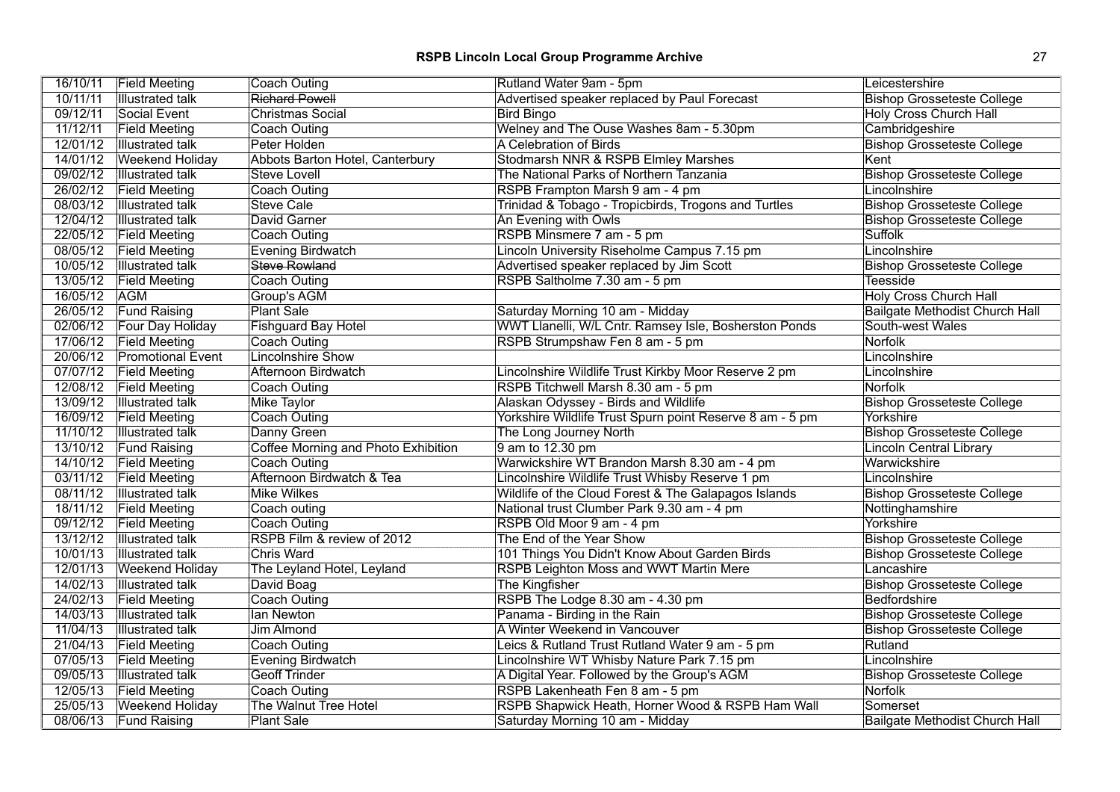| 16/10/11 | <b>Field Meeting</b>      | <b>Coach Outing</b>                        | Rutland Water 9am - 5pm                                  | Leicestershire                        |
|----------|---------------------------|--------------------------------------------|----------------------------------------------------------|---------------------------------------|
| 10/11/11 | <b>Illustrated talk</b>   | <b>Richard Powell</b>                      | Advertised speaker replaced by Paul Forecast             | <b>Bishop Grosseteste College</b>     |
| 09/12/11 | Social Event              | <b>Christmas Social</b>                    | <b>Bird Bingo</b>                                        | <b>Holy Cross Church Hall</b>         |
| 11/12/11 | <b>Field Meeting</b>      | Coach Outing                               | Welney and The Ouse Washes 8am - 5.30pm                  | Cambridgeshire                        |
| 12/01/12 | <b>Illustrated talk</b>   | Peter Holden                               | A Celebration of Birds                                   | <b>Bishop Grosseteste College</b>     |
| 14/01/12 | <b>Weekend Holiday</b>    | Abbots Barton Hotel, Canterbury            | Stodmarsh NNR & RSPB Elmley Marshes                      | Kent                                  |
| 09/02/12 | <b>Illustrated talk</b>   | Steve Lovell                               | The National Parks of Northern Tanzania                  | <b>Bishop Grosseteste College</b>     |
| 26/02/12 | <b>Field Meeting</b>      | Coach Outing                               | RSPB Frampton Marsh 9 am - 4 pm                          | Lincolnshire                          |
| 08/03/12 | <b>Illustrated talk</b>   | <b>Steve Cale</b>                          | Trinidad & Tobago - Tropicbirds, Trogons and Turtles     | <b>Bishop Grosseteste College</b>     |
| 12/04/12 | <b>Illustrated talk</b>   | David Garner                               | An Evening with Owls                                     | <b>Bishop Grosseteste College</b>     |
| 22/05/12 | <b>Field Meeting</b>      | <b>Coach Outing</b>                        | RSPB Minsmere 7 am - 5 pm                                | Suffolk                               |
| 08/05/12 | <b>Field Meeting</b>      | Evening Birdwatch                          | Lincoln University Riseholme Campus 7.15 pm              | Lincolnshire                          |
| 10/05/12 | <b>Illustrated talk</b>   | <b>Steve Rowland</b>                       | Advertised speaker replaced by Jim Scott                 | <b>Bishop Grosseteste College</b>     |
| 13/05/12 | <b>Field Meeting</b>      | <b>Coach Outing</b>                        | RSPB Saltholme 7.30 am - 5 pm                            | Teesside                              |
| 16/05/12 | <b>AGM</b>                | Group's AGM                                |                                                          | <b>Holy Cross Church Hall</b>         |
| 26/05/12 | <b>Fund Raising</b>       | <b>Plant Sale</b>                          | Saturday Morning 10 am - Midday                          | <b>Bailgate Methodist Church Hall</b> |
|          | 02/06/12 Four Day Holiday | <b>Fishguard Bay Hotel</b>                 | WWT Llanelli, W/L Cntr. Ramsey Isle, Bosherston Ponds    | South-west Wales                      |
| 17/06/12 | <b>Field Meeting</b>      | Coach Outing                               | RSPB Strumpshaw Fen 8 am - 5 pm                          | Norfolk                               |
| 20/06/12 | <b>Promotional Event</b>  | <b>Lincolnshire Show</b>                   |                                                          | Lincolnshire                          |
| 07/07/12 | <b>Field Meeting</b>      | Afternoon Birdwatch                        | Lincolnshire Wildlife Trust Kirkby Moor Reserve 2 pm     | Lincolnshire                          |
| 12/08/12 | <b>Field Meeting</b>      | Coach Outing                               | RSPB Titchwell Marsh 8.30 am - 5 pm                      | <b>Norfolk</b>                        |
| 13/09/12 | <b>Illustrated talk</b>   | <b>Mike Taylor</b>                         | Alaskan Odyssey - Birds and Wildlife                     | <b>Bishop Grosseteste College</b>     |
| 16/09/12 | <b>Field Meeting</b>      | Coach Outing                               | Yorkshire Wildlife Trust Spurn point Reserve 8 am - 5 pm | Yorkshire                             |
| 11/10/12 | <b>Illustrated talk</b>   | Danny Green                                | The Long Journey North                                   | <b>Bishop Grosseteste College</b>     |
| 13/10/12 | <b>Fund Raising</b>       | <b>Coffee Morning and Photo Exhibition</b> | 9 am to 12.30 pm                                         | <b>Lincoln Central Library</b>        |
| 14/10/12 | <b>Field Meeting</b>      | <b>Coach Outing</b>                        | Warwickshire WT Brandon Marsh 8.30 am - 4 pm             | Warwickshire                          |
| 03/11/12 | <b>Field Meeting</b>      | Afternoon Birdwatch & Tea                  | Lincolnshire Wildlife Trust Whisby Reserve 1 pm          | Lincolnshire                          |
| 08/11/12 | <b>Illustrated talk</b>   | <b>Mike Wilkes</b>                         | Wildlife of the Cloud Forest & The Galapagos Islands     | <b>Bishop Grosseteste College</b>     |
| 18/11/12 | <b>Field Meeting</b>      | Coach outing                               | National trust Clumber Park 9.30 am - 4 pm               | Nottinghamshire                       |
| 09/12/12 | <b>Field Meeting</b>      | Coach Outing                               | RSPB Old Moor 9 am - 4 pm                                | Yorkshire                             |
| 13/12/12 | <b>Illustrated talk</b>   | RSPB Film & review of 2012                 | The End of the Year Show                                 | <b>Bishop Grosseteste College</b>     |
| 10/01/13 | <b>Illustrated talk</b>   | <b>Chris Ward</b>                          | 101 Things You Didn't Know About Garden Birds            | <b>Bishop Grosseteste College</b>     |
| 12/01/13 | <b>Weekend Holiday</b>    | The Leyland Hotel, Leyland                 | <b>RSPB Leighton Moss and WWT Martin Mere</b>            | Lancashire                            |
| 14/02/13 | <b>Illustrated talk</b>   | David Boag                                 | The Kingfisher                                           | <b>Bishop Grosseteste College</b>     |
| 24/02/13 | <b>Field Meeting</b>      | Coach Outing                               | RSPB The Lodge 8.30 am - 4.30 pm                         | Bedfordshire                          |
| 14/03/13 | <b>Illustrated talk</b>   | lan Newton                                 | Panama - Birding in the Rain                             | <b>Bishop Grosseteste College</b>     |
| 11/04/13 | <b>Illustrated talk</b>   | Jim Almond                                 | A Winter Weekend in Vancouver                            | <b>Bishop Grosseteste College</b>     |
| 21/04/13 | <b>Field Meeting</b>      | Coach Outing                               | Leics & Rutland Trust Rutland Water 9 am - 5 pm          | Rutland                               |
| 07/05/13 | <b>Field Meeting</b>      | <b>Evening Birdwatch</b>                   | Lincolnshire WT Whisby Nature Park 7.15 pm               | Lincolnshire                          |
| 09/05/13 | <b>Illustrated talk</b>   | <b>Geoff Trinder</b>                       | A Digital Year. Followed by the Group's AGM              | <b>Bishop Grosseteste College</b>     |
| 12/05/13 | <b>Field Meeting</b>      | <b>Coach Outing</b>                        | RSPB Lakenheath Fen 8 am - 5 pm                          | Norfolk                               |
| 25/05/13 | <b>Weekend Holiday</b>    | The Walnut Tree Hotel                      | RSPB Shapwick Heath, Horner Wood & RSPB Ham Wall         | Somerset                              |
| 08/06/13 | <b>Fund Raising</b>       | <b>Plant Sale</b>                          | Saturday Morning 10 am - Midday                          | Bailgate Methodist Church Hall        |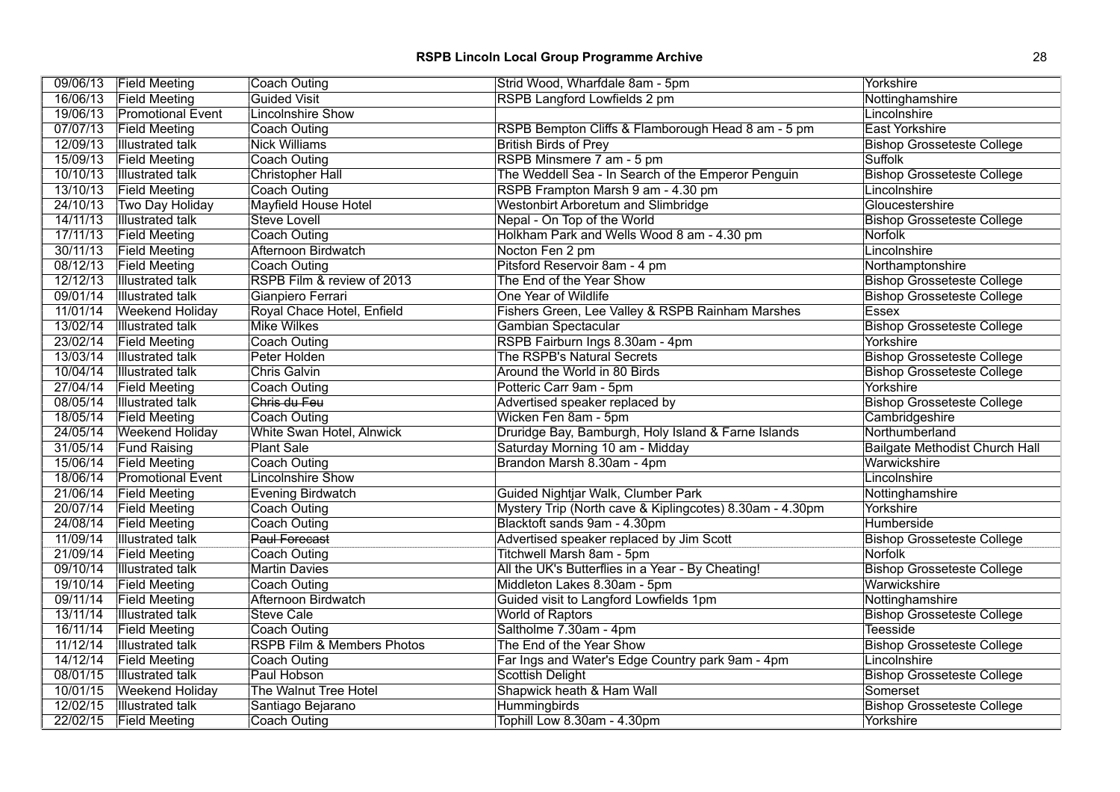|          | 09/06/13 Field Meeting   | Coach Outing               | Strid Wood, Wharfdale 8am - 5pm                          | Yorkshire                             |
|----------|--------------------------|----------------------------|----------------------------------------------------------|---------------------------------------|
| 16/06/13 | <b>Field Meeting</b>     | <b>Guided Visit</b>        | RSPB Langford Lowfields 2 pm                             | Nottinghamshire                       |
| 19/06/13 | <b>Promotional Event</b> | <b>Lincolnshire Show</b>   |                                                          | Lincolnshire                          |
| 07/07/13 | <b>Field Meeting</b>     | <b>Coach Outing</b>        | RSPB Bempton Cliffs & Flamborough Head 8 am - 5 pm       | East Yorkshire                        |
| 12/09/13 | <b>Illustrated talk</b>  | <b>Nick Williams</b>       | <b>British Birds of Prey</b>                             | <b>Bishop Grosseteste College</b>     |
| 15/09/13 | <b>Field Meeting</b>     | Coach Outing               | RSPB Minsmere 7 am - 5 pm                                | <b>Suffolk</b>                        |
| 10/10/13 | <b>Illustrated talk</b>  | <b>Christopher Hall</b>    | The Weddell Sea - In Search of the Emperor Penguin       | <b>Bishop Grosseteste College</b>     |
| 13/10/13 | <b>Field Meeting</b>     | <b>Coach Outing</b>        | RSPB Frampton Marsh 9 am - 4.30 pm                       | Lincolnshire                          |
| 24/10/13 | Two Day Holiday          | Mayfield House Hotel       | <b>Westonbirt Arboretum and Slimbridge</b>               | Gloucestershire                       |
| 14/11/13 | <b>Illustrated talk</b>  | <b>Steve Lovell</b>        | Nepal - On Top of the World                              | <b>Bishop Grosseteste College</b>     |
| 17/11/13 | <b>Field Meeting</b>     | Coach Outing               | Holkham Park and Wells Wood 8 am - 4.30 pm               | Norfolk                               |
| 30/11/13 | <b>Field Meeting</b>     | Afternoon Birdwatch        | Nocton Fen 2 pm                                          | Lincolnshire                          |
| 08/12/13 | <b>Field Meeting</b>     | Coach Outing               | Pitsford Reservoir 8am - 4 pm                            | Northamptonshire                      |
| 12/12/13 | <b>Illustrated talk</b>  | RSPB Film & review of 2013 | The End of the Year Show                                 | <b>Bishop Grosseteste College</b>     |
| 09/01/14 | <b>Illustrated talk</b>  | Gianpiero Ferrari          | One Year of Wildlife                                     | <b>Bishop Grosseteste College</b>     |
| 11/01/14 | <b>Weekend Holiday</b>   | Royal Chace Hotel, Enfield | Fishers Green, Lee Valley & RSPB Rainham Marshes         | <b>Essex</b>                          |
| 13/02/14 | <b>Illustrated</b> talk  | <b>Mike Wilkes</b>         | Gambian Spectacular                                      | <b>Bishop Grosseteste College</b>     |
| 23/02/14 | <b>Field Meeting</b>     | <b>Coach Outing</b>        | RSPB Fairburn Ings 8.30am - 4pm                          | Yorkshire                             |
| 13/03/14 | <b>Illustrated talk</b>  | Peter Holden               | The RSPB's Natural Secrets                               | <b>Bishop Grosseteste College</b>     |
| 10/04/14 | <b>Illustrated talk</b>  | <b>Chris Galvin</b>        | Around the World in 80 Birds                             | <b>Bishop Grosseteste College</b>     |
| 27/04/14 | <b>Field Meeting</b>     | Coach Outing               | Potteric Carr 9am - 5pm                                  | Yorkshire                             |
| 08/05/14 | <b>Illustrated talk</b>  | Chris du Feu               | Advertised speaker replaced by                           | <b>Bishop Grosseteste College</b>     |
| 18/05/14 | <b>Field Meeting</b>     | Coach Outing               | Wicken Fen 8am - 5pm                                     | Cambridgeshire                        |
| 24/05/14 | <b>Weekend Holiday</b>   | White Swan Hotel, Alnwick  | Druridge Bay, Bamburgh, Holy Island & Farne Islands      | Northumberland                        |
| 31/05/14 | <b>Fund Raising</b>      | <b>Plant Sale</b>          | Saturday Morning 10 am - Midday                          | <b>Bailgate Methodist Church Hall</b> |
| 15/06/14 | <b>Field Meeting</b>     | Coach Outing               | Brandon Marsh 8.30am - 4pm                               | Warwickshire                          |
| 18/06/14 | <b>Promotional Event</b> | Lincolnshire Show          |                                                          | Lincolnshire                          |
| 21/06/14 | <b>Field Meeting</b>     | Evening Birdwatch          | Guided Nightjar Walk, Clumber Park                       | Nottinghamshire                       |
| 20/07/14 | <b>Field Meeting</b>     | Coach Outing               | Mystery Trip (North cave & Kiplingcotes) 8.30am - 4.30pm | Yorkshire                             |
| 24/08/14 | <b>Field Meeting</b>     | <b>Coach Outing</b>        | Blacktoft sands 9am - 4.30pm                             | Humberside                            |
| 11/09/14 | <b>Illustrated talk</b>  | <b>Paul Forecast</b>       | Advertised speaker replaced by Jim Scott                 | <b>Bishop Grosseteste College</b>     |
| 21/09/14 | <b>Field Meeting</b>     | Coach Outing               | Titchwell Marsh 8am - 5pm                                | <b>Norfolk</b>                        |
| 09/10/14 | <b>Illustrated talk</b>  | <b>Martin Davies</b>       | All the UK's Butterflies in a Year - By Cheating!        | <b>Bishop Grosseteste College</b>     |
| 19/10/14 | <b>Field Meeting</b>     | Coach Outing               | Middleton Lakes 8.30am - 5pm                             | Warwickshire                          |
| 09/11/14 | <b>Field Meeting</b>     | Afternoon Birdwatch        | Guided visit to Langford Lowfields 1pm                   | Nottinghamshire                       |
| 13/11/14 | <b>Illustrated talk</b>  | <b>Steve Cale</b>          | World of Raptors                                         | <b>Bishop Grosseteste College</b>     |
| 16/11/14 | <b>Field Meeting</b>     | Coach Outing               | Saltholme 7.30am - 4pm                                   | <b>Teesside</b>                       |
| 11/12/14 | <b>Illustrated talk</b>  | RSPB Film & Members Photos | The End of the Year Show                                 | <b>Bishop Grosseteste College</b>     |
| 14/12/14 | <b>Field Meeting</b>     | Coach Outing               | Far Ings and Water's Edge Country park 9am - 4pm         | Lincolnshire                          |
| 08/01/15 | <b>Illustrated talk</b>  | Paul Hobson                | Scottish Delight                                         | <b>Bishop Grosseteste College</b>     |
| 10/01/15 | <b>Weekend Holiday</b>   | The Walnut Tree Hotel      | Shapwick heath & Ham Wall                                | Somerset                              |
| 12/02/15 | <b>Illustrated talk</b>  | Santiago Bejarano          | <b>Hummingbirds</b>                                      | <b>Bishop Grosseteste College</b>     |
|          | 22/02/15 Field Meeting   | Coach Outing               | Tophill Low 8.30am - 4.30pm                              | Yorkshire                             |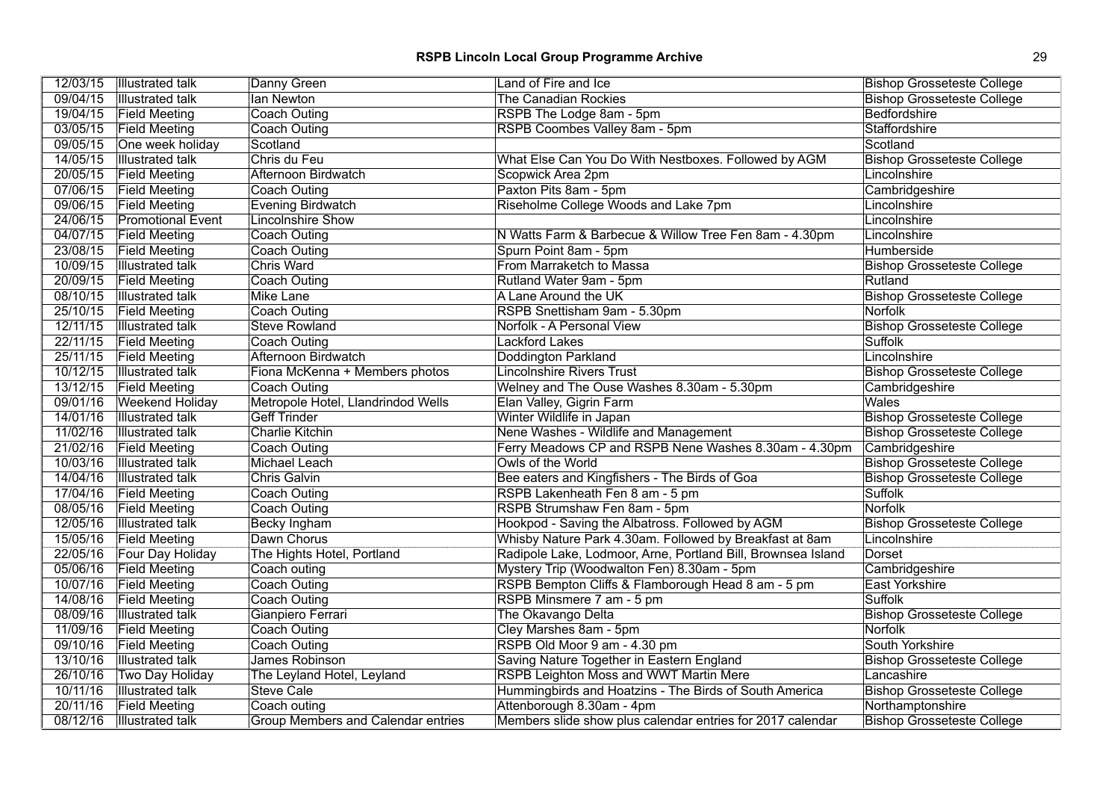| 12/03/15 | Illustrated talk         | Danny Green                        | Land of Fire and Ice                                         | <b>Bishop Grosseteste College</b> |
|----------|--------------------------|------------------------------------|--------------------------------------------------------------|-----------------------------------|
| 09/04/15 | Illustrated talk         | lan Newton                         | <b>The Canadian Rockies</b>                                  | <b>Bishop Grosseteste College</b> |
| 19/04/15 | <b>Field Meeting</b>     | <b>Coach Outing</b>                | RSPB The Lodge 8am - 5pm                                     | Bedfordshire                      |
| 03/05/15 | <b>Field Meeting</b>     | <b>Coach Outing</b>                | RSPB Coombes Valley 8am - 5pm                                | Staffordshire                     |
| 09/05/15 | One week holiday         | Scotland                           |                                                              | Scotland                          |
| 14/05/15 | Illustrated talk         | Chris du Feu                       | What Else Can You Do With Nestboxes. Followed by AGM         | <b>Bishop Grosseteste College</b> |
| 20/05/15 | <b>Field Meeting</b>     | Afternoon Birdwatch                | Scopwick Area 2pm                                            | Lincolnshire                      |
| 07/06/15 | <b>Field Meeting</b>     | Coach Outing                       | Paxton Pits 8am - 5pm                                        | Cambridgeshire                    |
| 09/06/15 | <b>Field Meeting</b>     | Evening Birdwatch                  | Riseholme College Woods and Lake 7pm                         | Lincolnshire                      |
| 24/06/15 | <b>Promotional Event</b> | <b>Lincolnshire Show</b>           |                                                              | Lincolnshire                      |
| 04/07/15 | <b>Field Meeting</b>     | <b>Coach Outing</b>                | N Watts Farm & Barbecue & Willow Tree Fen 8am - 4.30pm       | Lincolnshire                      |
| 23/08/15 | <b>Field Meeting</b>     | Coach Outing                       | Spurn Point 8am - 5pm                                        | Humberside                        |
| 10/09/15 | <b>Illustrated talk</b>  | <b>Chris Ward</b>                  | From Marraketch to Massa                                     | <b>Bishop Grosseteste College</b> |
| 20/09/15 | <b>Field Meeting</b>     | Coach Outing                       | Rutland Water 9am - 5pm                                      | Rutland                           |
| 08/10/15 | <b>Illustrated talk</b>  | Mike Lane                          | A Lane Around the UK                                         | <b>Bishop Grosseteste College</b> |
| 25/10/15 | <b>Field Meeting</b>     | <b>Coach Outing</b>                | RSPB Snettisham 9am - 5.30pm                                 | Norfolk                           |
| 12/11/15 | <b>Illustrated talk</b>  | <b>Steve Rowland</b>               | Norfolk - A Personal View                                    | <b>Bishop Grosseteste College</b> |
| 22/11/15 | <b>Field Meeting</b>     | Coach Outing                       | Lackford Lakes                                               | Suffolk                           |
| 25/11/15 | <b>Field Meeting</b>     | Afternoon Birdwatch                | Doddington Parkland                                          | Lincolnshire                      |
| 10/12/15 | Illustrated talk         | Fiona McKenna + Members photos     | <b>Lincolnshire Rivers Trust</b>                             | <b>Bishop Grosseteste College</b> |
| 13/12/15 | <b>Field Meeting</b>     | <b>Coach Outing</b>                | Welney and The Ouse Washes 8.30am - 5.30pm                   | Cambridgeshire                    |
| 09/01/16 | <b>Weekend Holiday</b>   | Metropole Hotel, Llandrindod Wells | Elan Valley, Gigrin Farm                                     | <b>Wales</b>                      |
| 14/01/16 | <b>Illustrated talk</b>  | <b>Geff Trinder</b>                | Winter Wildlife in Japan                                     | <b>Bishop Grosseteste College</b> |
| 11/02/16 | <b>Illustrated talk</b>  | <b>Charlie Kitchin</b>             | Nene Washes - Wildlife and Management                        | <b>Bishop Grosseteste College</b> |
| 21/02/16 | <b>Field Meeting</b>     | <b>Coach Outing</b>                | Ferry Meadows CP and RSPB Nene Washes 8.30am - 4.30pm        | Cambridgeshire                    |
| 10/03/16 | Illustrated talk         | Michael Leach                      | Owls of the World                                            | <b>Bishop Grosseteste College</b> |
| 14/04/16 | <b>Illustrated talk</b>  | Chris Galvin                       | Bee eaters and Kingfishers - The Birds of Goa                | <b>Bishop Grosseteste College</b> |
| 17/04/16 | <b>Field Meeting</b>     | Coach Outing                       | RSPB Lakenheath Fen 8 am - 5 pm                              | Suffolk                           |
| 08/05/16 | <b>Field Meeting</b>     | Coach Outing                       | RSPB Strumshaw Fen 8am - 5pm                                 | <b>Norfolk</b>                    |
| 12/05/16 | <b>Illustrated talk</b>  | <b>Becky Ingham</b>                | Hookpod - Saving the Albatross. Followed by AGM              | <b>Bishop Grosseteste College</b> |
| 15/05/16 | <b>Field Meeting</b>     | Dawn Chorus                        | Whisby Nature Park 4.30am. Followed by Breakfast at 8am      | Lincolnshire                      |
| 22/05/16 | Four Day Holiday         | The Hights Hotel, Portland         | Radipole Lake, Lodmoor, Arne, Portland Bill, Brownsea Island | Dorset                            |
| 05/06/16 | <b>Field Meeting</b>     | Coach outing                       | Mystery Trip (Woodwalton Fen) 8.30am - 5pm                   | Cambridgeshire                    |
| 10/07/16 | <b>Field Meeting</b>     | Coach Outing                       | RSPB Bempton Cliffs & Flamborough Head 8 am - 5 pm           | East Yorkshire                    |
| 14/08/16 | <b>Field Meeting</b>     | Coach Outing                       | RSPB Minsmere 7 am - 5 pm                                    | Suffolk                           |
| 08/09/16 | <b>Illustrated talk</b>  | Gianpiero Ferrari                  | The Okavango Delta                                           | <b>Bishop Grosseteste College</b> |
| 11/09/16 | <b>Field Meeting</b>     | <b>Coach Outing</b>                | Cley Marshes 8am - 5pm                                       | <b>Norfolk</b>                    |
| 09/10/16 | <b>Field Meeting</b>     | <b>Coach Outing</b>                | RSPB Old Moor 9 am - 4.30 pm                                 | South Yorkshire                   |
| 13/10/16 | <b>Illustrated talk</b>  | James Robinson                     | Saving Nature Together in Eastern England                    | <b>Bishop Grosseteste College</b> |
| 26/10/16 | Two Day Holiday          | The Leyland Hotel, Leyland         | <b>RSPB Leighton Moss and WWT Martin Mere</b>                | Lancashire                        |
| 10/11/16 | <b>Illustrated talk</b>  | <b>Steve Cale</b>                  | Hummingbirds and Hoatzins - The Birds of South America       | <b>Bishop Grosseteste College</b> |
| 20/11/16 | <b>Field Meeting</b>     | Coach outing                       | Attenborough 8.30am - 4pm                                    | Northamptonshire                  |
| 08/12/16 | Illustrated talk         | Group Members and Calendar entries | Members slide show plus calendar entries for 2017 calendar   | <b>Bishop Grosseteste College</b> |